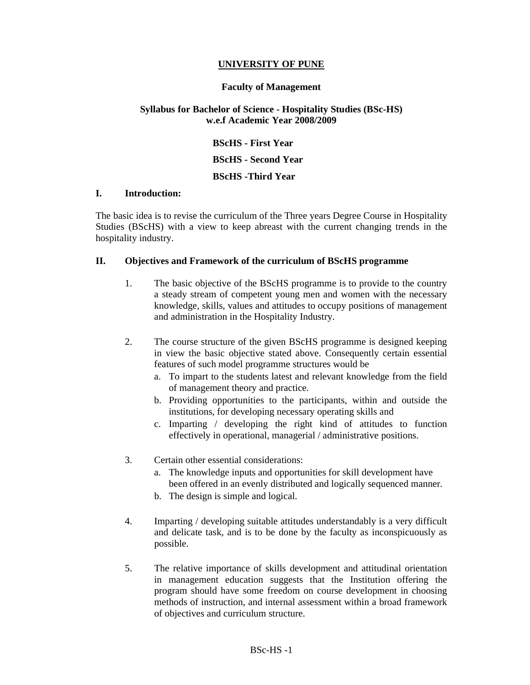#### **UNIVERSITY OF PUNE**

#### **Faculty of Management**

#### **Syllabus for Bachelor of Science - Hospitality Studies (BSc-HS) w.e.f Academic Year 2008/2009**

 **BScHS - First Year BScHS - Second Year BScHS -Third Year** 

#### **I. Introduction:**

The basic idea is to revise the curriculum of the Three years Degree Course in Hospitality Studies (BScHS) with a view to keep abreast with the current changing trends in the hospitality industry.

#### **II. Objectives and Framework of the curriculum of BScHS programme**

- 1. The basic objective of the BScHS programme is to provide to the country a steady stream of competent young men and women with the necessary knowledge, skills, values and attitudes to occupy positions of management and administration in the Hospitality Industry.
- 2. The course structure of the given BScHS programme is designed keeping in view the basic objective stated above. Consequently certain essential features of such model programme structures would be
	- a. To impart to the students latest and relevant knowledge from the field of management theory and practice.
	- b. Providing opportunities to the participants, within and outside the institutions, for developing necessary operating skills and
	- c. Imparting / developing the right kind of attitudes to function effectively in operational, managerial / administrative positions.
- 3. Certain other essential considerations:
	- a. The knowledge inputs and opportunities for skill development have been offered in an evenly distributed and logically sequenced manner.
	- b. The design is simple and logical.
- 4. Imparting / developing suitable attitudes understandably is a very difficult and delicate task, and is to be done by the faculty as inconspicuously as possible.
- 5. The relative importance of skills development and attitudinal orientation in management education suggests that the Institution offering the program should have some freedom on course development in choosing methods of instruction, and internal assessment within a broad framework of objectives and curriculum structure.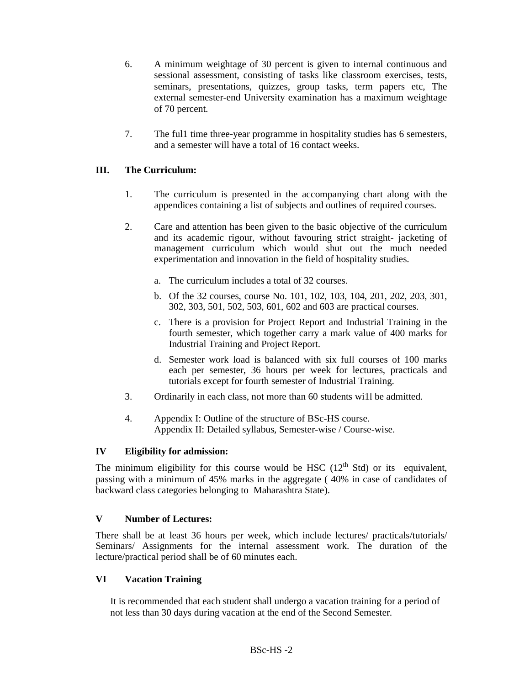- 6. A minimum weightage of 30 percent is given to internal continuous and sessional assessment, consisting of tasks like classroom exercises, tests, seminars, presentations, quizzes, group tasks, term papers etc, The external semester-end University examination has a maximum weightage of 70 percent.
- 7. The ful1 time three-year programme in hospitality studies has 6 semesters, and a semester will have a total of 16 contact weeks.

# **III. The Curriculum:**

- 1. The curriculum is presented in the accompanying chart along with the appendices containing a list of subjects and outlines of required courses.
- 2. Care and attention has been given to the basic objective of the curriculum and its academic rigour, without favouring strict straight- jacketing of management curriculum which would shut out the much needed experimentation and innovation in the field of hospitality studies.
	- a. The curriculum includes a total of 32 courses.
	- b. Of the 32 courses, course No. 101, 102, 103, 104, 201, 202, 203, 301, 302, 303, 501, 502, 503, 601, 602 and 603 are practical courses.
	- c. There is a provision for Project Report and Industrial Training in the fourth semester, which together carry a mark value of 400 marks for Industrial Training and Project Report.
	- d. Semester work load is balanced with six full courses of 100 marks each per semester, 36 hours per week for lectures, practicals and tutorials except for fourth semester of Industrial Training.
- 3. Ordinarily in each class, not more than 60 students wi1l be admitted.
- 4. Appendix I: Outline of the structure of BSc-HS course. Appendix II: Detailed syllabus, Semester-wise / Course-wise.

#### **IV Eligibility for admission:**

The minimum eligibility for this course would be HSC  $(12<sup>th</sup> Std)$  or its equivalent, passing with a minimum of 45% marks in the aggregate ( 40% in case of candidates of backward class categories belonging to Maharashtra State).

#### **V Number of Lectures:**

There shall be at least 36 hours per week, which include lectures/ practicals/tutorials/ Seminars/ Assignments for the internal assessment work. The duration of the lecture/practical period shall be of 60 minutes each.

#### **VI Vacation Training**

It is recommended that each student shall undergo a vacation training for a period of not less than 30 days during vacation at the end of the Second Semester.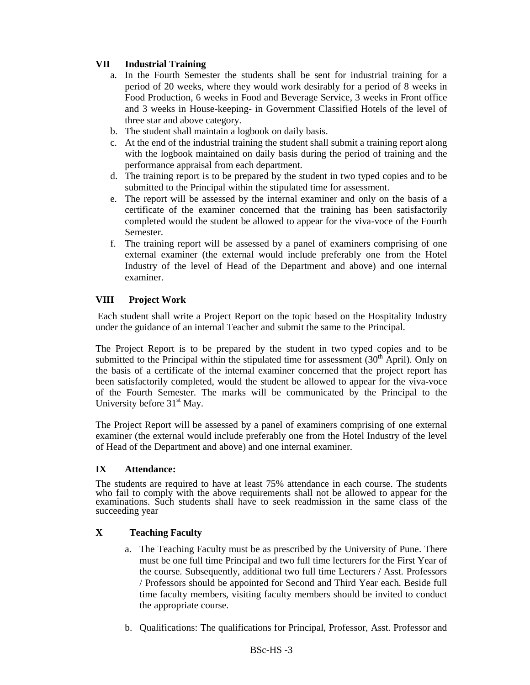# **VII Industrial Training**

- a. In the Fourth Semester the students shall be sent for industrial training for a period of 20 weeks, where they would work desirably for a period of 8 weeks in Food Production, 6 weeks in Food and Beverage Service, 3 weeks in Front office and 3 weeks in House-keeping- in Government Classified Hotels of the level of three star and above category.
- b. The student shall maintain a logbook on daily basis.
- c. At the end of the industrial training the student shall submit a training report along with the logbook maintained on daily basis during the period of training and the performance appraisal from each department.
- d. The training report is to be prepared by the student in two typed copies and to be submitted to the Principal within the stipulated time for assessment.
- e. The report will be assessed by the internal examiner and only on the basis of a certificate of the examiner concerned that the training has been satisfactorily completed would the student be allowed to appear for the viva-voce of the Fourth Semester.
- f. The training report will be assessed by a panel of examiners comprising of one external examiner (the external would include preferably one from the Hotel Industry of the level of Head of the Department and above) and one internal examiner.

# **VIII Project Work**

Each student shall write a Project Report on the topic based on the Hospitality Industry under the guidance of an internal Teacher and submit the same to the Principal.

The Project Report is to be prepared by the student in two typed copies and to be submitted to the Principal within the stipulated time for assessment  $(30<sup>th</sup>$  April). Only on the basis of a certificate of the internal examiner concerned that the project report has been satisfactorily completed, would the student be allowed to appear for the viva-voce of the Fourth Semester. The marks will be communicated by the Principal to the University before  $31<sup>st</sup>$  May.

The Project Report will be assessed by a panel of examiners comprising of one external examiner (the external would include preferably one from the Hotel Industry of the level of Head of the Department and above) and one internal examiner.

#### **IX Attendance:**

The students are required to have at least 75% attendance in each course. The students who fail to comply with the above requirements shall not be allowed to appear for the examinations. Such students shall have to seek readmission in the same class of the succeeding year

# **X Teaching Faculty**

- a. The Teaching Faculty must be as prescribed by the University of Pune. There must be one full time Principal and two full time lecturers for the First Year of the course. Subsequently, additional two full time Lecturers / Asst. Professors / Professors should be appointed for Second and Third Year each. Beside full time faculty members, visiting faculty members should be invited to conduct the appropriate course.
- b. Qualifications: The qualifications for Principal, Professor, Asst. Professor and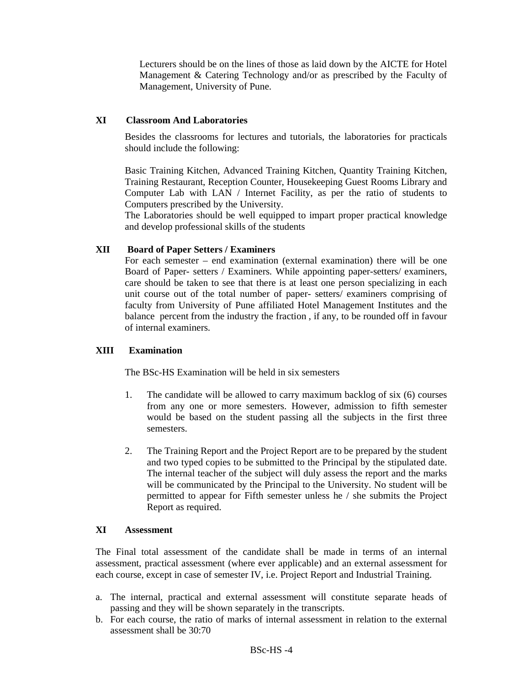Lecturers should be on the lines of those as laid down by the AICTE for Hotel Management & Catering Technology and/or as prescribed by the Faculty of Management, University of Pune.

#### **XI Classroom And Laboratories**

Besides the classrooms for lectures and tutorials, the laboratories for practicals should include the following:

Basic Training Kitchen, Advanced Training Kitchen, Quantity Training Kitchen, Training Restaurant, Reception Counter, Housekeeping Guest Rooms Library and Computer Lab with LAN / Internet Facility, as per the ratio of students to Computers prescribed by the University.

The Laboratories should be well equipped to impart proper practical knowledge and develop professional skills of the students

#### **XII Board of Paper Setters / Examiners**

For each semester – end examination (external examination) there will be one Board of Paper- setters / Examiners. While appointing paper-setters/ examiners, care should be taken to see that there is at least one person specializing in each unit course out of the total number of paper- setters/ examiners comprising of faculty from University of Pune affiliated Hotel Management Institutes and the balance percent from the industry the fraction , if any, to be rounded off in favour of internal examiners.

#### **XIII Examination**

The BSc-HS Examination will be held in six semesters

- 1. The candidate will be allowed to carry maximum backlog of six (6) courses from any one or more semesters. However, admission to fifth semester would be based on the student passing all the subjects in the first three semesters.
- 2. The Training Report and the Project Report are to be prepared by the student and two typed copies to be submitted to the Principal by the stipulated date. The internal teacher of the subject will duly assess the report and the marks will be communicated by the Principal to the University. No student will be permitted to appear for Fifth semester unless he / she submits the Project Report as required.

#### **XI Assessment**

The Final total assessment of the candidate shall be made in terms of an internal assessment, practical assessment (where ever applicable) and an external assessment for each course, except in case of semester IV, i.e. Project Report and Industrial Training.

- a. The internal, practical and external assessment will constitute separate heads of passing and they will be shown separately in the transcripts.
- b. For each course, the ratio of marks of internal assessment in relation to the external assessment shall be 30:70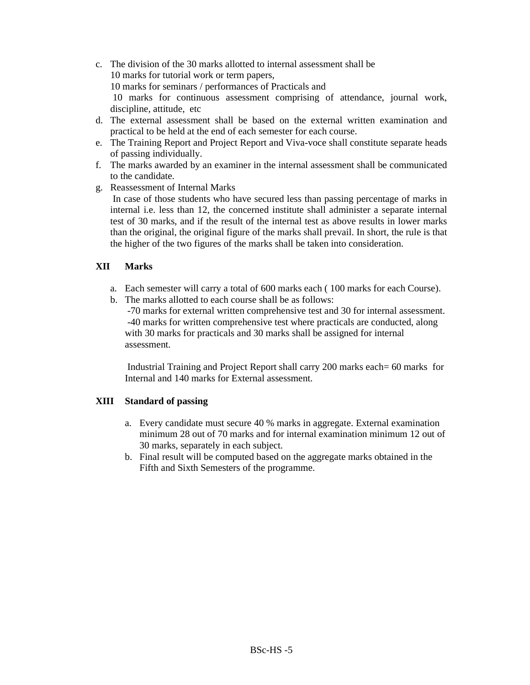- c. The division of the 30 marks allotted to internal assessment shall be 10 marks for tutorial work or term papers, 10 marks for seminars / performances of Practicals and 10 marks for continuous assessment comprising of attendance, journal work, discipline, attitude, etc
- d. The external assessment shall be based on the external written examination and practical to be held at the end of each semester for each course.
- e. The Training Report and Project Report and Viva-voce shall constitute separate heads of passing individually.
- f. The marks awarded by an examiner in the internal assessment shall be communicated to the candidate.
- g. Reassessment of Internal Marks

 In case of those students who have secured less than passing percentage of marks in internal i.e. less than 12, the concerned institute shall administer a separate internal test of 30 marks, and if the result of the internal test as above results in lower marks than the original, the original figure of the marks shall prevail. In short, the rule is that the higher of the two figures of the marks shall be taken into consideration.

#### **XII Marks**

- a. Each semester will carry a total of 600 marks each ( 100 marks for each Course).
- b. The marks allotted to each course shall be as follows:

 -70 marks for external written comprehensive test and 30 for internal assessment. -40 marks for written comprehensive test where practicals are conducted, along with 30 marks for practicals and 30 marks shall be assigned for internal assessment.

 Industrial Training and Project Report shall carry 200 marks each= 60 marks for Internal and 140 marks for External assessment.

#### **XIII Standard of passing**

- a. Every candidate must secure 40 % marks in aggregate. External examination minimum 28 out of 70 marks and for internal examination minimum 12 out of 30 marks, separately in each subject.
- b. Final result will be computed based on the aggregate marks obtained in the Fifth and Sixth Semesters of the programme.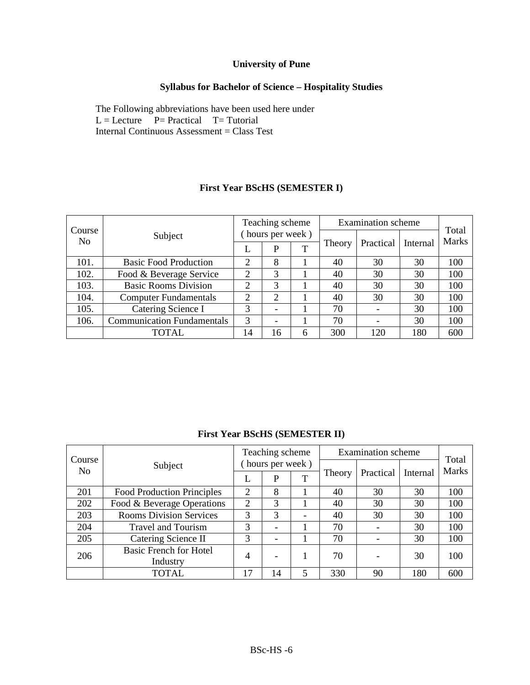# **University of Pune**

# **Syllabus for Bachelor of Science – Hospitality Studies**

The Following abbreviations have been used here under  $L =$  Lecture  $P =$  Practical T= Tutorial Internal Continuous Assessment = Class Test

|                          |                                   | Teaching scheme             |                          |   | <b>Examination</b> scheme | Total     |          |              |  |
|--------------------------|-----------------------------------|-----------------------------|--------------------------|---|---------------------------|-----------|----------|--------------|--|
| Course<br>N <sub>0</sub> | Subject                           |                             | hours per week)          |   |                           |           |          | <b>Marks</b> |  |
|                          |                                   |                             | P                        | T | Theory                    | Practical | Internal |              |  |
| 101.                     | <b>Basic Food Production</b>      | $\overline{2}$              | 8                        |   | 40                        | 30        | 30       | 100          |  |
| 102.                     | Food & Beverage Service           | $\mathcal{D}_{\mathcal{L}}$ | 3                        |   | 40                        | 30        | 30       | 100          |  |
| 103.                     | <b>Basic Rooms Division</b>       | $\mathcal{D}_{\mathcal{A}}$ | 3                        |   | 40                        | 30        | 30       | 100          |  |
| 104.                     | <b>Computer Fundamentals</b>      | $\overline{2}$              | 2                        |   | 40                        | 30        | 30       | 100          |  |
| 105.                     | Catering Science I                | 3                           | $\overline{\phantom{a}}$ |   | 70                        |           | 30       | 100          |  |
| 106.                     | <b>Communication Fundamentals</b> | 3                           |                          |   | 70                        |           | 30       | 100          |  |
|                          | TOTAL                             | 14                          | 16                       | 6 | 300                       | 120       | 180      | 600          |  |

# **First Year BScHS (SEMESTER I)**

# **First Year BScHS (SEMESTER II)**

|                          |                                   |   | Teaching scheme          |   |        | <b>Examination</b> scheme |          |                |  |
|--------------------------|-----------------------------------|---|--------------------------|---|--------|---------------------------|----------|----------------|--|
| Course<br>N <sub>o</sub> | Subject                           |   | hours per week)          |   |        |                           |          | Total<br>Marks |  |
|                          |                                   | L | P                        |   | Theory | Practical                 | Internal |                |  |
| 201                      | <b>Food Production Principles</b> | 2 | 8                        |   | 40     | 30                        | 30       | 100            |  |
| 202                      | Food & Beverage Operations        | 2 | 3                        |   | 40     | 30                        | 30       | 100            |  |
| 203                      | <b>Rooms Division Services</b>    | 3 | 3                        |   | 40     | 30                        | 30       | 100            |  |
| 204                      | <b>Travel and Tourism</b>         | 3 |                          |   | 70     |                           | 30       | 100            |  |
| 205                      | Catering Science II               | 3 | -                        |   | 70     |                           | 30       | 100            |  |
| 206                      | <b>Basic French for Hotel</b>     | 4 | $\overline{\phantom{0}}$ |   | 70     |                           | 30       | 100            |  |
|                          | Industry                          |   |                          |   |        |                           |          |                |  |
|                          | TOTAL                             |   | 14                       | 5 | 330    | 90                        | 180      | 600            |  |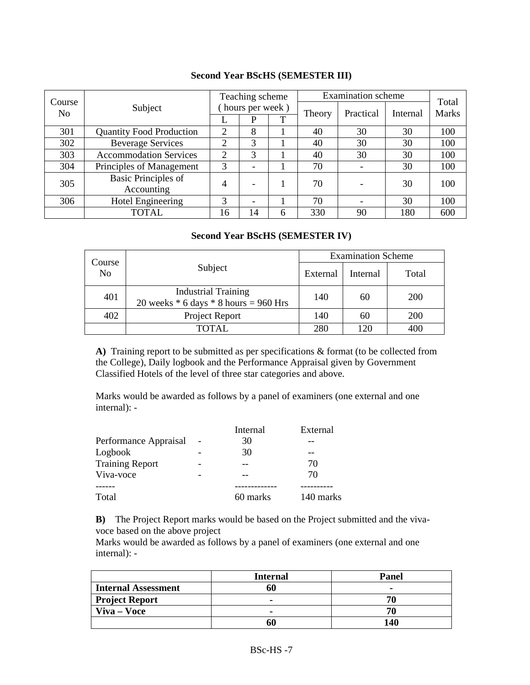|                          |                                 |    | Teaching scheme          |   |        | <b>Examination</b> scheme |          | Total        |  |
|--------------------------|---------------------------------|----|--------------------------|---|--------|---------------------------|----------|--------------|--|
| Course<br>N <sub>0</sub> | Subject                         |    | hours per week)          |   |        | Practical                 | Internal | <b>Marks</b> |  |
|                          |                                 |    | D                        | T | Theory |                           |          |              |  |
| 301                      | <b>Quantity Food Production</b> | 2  | 8                        |   | 40     | 30                        | 30       | 100          |  |
| 302                      | <b>Beverage Services</b>        | 2  | 3                        |   | 40     | 30                        | 30       | 100          |  |
| 303                      | <b>Accommodation Services</b>   | 2  | 3                        |   | 40     | 30                        | 30       | 100          |  |
| 304                      | Principles of Management        | 3  | $\overline{\phantom{0}}$ |   | 70     |                           | 30       | 100          |  |
| 305                      | <b>Basic Principles of</b>      | 4  |                          |   | 70     |                           | 30       | 100          |  |
|                          | Accounting                      |    |                          |   |        |                           |          |              |  |
| 306                      | <b>Hotel Engineering</b>        | 3  |                          |   | 70     |                           | 30       | 100          |  |
|                          | <b>TOTAL</b>                    | 16 | 14                       | 6 | 330    | 90                        | 180      | 600          |  |

### **Second Year BScHS (SEMESTER III)**

# **Second Year BScHS (SEMESTER IV)**

|                          |                                                                         | <b>Examination Scheme</b> |          |       |  |  |
|--------------------------|-------------------------------------------------------------------------|---------------------------|----------|-------|--|--|
| Course<br>N <sub>o</sub> | Subject                                                                 | External                  | Internal | Total |  |  |
| 401                      | <b>Industrial Training</b><br>20 weeks $*$ 6 days $*$ 8 hours = 960 Hrs | 140                       | 60       | 200   |  |  |
| 402                      | Project Report                                                          | 140                       | 60       | 200   |  |  |
|                          | TOTAL                                                                   | 280                       | 120      | 400   |  |  |

**A)** Training report to be submitted as per specifications & format (to be collected from the College), Daily logbook and the Performance Appraisal given by Government Classified Hotels of the level of three star categories and above.

Marks would be awarded as follows by a panel of examiners (one external and one internal): -

|                        | Internal | External  |
|------------------------|----------|-----------|
| Performance Appraisal  | 30       |           |
| Logbook                | 30       |           |
| <b>Training Report</b> |          | 70        |
| Viva-voce              |          | 70        |
|                        |          |           |
| Total                  | 60 marks | 140 marks |

**B)** The Project Report marks would be based on the Project submitted and the vivavoce based on the above project

Marks would be awarded as follows by a panel of examiners (one external and one internal): -

|                            | <b>Internal</b> | Panel |
|----------------------------|-----------------|-------|
| <b>Internal Assessment</b> |                 |       |
| <b>Project Report</b>      |                 |       |
| Viva – Voce                |                 |       |
|                            |                 | 140   |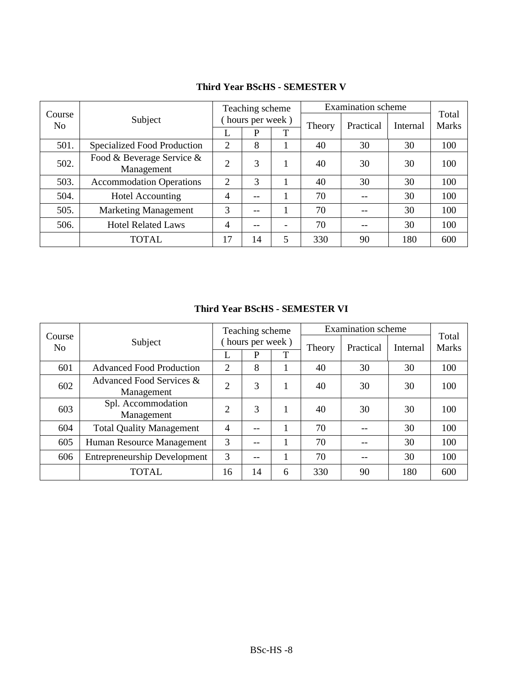|                          |                                         |                | Teaching scheme |   |        | <b>Examination</b> scheme |          |                       |
|--------------------------|-----------------------------------------|----------------|-----------------|---|--------|---------------------------|----------|-----------------------|
| Course<br>N <sub>0</sub> | Subject                                 |                | hours per week) |   | Theory | Practical                 | Internal | Total<br><b>Marks</b> |
|                          |                                         |                | P               | T |        |                           |          |                       |
| 501.                     | Specialized Food Production             | 2              | 8               |   | 40     | 30                        | 30       | 100                   |
| 502.                     | Food & Beverage Service &<br>Management | $\overline{2}$ | 3               |   | 40     | 30                        | 30       | 100                   |
| 503.                     | <b>Accommodation Operations</b>         | $\overline{2}$ | 3               |   | 40     | 30                        | 30       | 100                   |
| 504.                     | <b>Hotel Accounting</b>                 | 4              |                 |   | 70     |                           | 30       | 100                   |
| 505.                     | <b>Marketing Management</b>             | 3              |                 |   | 70     |                           | 30       | 100                   |
| 506.                     | <b>Hotel Related Laws</b>               | 4              |                 |   | 70     | $- -$                     | 30       | 100                   |
|                          | <b>TOTAL</b>                            | 17             | 14              | 5 | 330    | 90                        | 180      | 600                   |

# **Third Year BScHS - SEMESTER V**

**Third Year BScHS - SEMESTER VI** 

|                          |                                        | <b>Examination</b> scheme<br>Teaching scheme |                 |   | Total  |           |          |              |
|--------------------------|----------------------------------------|----------------------------------------------|-----------------|---|--------|-----------|----------|--------------|
| Course<br>N <sub>0</sub> | Subject                                |                                              | hours per week) |   | Theory | Practical | Internal | <b>Marks</b> |
|                          |                                        |                                              | P               |   |        |           |          |              |
| 601                      | <b>Advanced Food Production</b>        | $\overline{2}$                               | 8               |   | 40     | 30        | 30       | 100          |
| 602                      | Advanced Food Services &<br>Management |                                              | 3               |   | 40     | 30        | 30       | 100          |
|                          | Spl. Accommodation                     |                                              |                 |   |        |           |          |              |
| 603                      | Management                             | $\overline{2}$                               | 3               |   | 40     | 30        | 30       | 100          |
| 604                      | <b>Total Quality Management</b>        | $\overline{4}$                               |                 |   | 70     |           | 30       | 100          |
| 605                      | Human Resource Management              | 3                                            |                 |   | 70     |           | 30       | 100          |
| 606                      | <b>Entrepreneurship Development</b>    | 3                                            |                 |   | 70     |           | 30       | 100          |
|                          | <b>TOTAL</b>                           | 16                                           | 14              | 6 | 330    | 90        | 180      | 600          |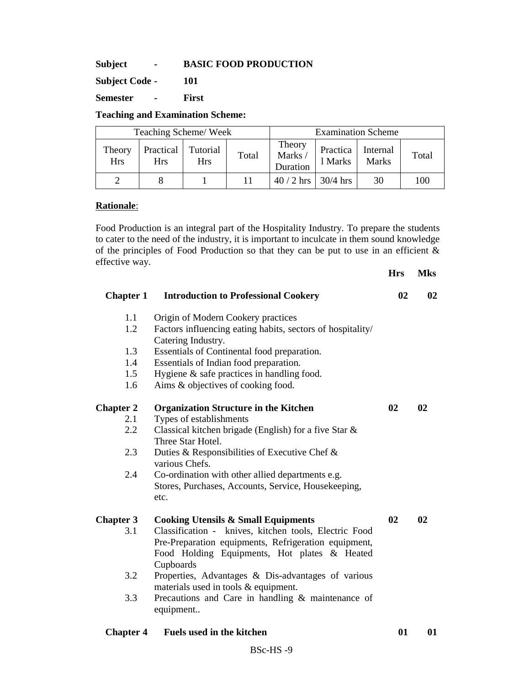**Subject - BASIC FOOD PRODUCTION** 

**Subject Code - 101** 

**Semester - First** 

# **Teaching and Examination Scheme:**

|                      | Teaching Scheme/Week    |                        |       |                              | <b>Examination Scheme</b> |                          |       |
|----------------------|-------------------------|------------------------|-------|------------------------------|---------------------------|--------------------------|-------|
| Theory<br><b>Hrs</b> | Practical<br><b>Hrs</b> | Tutorial<br><b>Hrs</b> | Total | Theory<br>Marks/<br>Duration | Practica<br>1 Marks       | Internal<br><b>Marks</b> | Total |
|                      |                         |                        |       | $40/2$ hrs   30/4 hrs        |                           | 30                       | 100   |

#### **Rationale**:

Food Production is an integral part of the Hospitality Industry. To prepare the students to cater to the need of the industry, it is important to inculcate in them sound knowledge of the principles of Food Production so that they can be put to use in an efficient & effective way.

|                  |                                                                                                                                                                            | <b>Hrs</b> | <b>Mks</b> |
|------------------|----------------------------------------------------------------------------------------------------------------------------------------------------------------------------|------------|------------|
| <b>Chapter 1</b> | <b>Introduction to Professional Cookery</b>                                                                                                                                | 02         | 02         |
| 1.1              | Origin of Modern Cookery practices                                                                                                                                         |            |            |
| 1.2              | Factors influencing eating habits, sectors of hospitality/<br>Catering Industry.                                                                                           |            |            |
| 1.3              | Essentials of Continental food preparation.                                                                                                                                |            |            |
| 1.4              | Essentials of Indian food preparation.                                                                                                                                     |            |            |
| 1.5              | Hygiene $\&$ safe practices in handling food.                                                                                                                              |            |            |
| 1.6              | Aims & objectives of cooking food.                                                                                                                                         |            |            |
| <b>Chapter 2</b> | <b>Organization Structure in the Kitchen</b>                                                                                                                               | 02         | 02         |
| 2.1              | Types of establishments                                                                                                                                                    |            |            |
| 2.2              | Classical kitchen brigade (English) for a five Star $\&$<br>Three Star Hotel.                                                                                              |            |            |
| 2.3              | Duties & Responsibilities of Executive Chef &<br>various Chefs.                                                                                                            |            |            |
| 2.4              | Co-ordination with other allied departments e.g.<br>Stores, Purchases, Accounts, Service, Housekeeping,<br>etc.                                                            |            |            |
| <b>Chapter 3</b> | <b>Cooking Utensils &amp; Small Equipments</b>                                                                                                                             | 02         | 02         |
| 3.1              | Classification - knives, kitchen tools, Electric Food<br>Pre-Preparation equipments, Refrigeration equipment,<br>Food Holding Equipments, Hot plates & Heated<br>Cupboards |            |            |
| 3.2              | Properties, Advantages & Dis-advantages of various<br>materials used in tools & equipment.                                                                                 |            |            |
| 3.3              | Precautions and Care in handling $&$ maintenance of<br>equipment                                                                                                           |            |            |
| <b>Chapter 4</b> | <b>Fuels used in the kitchen</b>                                                                                                                                           | 01         | 01         |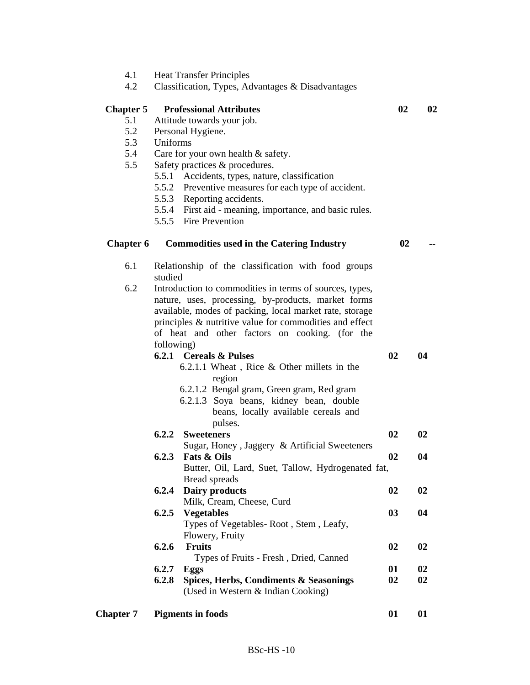- 4.1 Heat Transfer Principles<br>4.2 Classification. Types. Ac
	- 4.2 Classification, Types, Advantages & Disadvantages

#### **Chapter 5 Professional Attributes 02 02**

- 5.1 Attitude towards your job.
- 5.2 Personal Hygiene.
- 5.3 Uniforms
- 5.4 Care for your own health & safety.
- 5.5 Safety practices & procedures.
	- 5.5.1 Accidents, types, nature, classification
	- 5.5.2 Preventive measures for each type of accident.
	- 5.5.3 Reporting accidents.
	- 5.5.4 First aid meaning, importance, and basic rules.
	- 5.5.5 Fire Prevention

# **Chapter 6 Commodities used in the Catering Industry 02 --**

- 
- 6.1 Relationship of the classification with food groups studied
- 6.2 Introduction to commodities in terms of sources, types, nature, uses, processing, by-products, market forms available, modes of packing, local market rate, storage principles & nutritive value for commodities and effect of heat and other factors on cooking. (for the following)

|                  | 6.2.1 | <b>Cereals &amp; Pulses</b>                        | 02 | 04 |
|------------------|-------|----------------------------------------------------|----|----|
|                  |       | $6.2.1.1$ Wheat, Rice & Other millets in the       |    |    |
|                  |       | region                                             |    |    |
|                  |       | 6.2.1.2 Bengal gram, Green gram, Red gram          |    |    |
|                  |       | 6.2.1.3 Soya beans, kidney bean, double            |    |    |
|                  |       | beans, locally available cereals and               |    |    |
|                  |       | pulses.                                            |    |    |
|                  | 6.2.2 | <b>Sweeteners</b>                                  | 02 | 02 |
|                  |       | Sugar, Honey, Jaggery & Artificial Sweeteners      |    |    |
|                  | 6.2.3 | <b>Fats &amp; Oils</b>                             | 02 | 04 |
|                  |       | Butter, Oil, Lard, Suet, Tallow, Hydrogenated fat, |    |    |
|                  |       | Bread spreads                                      |    |    |
|                  | 6.2.4 | Dairy products                                     | 02 | 02 |
|                  |       | Milk, Cream, Cheese, Curd                          |    |    |
|                  |       | 6.2.5 Vegetables                                   | 03 | 04 |
|                  |       | Types of Vegetables-Root, Stem, Leafy,             |    |    |
|                  |       | Flowery, Fruity                                    |    |    |
|                  | 6.2.6 | <b>Fruits</b>                                      | 02 | 02 |
|                  |       | Types of Fruits - Fresh, Dried, Canned             |    |    |
|                  | 6.2.7 | <b>Eggs</b>                                        | 01 | 02 |
|                  | 6.2.8 | Spices, Herbs, Condiments & Seasonings             | 02 | 02 |
|                  |       | (Used in Western & Indian Cooking)                 |    |    |
| <b>Chapter 7</b> |       | <b>Pigments in foods</b>                           | 01 | 01 |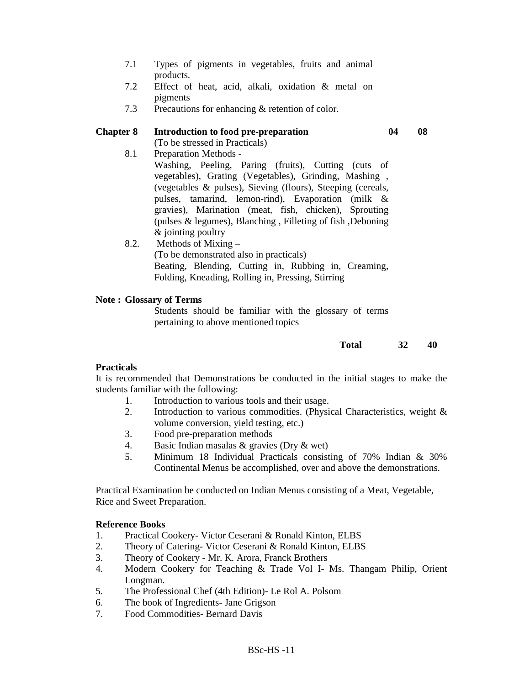- 7.1 Types of pigments in vegetables, fruits and animal products.
- 7.2 Effect of heat, acid, alkali, oxidation & metal on pigments
- 7.3 Precautions for enhancing & retention of color.

#### **Chapter 8 Introduction to food pre-preparation 04 08**

(To be stressed in Practicals)

8.1 Preparation Methods -

Washing, Peeling, Paring (fruits), Cutting (cuts of vegetables), Grating (Vegetables), Grinding, Mashing , (vegetables & pulses), Sieving (flours), Steeping (cereals, pulses, tamarind, lemon-rind), Evaporation (milk & gravies), Marination (meat, fish, chicken), Sprouting (pulses & legumes), Blanching , Filleting of fish ,Deboning & jointing poultry

8.2. Methods of Mixing – (To be demonstrated also in practicals) Beating, Blending, Cutting in, Rubbing in, Creaming, Folding, Kneading, Rolling in, Pressing, Stirring

#### **Note : Glossary of Terms**

Students should be familiar with the glossary of terms pertaining to above mentioned topics

#### **Total 32 40**

#### **Practicals**

It is recommended that Demonstrations be conducted in the initial stages to make the students familiar with the following:

- 1. Introduction to various tools and their usage.
- 2. Introduction to various commodities. (Physical Characteristics, weight & volume conversion, yield testing, etc.)
- 3. Food pre-preparation methods
- 4. Basic Indian masalas & gravies (Dry & wet)
- 5. Minimum 18 Individual Practicals consisting of 70% Indian & 30% Continental Menus be accomplished, over and above the demonstrations.

Practical Examination be conducted on Indian Menus consisting of a Meat, Vegetable, Rice and Sweet Preparation.

#### **Reference Books**

- 1. Practical Cookery- Victor Ceserani & Ronald Kinton, ELBS
- 2. Theory of Catering- Victor Ceserani & Ronald Kinton, ELBS
- 3. Theory of Cookery Mr. K. Arora, Franck Brothers
- 4. Modern Cookery for Teaching & Trade Vol I- Ms. Thangam Philip, Orient Longman.
- 5. The Professional Chef (4th Edition)- Le Rol A. Polsom
- 6. The book of Ingredients- Jane Grigson
- 7. Food Commodities- Bernard Davis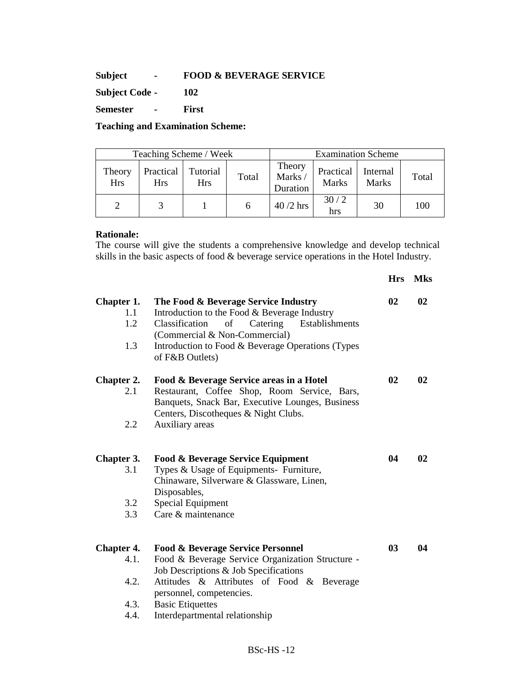#### **Subject - FOOD & BEVERAGE SERVICE**

**Subject Code - 102** 

**Semester - First** 

#### **Teaching and Examination Scheme:**

|                      | Teaching Scheme / Week  |                        |       |                              | <b>Examination Scheme</b> |                          |       |  |
|----------------------|-------------------------|------------------------|-------|------------------------------|---------------------------|--------------------------|-------|--|
| Theory<br><b>Hrs</b> | Practical<br><b>Hrs</b> | Tutorial<br><b>Hrs</b> | Total | Theory<br>Marks/<br>Duration | Practical<br>Marks        | Internal<br><b>Marks</b> | Total |  |
|                      |                         |                        |       | $40/2$ hrs                   | 30/2<br>hrs               | 30                       | 100   |  |

#### **Rationale:**

The course will give the students a comprehensive knowledge and develop technical skills in the basic aspects of food & beverage service operations in the Hotel Industry.

|                                                   |                                                                                                                                                                                                                                                                                 | <b>Hrs</b> | <b>Mks</b> |
|---------------------------------------------------|---------------------------------------------------------------------------------------------------------------------------------------------------------------------------------------------------------------------------------------------------------------------------------|------------|------------|
| Chapter 1.<br>1.1<br>1.2<br>1.3                   | The Food & Beverage Service Industry<br>Introduction to the Food & Beverage Industry<br>Classification<br>of<br>Catering<br>Establishments<br>(Commercial & Non-Commercial)<br>Introduction to Food & Beverage Operations (Types<br>of F&B Outlets)                             | 02         | 02         |
| Chapter 2.<br>2.1<br>2.2                          | Food & Beverage Service areas in a Hotel<br>Restaurant, Coffee Shop, Room Service, Bars,<br>Banquets, Snack Bar, Executive Lounges, Business<br>Centers, Discotheques & Night Clubs.<br>Auxiliary areas                                                                         | 02         | 02         |
| Chapter 3.<br>3.1<br>3.2<br>3.3                   | <b>Food &amp; Beverage Service Equipment</b><br>Types & Usage of Equipments- Furniture,<br>Chinaware, Silverware & Glassware, Linen,<br>Disposables,<br>Special Equipment<br>Care & maintenance                                                                                 | 04         | 02         |
| <b>Chapter 4.</b><br>4.1.<br>4.2.<br>4.3.<br>4.4. | <b>Food &amp; Beverage Service Personnel</b><br>Food & Beverage Service Organization Structure -<br>Job Descriptions & Job Specifications<br>Attitudes & Attributes of Food & Beverage<br>personnel, competencies.<br><b>Basic Etiquettes</b><br>Interdepartmental relationship | 03         | 04         |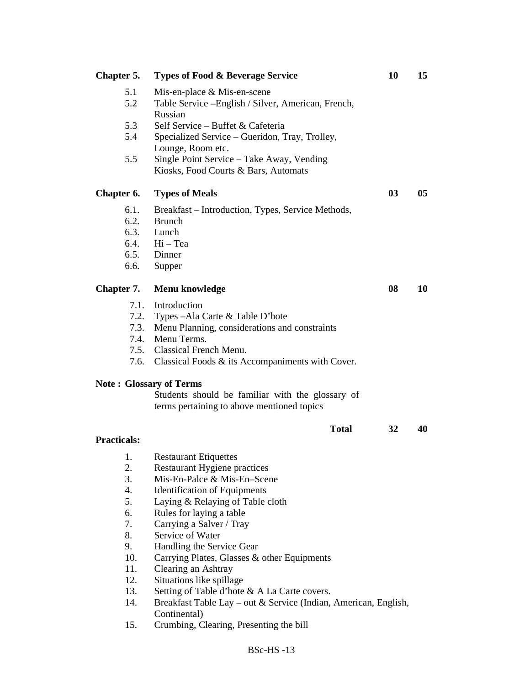| Chapter 5.                                                                                   | <b>Types of Food &amp; Beverage Service</b>                                                                                                                                                                                                                                                                                                                                                                                                                                                                                                                            | 10 | 15 |
|----------------------------------------------------------------------------------------------|------------------------------------------------------------------------------------------------------------------------------------------------------------------------------------------------------------------------------------------------------------------------------------------------------------------------------------------------------------------------------------------------------------------------------------------------------------------------------------------------------------------------------------------------------------------------|----|----|
| 5.1<br>5.2                                                                                   | Mis-en-place $& Mis-en-scence$<br>Table Service - English / Silver, American, French,<br>Russian                                                                                                                                                                                                                                                                                                                                                                                                                                                                       |    |    |
| 5.3<br>5.4                                                                                   | Self Service – Buffet & Cafeteria<br>Specialized Service - Gueridon, Tray, Trolley,                                                                                                                                                                                                                                                                                                                                                                                                                                                                                    |    |    |
| 5.5                                                                                          | Lounge, Room etc.<br>Single Point Service - Take Away, Vending<br>Kiosks, Food Courts & Bars, Automats                                                                                                                                                                                                                                                                                                                                                                                                                                                                 |    |    |
| Chapter 6.                                                                                   | <b>Types of Meals</b>                                                                                                                                                                                                                                                                                                                                                                                                                                                                                                                                                  | 03 | 05 |
| 6.1.<br>6.2.<br>6.3.<br>6.6.                                                                 | Breakfast – Introduction, Types, Service Methods,<br><b>Brunch</b><br>Lunch<br>6.4. Hi - Tea<br>6.5. Dinner<br>Supper                                                                                                                                                                                                                                                                                                                                                                                                                                                  |    |    |
| Chapter 7.                                                                                   | Menu knowledge                                                                                                                                                                                                                                                                                                                                                                                                                                                                                                                                                         | 08 | 10 |
| 7.1.<br>7.2.<br>7.3.<br>7.4.<br>7.5.<br>7.6.                                                 | Introduction<br>Types - Ala Carte & Table D'hote<br>Menu Planning, considerations and constraints<br>Menu Terms.<br>Classical French Menu.<br>Classical Foods & its Accompaniments with Cover.                                                                                                                                                                                                                                                                                                                                                                         |    |    |
|                                                                                              | <b>Note: Glossary of Terms</b><br>Students should be familiar with the glossary of<br>terms pertaining to above mentioned topics                                                                                                                                                                                                                                                                                                                                                                                                                                       |    |    |
| <b>Practicals:</b>                                                                           | <b>Total</b>                                                                                                                                                                                                                                                                                                                                                                                                                                                                                                                                                           | 32 | 40 |
| 1.<br>2.<br>3.<br>4.<br>5.<br>6.<br>7.<br>8.<br>9.<br>10.<br>11.<br>12.<br>13.<br>14.<br>15. | <b>Restaurant Etiquettes</b><br><b>Restaurant Hygiene practices</b><br>Mis-En-Palce & Mis-En-Scene<br><b>Identification of Equipments</b><br>Laying & Relaying of Table cloth<br>Rules for laying a table<br>Carrying a Salver / Tray<br>Service of Water<br>Handling the Service Gear<br>Carrying Plates, Glasses & other Equipments<br>Clearing an Ashtray<br>Situations like spillage<br>Setting of Table d'hote & A La Carte covers.<br>Breakfast Table Lay – out & Service (Indian, American, English,<br>Continental)<br>Crumbing, Clearing, Presenting the bill |    |    |
|                                                                                              | $BSc-HS-13$                                                                                                                                                                                                                                                                                                                                                                                                                                                                                                                                                            |    |    |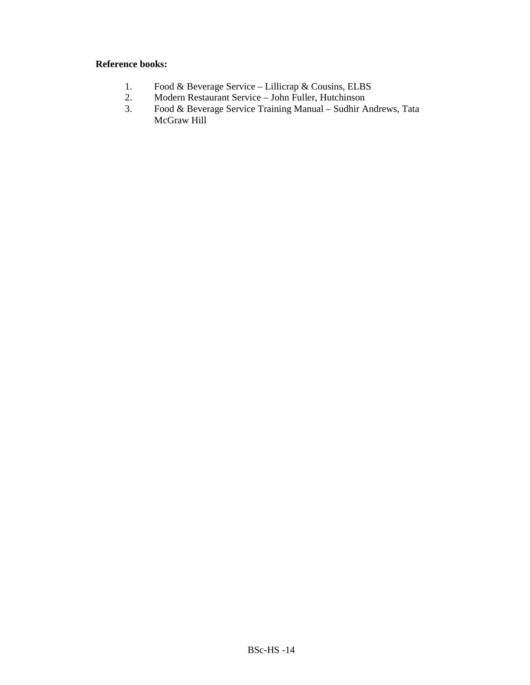#### **Reference books:**

- 1. Food & Beverage Service Lillicrap & Cousins, ELBS<br>2. Modern Restaurant Service John Fuller, Hutchinson
- 2. Modern Restaurant Service John Fuller, Hutchinson
- 3. Food & Beverage Service Training Manual Sudhir Andrews, Tata McGraw Hill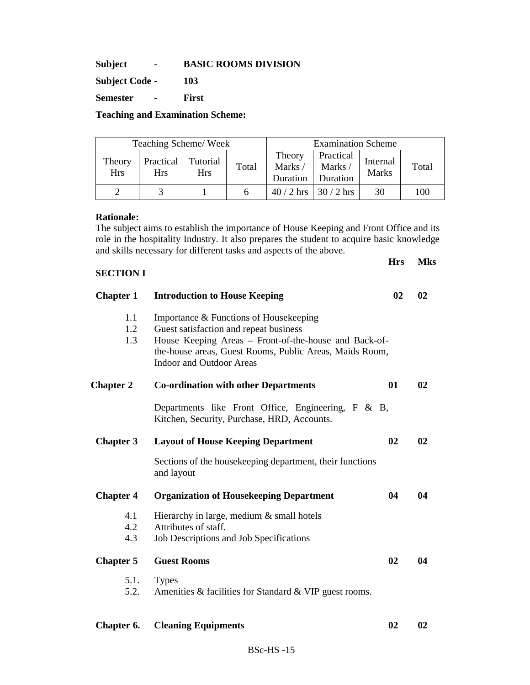**Subject - BASIC ROOMS DIVISION** 

**Subject Code - 103** 

**Semester - First** 

**Teaching and Examination Scheme:** 

| Teaching Scheme/Week |                         |                        | <b>Examination Scheme</b> |                              |                                 |                          |       |
|----------------------|-------------------------|------------------------|---------------------------|------------------------------|---------------------------------|--------------------------|-------|
| Theory<br><b>Hrs</b> | Practical<br><b>Hrs</b> | Tutorial<br><b>Hrs</b> | Total                     | Theory<br>Marks/<br>Duration | Practical<br>Marks/<br>Duration | Internal<br><b>Marks</b> | Total |
|                      |                         |                        |                           | $40/2$ hrs                   | $\frac{30}{2}$ hrs              | 30                       | 100   |

#### **Rationale:**

The subject aims to establish the importance of House Keeping and Front Office and its role in the hospitality Industry. It also prepares the student to acquire basic knowledge and skills necessary for different tasks and aspects of the above.

**Hrs Mks** 

#### **SECTION I**

| <b>Chapter 1</b>  | <b>Introduction to House Keeping</b>                                                                                                                                                                                                    | 02 | 02 |
|-------------------|-----------------------------------------------------------------------------------------------------------------------------------------------------------------------------------------------------------------------------------------|----|----|
| 1.1<br>1.2<br>1.3 | Importance & Functions of Housekeeping<br>Guest satisfaction and repeat business<br>House Keeping Areas – Front-of-the-house and Back-of-<br>the-house areas, Guest Rooms, Public Areas, Maids Room,<br><b>Indoor and Outdoor Areas</b> |    |    |
| <b>Chapter 2</b>  | <b>Co-ordination with other Departments</b>                                                                                                                                                                                             | 01 | 02 |
|                   | Departments like Front Office, Engineering, F & B,<br>Kitchen, Security, Purchase, HRD, Accounts.                                                                                                                                       |    |    |
| <b>Chapter 3</b>  | <b>Layout of House Keeping Department</b>                                                                                                                                                                                               | 02 | 02 |
|                   | Sections of the housekeeping department, their functions<br>and layout                                                                                                                                                                  |    |    |
| <b>Chapter 4</b>  | <b>Organization of Housekeeping Department</b>                                                                                                                                                                                          | 04 | 04 |
| 4.1<br>4.2<br>4.3 | Hierarchy in large, medium & small hotels<br>Attributes of staff.<br>Job Descriptions and Job Specifications                                                                                                                            |    |    |
| <b>Chapter 5</b>  | <b>Guest Rooms</b>                                                                                                                                                                                                                      | 02 | 04 |
| 5.1.<br>5.2.      | <b>Types</b><br>Amenities & facilities for Standard & VIP guest rooms.                                                                                                                                                                  |    |    |
|                   |                                                                                                                                                                                                                                         |    |    |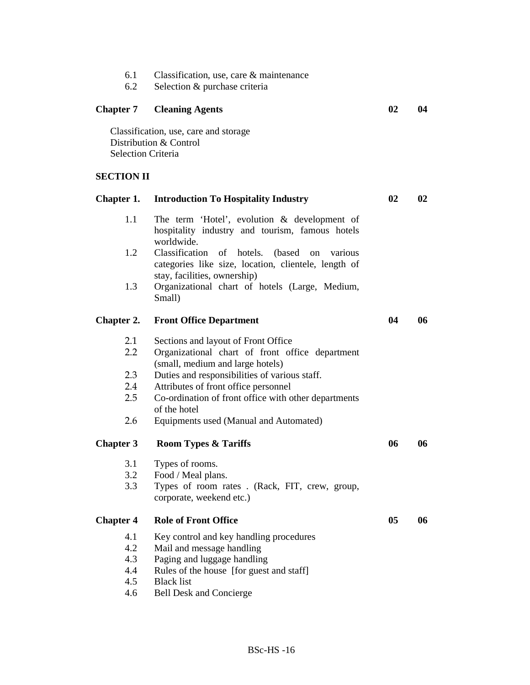- 6.1 Classification, use, care & maintenance<br>6.2 Selection & purchase criteria
- Selection & purchase criteria

# **Chapter 7 Cleaning Agents 02 04**

Classification, use, care and storage Distribution & Control Selection Criteria

# **SECTION II**

| Chapter 1.       | <b>Introduction To Hospitality Industry</b>                                                                         | 02 | 02 |
|------------------|---------------------------------------------------------------------------------------------------------------------|----|----|
| 1.1              | The term 'Hotel', evolution & development of<br>hospitality industry and tourism, famous hotels<br>worldwide.       |    |    |
| 1.2              | Classification<br>of<br>hotels.<br>(based)<br>various<br>on<br>categories like size, location, clientele, length of |    |    |
| 1.3              | stay, facilities, ownership)<br>Organizational chart of hotels (Large, Medium,<br>Small)                            |    |    |
| Chapter 2.       | <b>Front Office Department</b>                                                                                      | 04 | 06 |
| 2.1              | Sections and layout of Front Office                                                                                 |    |    |
| 2.2              | Organizational chart of front office department<br>(small, medium and large hotels)                                 |    |    |
| 2.3              | Duties and responsibilities of various staff.                                                                       |    |    |
| 2.4              | Attributes of front office personnel                                                                                |    |    |
| 2.5              | Co-ordination of front office with other departments<br>of the hotel                                                |    |    |
| 2.6              | Equipments used (Manual and Automated)                                                                              |    |    |
| <b>Chapter 3</b> | <b>Room Types &amp; Tariffs</b>                                                                                     | 06 | 06 |
| 3.1              | Types of rooms.                                                                                                     |    |    |
| 3.2              | Food / Meal plans.                                                                                                  |    |    |
| 3.3              | Types of room rates . (Rack, FIT, crew, group,                                                                      |    |    |
|                  | corporate, weekend etc.)                                                                                            |    |    |
| <b>Chapter 4</b> | <b>Role of Front Office</b>                                                                                         | 05 | 06 |
| 4.1              | Key control and key handling procedures                                                                             |    |    |
| 4.2              | Mail and message handling                                                                                           |    |    |
| 4.3              | Paging and luggage handling                                                                                         |    |    |
| 4.4              | Rules of the house [for guest and staff]                                                                            |    |    |
| 4.5              | <b>Black list</b>                                                                                                   |    |    |
| 4.6              | <b>Bell Desk and Concierge</b>                                                                                      |    |    |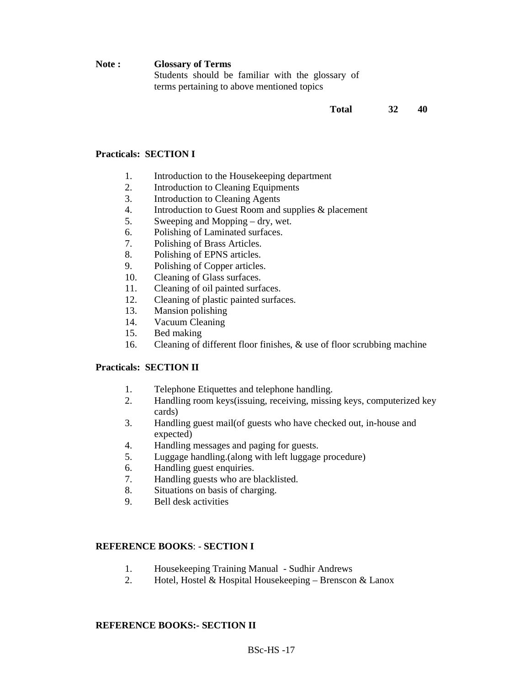**Note : Glossary of Terms**  Students should be familiar with the glossary of terms pertaining to above mentioned topics

**Total 32 40** 

#### **Practicals: SECTION I**

- 1. Introduction to the Housekeeping department
- 2. Introduction to Cleaning Equipments
- 3. Introduction to Cleaning Agents
- 4. Introduction to Guest Room and supplies & placement
- 5. Sweeping and Mopping dry, wet.
- 6. Polishing of Laminated surfaces.
- 7. Polishing of Brass Articles.
- 8. Polishing of EPNS articles.
- 9. Polishing of Copper articles.
- 10. Cleaning of Glass surfaces.
- 11. Cleaning of oil painted surfaces.
- 12. Cleaning of plastic painted surfaces.
- 13. Mansion polishing
- 14. Vacuum Cleaning
- 15. Bed making
- 16. Cleaning of different floor finishes, & use of floor scrubbing machine

#### **Practicals: SECTION II**

- 1. Telephone Etiquettes and telephone handling.
- 2. Handling room keys(issuing, receiving, missing keys, computerized key cards)
- 3. Handling guest mail(of guests who have checked out, in-house and expected)
- 4. Handling messages and paging for guests.
- 5. Luggage handling.(along with left luggage procedure)
- 6. Handling guest enquiries.
- 7. Handling guests who are blacklisted.
- 8. Situations on basis of charging.
- 9. Bell desk activities

#### **REFERENCE BOOKS**: - **SECTION I**

- 1. Housekeeping Training Manual Sudhir Andrews
- 2. Hotel, Hostel & Hospital Housekeeping Brenscon & Lanox

#### **REFERENCE BOOKS:- SECTION II**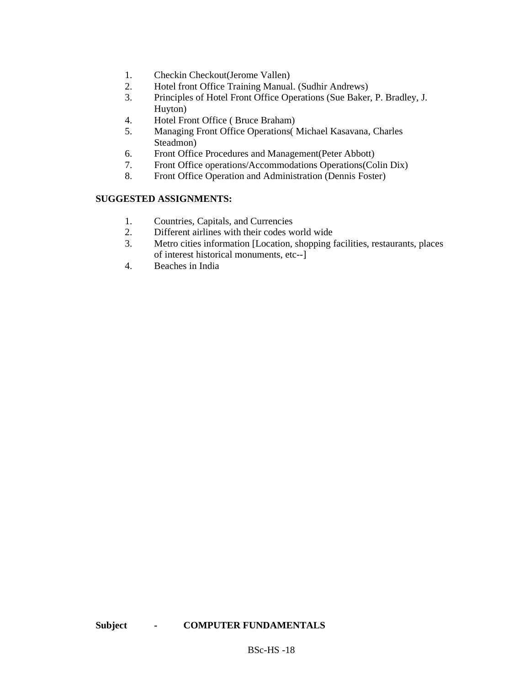- 
- 1. Checkin Checkout(Jerome Vallen)<br>2. Hotel front Office Training Manual Hotel front Office Training Manual. (Sudhir Andrews)
- 3. Principles of Hotel Front Office Operations (Sue Baker, P. Bradley, J. Huyton)
- 4. Hotel Front Office ( Bruce Braham)
- 5. Managing Front Office Operations( Michael Kasavana, Charles Steadmon)
- 6. Front Office Procedures and Management(Peter Abbott)
- 7. Front Office operations/Accommodations Operations(Colin Dix)
- 8. Front Office Operation and Administration (Dennis Foster)

#### **SUGGESTED ASSIGNMENTS:**

- 1. Countries, Capitals, and Currencies
- 2. Different airlines with their codes world wide
- 3. Metro cities information [Location, shopping facilities, restaurants, places of interest historical monuments, etc--]
- 4. Beaches in India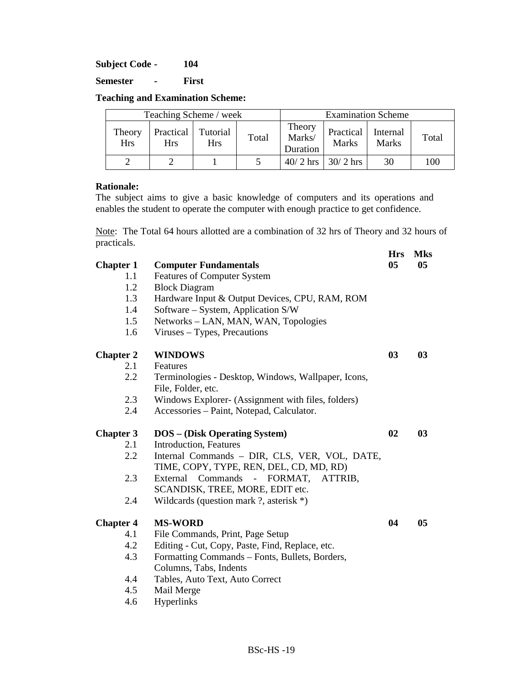**Subject Code - 104** 

**Semester - First** 

**Teaching and Examination Scheme:** 

| Teaching Scheme / week |                  |                        |       | <b>Examination Scheme</b>    |                           |                          |       |
|------------------------|------------------|------------------------|-------|------------------------------|---------------------------|--------------------------|-------|
| Theory<br><b>Hrs</b>   | Practical<br>Hrs | Tutorial<br><b>Hrs</b> | Total | Theory<br>Marks/<br>Duration | Practical<br><b>Marks</b> | Internal<br><b>Marks</b> | Total |
|                        |                  |                        |       |                              | $40/2$ hrs   30/2 hrs     | 30                       | 100   |

#### **Rationale:**

The subject aims to give a basic knowledge of computers and its operations and enables the student to operate the computer with enough practice to get confidence.

Note: The Total 64 hours allotted are a combination of 32 hrs of Theory and 32 hours of practicals.

**Hrs Mks** 

| <b>Chapter 1</b> | <b>Computer Fundamentals</b>                                                             | 05 | 05 |
|------------------|------------------------------------------------------------------------------------------|----|----|
| 1.1              | <b>Features of Computer System</b>                                                       |    |    |
| 1.2              | <b>Block Diagram</b>                                                                     |    |    |
| 1.3              | Hardware Input & Output Devices, CPU, RAM, ROM                                           |    |    |
| 1.4              | Software – System, Application S/W                                                       |    |    |
| 1.5              | Networks - LAN, MAN, WAN, Topologies                                                     |    |    |
| 1.6              | Viruses – Types, Precautions                                                             |    |    |
| <b>Chapter 2</b> | <b>WINDOWS</b>                                                                           | 03 | 03 |
| 2.1              | Features                                                                                 |    |    |
| 2.2              | Terminologies - Desktop, Windows, Wallpaper, Icons,<br>File, Folder, etc.                |    |    |
| 2.3              | Windows Explorer- (Assignment with files, folders)                                       |    |    |
| 2.4              | Accessories - Paint, Notepad, Calculator.                                                |    |    |
| <b>Chapter 3</b> | <b>DOS</b> - (Disk Operating System)                                                     | 02 | 03 |
| 2.1              | Introduction, Features                                                                   |    |    |
| 2.2              | Internal Commands - DIR, CLS, VER, VOL, DATE,<br>TIME, COPY, TYPE, REN, DEL, CD, MD, RD) |    |    |
| 2.3              | External Commands - FORMAT, ATTRIB,<br>SCANDISK, TREE, MORE, EDIT etc.                   |    |    |
| 2.4              | Wildcards (question mark ?, asterisk $*$ )                                               |    |    |
| <b>Chapter 4</b> | <b>MS-WORD</b>                                                                           | 04 | 05 |
| 4.1              | File Commands, Print, Page Setup                                                         |    |    |
| 4.2              | Editing - Cut, Copy, Paste, Find, Replace, etc.                                          |    |    |
| 4.3              | Formatting Commands – Fonts, Bullets, Borders,                                           |    |    |
|                  | Columns, Tabs, Indents                                                                   |    |    |
| 4.4              | Tables, Auto Text, Auto Correct                                                          |    |    |
| 4.5              | Mail Merge                                                                               |    |    |
| 4.6              | Hyperlinks                                                                               |    |    |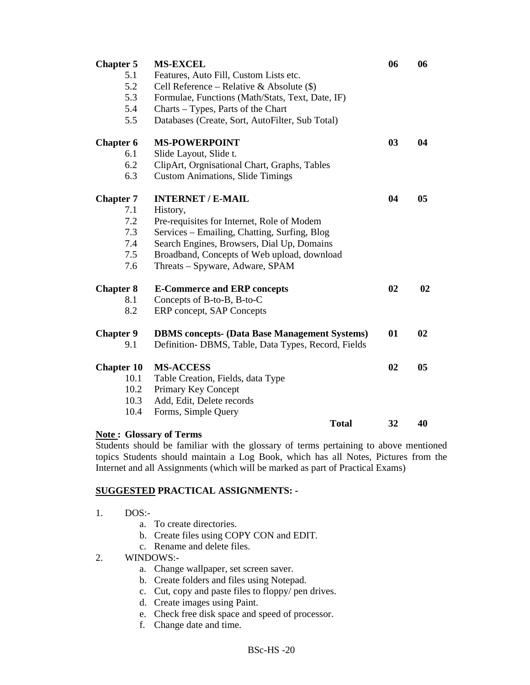| <b>Chapter 5</b>  | <b>MS-EXCEL</b>                                      | 06 | 06 |
|-------------------|------------------------------------------------------|----|----|
| 5.1               | Features, Auto Fill, Custom Lists etc.               |    |    |
| 5.2               | Cell Reference – Relative & Absolute $(\$)$          |    |    |
| 5.3               | Formulae, Functions (Math/Stats, Text, Date, IF)     |    |    |
| 5.4               | Charts - Types, Parts of the Chart                   |    |    |
| 5.5               | Databases (Create, Sort, AutoFilter, Sub Total)      |    |    |
| <b>Chapter 6</b>  | <b>MS-POWERPOINT</b>                                 | 03 | 04 |
| 6.1               | Slide Layout, Slide t.                               |    |    |
| 6.2               | ClipArt, Orgnisational Chart, Graphs, Tables         |    |    |
| 6.3               | <b>Custom Animations, Slide Timings</b>              |    |    |
| <b>Chapter 7</b>  | <b>INTERNET / E-MAIL</b>                             | 04 | 05 |
| 7.1               | History,                                             |    |    |
| 7.2               | Pre-requisites for Internet, Role of Modem           |    |    |
| 7.3               | Services - Emailing, Chatting, Surfing, Blog         |    |    |
| 7.4               | Search Engines, Browsers, Dial Up, Domains           |    |    |
| 7.5               | Broadband, Concepts of Web upload, download          |    |    |
| 7.6               | Threats – Spyware, Adware, SPAM                      |    |    |
| <b>Chapter 8</b>  | <b>E-Commerce and ERP concepts</b>                   | 02 | 02 |
| 8.1               | Concepts of B-to-B, B-to-C                           |    |    |
| 8.2               | ERP concept, SAP Concepts                            |    |    |
| <b>Chapter 9</b>  | <b>DBMS</b> concepts- (Data Base Management Systems) | 01 | 02 |
| 9.1               | Definition-DBMS, Table, Data Types, Record, Fields   |    |    |
| <b>Chapter 10</b> | <b>MS-ACCESS</b>                                     | 02 | 05 |
| 10.1              | Table Creation, Fields, data Type                    |    |    |
| 10.2              | Primary Key Concept                                  |    |    |
| 10.3              | Add, Edit, Delete records                            |    |    |
| 10.4              | Forms, Simple Query                                  |    |    |
|                   | <b>Total</b>                                         | 32 | 40 |

#### **Note : Glossary of Terms**

Students should be familiar with the glossary of terms pertaining to above mentioned topics Students should maintain a Log Book, which has all Notes, Pictures from the Internet and all Assignments (which will be marked as part of Practical Exams)

### **SUGGESTED PRACTICAL ASSIGNMENTS: -**

- 1. DOS:
	- a. To create directories.
	- b. Create files using COPY CON and EDIT.
	- c. Rename and delete files.

#### 2. WINDOWS:-

- a. Change wallpaper, set screen saver.
- b. Create folders and files using Notepad.
- c. Cut, copy and paste files to floppy/ pen drives.
- d. Create images using Paint.
- e. Check free disk space and speed of processor.
- f. Change date and time.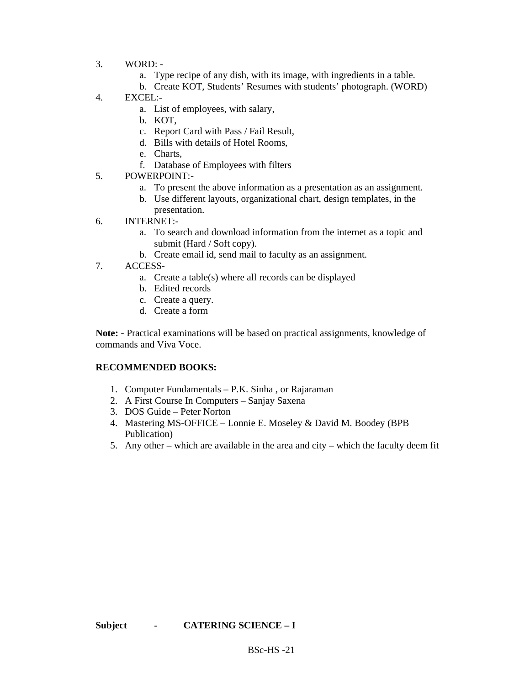- 3. WORD:
	- a. Type recipe of any dish, with its image, with ingredients in a table.
	- b. Create KOT, Students' Resumes with students' photograph. (WORD)
- 4. EXCEL:
	- a. List of employees, with salary,
		- b. KOT,
		- c. Report Card with Pass / Fail Result,
		- d. Bills with details of Hotel Rooms,
		- e. Charts,
		- f. Database of Employees with filters
- 5. POWERPOINT:
	- a. To present the above information as a presentation as an assignment.
	- b. Use different layouts, organizational chart, design templates, in the presentation.
- 6. INTERNET:
	- a. To search and download information from the internet as a topic and submit (Hard / Soft copy).
	- b. Create email id, send mail to faculty as an assignment.
- 7. ACCESS
	- a. Create a table(s) where all records can be displayed
	- b. Edited records
	- c. Create a query.
	- d. Create a form

**Note: -** Practical examinations will be based on practical assignments, knowledge of commands and Viva Voce.

#### **RECOMMENDED BOOKS:**

- 1. Computer Fundamentals P.K. Sinha , or Rajaraman
- 2. A First Course In Computers Sanjay Saxena
- 3. DOS Guide Peter Norton
- 4. Mastering MS-OFFICE Lonnie E. Moseley & David M. Boodey (BPB Publication)
- 5. Any other which are available in the area and city which the faculty deem fit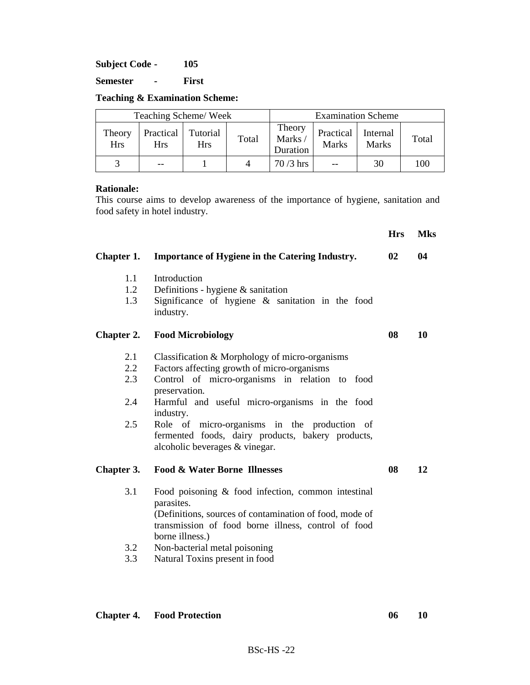**Subject Code - 105** 

**Semester - First** 

|  | <b>Teaching &amp; Examination Scheme:</b> |  |
|--|-------------------------------------------|--|
|--|-------------------------------------------|--|

| Teaching Scheme/Week |                         |                        |       | <b>Examination Scheme</b>    |                           |                          |       |
|----------------------|-------------------------|------------------------|-------|------------------------------|---------------------------|--------------------------|-------|
| Theory<br><b>Hrs</b> | Practical<br><b>Hrs</b> | Tutorial<br><b>Hrs</b> | Total | Theory<br>Marks/<br>Duration | Practical<br><b>Marks</b> | Internal<br><b>Marks</b> | Total |
|                      | --                      |                        |       | $70/3$ hrs                   |                           | 30                       | 100   |

#### **Rationale:**

This course aims to develop awareness of the importance of hygiene, sanitation and food safety in hotel industry.

**Hrs Mks Chapter 1. Importance of Hygiene in the Catering Industry. 02 04**  1.1 Introduction 1.2 Definitions - hygiene & sanitation 1.3 Significance of hygiene & sanitation in the food industry. **Chapter 2.** Food Microbiology 08 10 2.1 Classification & Morphology of micro-organisms 2.2 Factors affecting growth of micro-organisms 2.3 Control of micro-organisms in relation to food preservation. 2.4 Harmful and useful micro-organisms in the food industry. 2.5 Role of micro-organisms in the production of fermented foods, dairy products, bakery products, alcoholic beverages & vinegar. **Chapter 3. Food & Water Borne Illnesses 08 12**  3.1 Food poisoning & food infection, common intestinal parasites. (Definitions, sources of contamination of food, mode of transmission of food borne illness, control of food borne illness.) 3.2 Non-bacterial metal poisoning 3.3 Natural Toxins present in food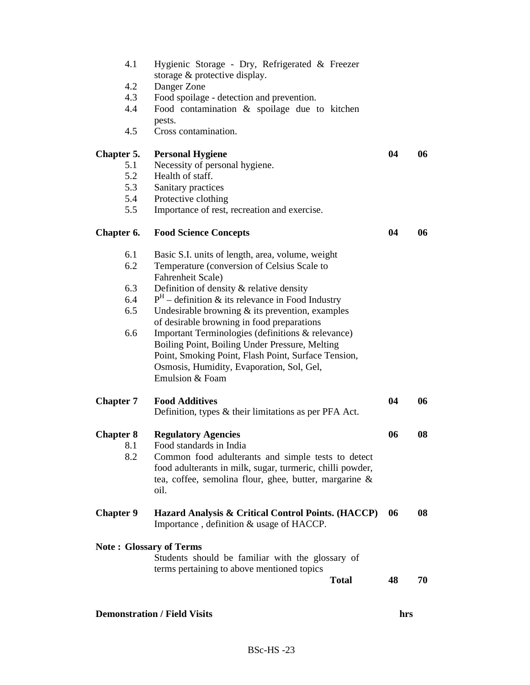| <b>Chapter 7</b> |                                                     |    |    |
|------------------|-----------------------------------------------------|----|----|
|                  |                                                     |    |    |
|                  | Emulsion & Foam                                     |    |    |
|                  | Osmosis, Humidity, Evaporation, Sol, Gel,           |    |    |
|                  | Point, Smoking Point, Flash Point, Surface Tension, |    |    |
|                  | Boiling Point, Boiling Under Pressure, Melting      |    |    |
|                  |                                                     |    |    |
| 6.6              | Important Terminologies (definitions & relevance)   |    |    |
|                  | of desirable browning in food preparations          |    |    |
| 6.5              | Undesirable browning $&$ its prevention, examples   |    |    |
| 6.4              | $PH$ – definition & its relevance in Food Industry  |    |    |
|                  |                                                     |    |    |
| 6.3              | Definition of density & relative density            |    |    |
|                  | Fahrenheit Scale)                                   |    |    |
|                  |                                                     |    |    |
| 6.2              | Temperature (conversion of Celsius Scale to         |    |    |
|                  |                                                     |    |    |
| 6.1              | Basic S.I. units of length, area, volume, weight    |    |    |
|                  |                                                     |    |    |
|                  |                                                     |    |    |
| Chapter 6.       | <b>Food Science Concepts</b>                        | 04 | 06 |
|                  |                                                     |    |    |
|                  |                                                     |    |    |
| 5.5              | Importance of rest, recreation and exercise.        |    |    |
| 5.4              | Protective clothing                                 |    |    |
| 5.3              | Sanitary practices                                  |    |    |
|                  |                                                     |    |    |
| 5.2              | Health of staff.                                    |    |    |
| 5.1              | Necessity of personal hygiene.                      |    |    |
| Chapter 5.       | <b>Personal Hygiene</b>                             | 04 | 06 |
|                  |                                                     |    |    |
|                  |                                                     |    |    |
| 4.5              | Cross contamination.                                |    |    |
|                  | pests.                                              |    |    |
|                  |                                                     |    |    |
| 4.4              | Food contamination & spoilage due to kitchen        |    |    |
| 4.3              | Food spoilage - detection and prevention.           |    |    |
|                  |                                                     |    |    |
| 4.2              | Danger Zone                                         |    |    |
|                  | storage & protective display.                       |    |    |
|                  |                                                     |    |    |
| 4.1              | Hygienic Storage - Dry, Refrigerated & Freezer      |    |    |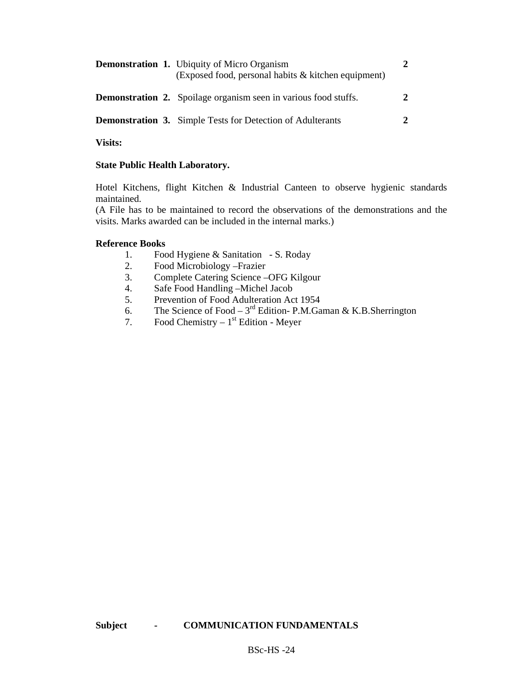|  | <b>Demonstration 1.</b> Ubiquity of Micro Organism<br>(Exposed food, personal habits & kitchen equipment) | $\mathcal{L}$               |
|--|-----------------------------------------------------------------------------------------------------------|-----------------------------|
|  | <b>Demonstration 2.</b> Spoilage organism seen in various food stuffs.                                    | $\mathcal{D}_{\mathcal{L}}$ |
|  | <b>Demonstration 3.</b> Simple Tests for Detection of Adulterants                                         | $\mathcal{D}$               |

**Visits:** 

#### **State Public Health Laboratory.**

Hotel Kitchens, flight Kitchen & Industrial Canteen to observe hygienic standards maintained.

(A File has to be maintained to record the observations of the demonstrations and the visits. Marks awarded can be included in the internal marks.)

#### **Reference Books**

- 1. Food Hygiene & Sanitation S. Roday
- 2. Food Microbiology –Frazier
- 3. Complete Catering Science –OFG Kilgour
- 4. Safe Food Handling –Michel Jacob
- 5. Prevention of Food Adulteration Act 1954
- 6. The Science of Food  $3<sup>rd</sup>$  Edition- P.M.Gaman & K.B.Sherrington
- 7. Food Chemistry  $1<sup>st</sup>$  Edition Meyer

# **Subject - COMMUNICATION FUNDAMENTALS**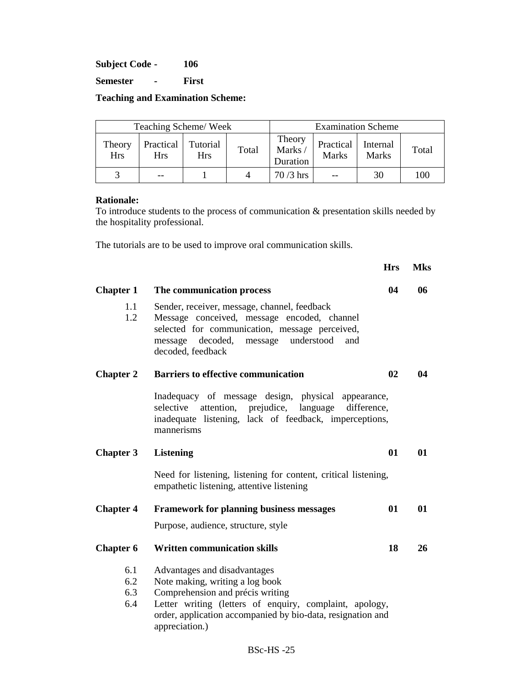**Subject Code - 106** 

**Semester - First** 

**Teaching and Examination Scheme:** 

| Teaching Scheme/Week |                         |                        |       | <b>Examination Scheme</b>    |                           |                          |       |
|----------------------|-------------------------|------------------------|-------|------------------------------|---------------------------|--------------------------|-------|
| Theory<br><b>Hrs</b> | Practical<br><b>Hrs</b> | Tutorial<br><b>Hrs</b> | Total | Theory<br>Marks/<br>Duration | Practical<br><b>Marks</b> | Internal<br><b>Marks</b> | Total |
|                      | --                      |                        |       | $70/3$ hrs                   |                           | 30                       | 100   |

#### **Rationale:**

To introduce students to the process of communication & presentation skills needed by the hospitality professional.

The tutorials are to be used to improve oral communication skills.

|                  |                                                                                                                                                                                                                     | <b>Hrs</b> | <b>Mks</b> |
|------------------|---------------------------------------------------------------------------------------------------------------------------------------------------------------------------------------------------------------------|------------|------------|
| <b>Chapter 1</b> | The communication process                                                                                                                                                                                           | 04         | 06         |
| 1.1<br>1.2       | Sender, receiver, message, channel, feedback<br>Message conceived, message encoded, channel<br>selected for communication, message perceived,<br>message decoded,<br>message understood<br>and<br>decoded, feedback |            |            |
| <b>Chapter 2</b> | <b>Barriers to effective communication</b>                                                                                                                                                                          | 02         | 04         |
|                  | Inadequacy of message design, physical appearance,<br>attention,<br>prejudice, language<br>selective<br>difference,<br>inadequate listening, lack of feedback, imperceptions,<br>mannerisms                         |            |            |
| <b>Chapter 3</b> | <b>Listening</b>                                                                                                                                                                                                    | 01         | 01         |
|                  | Need for listening, listening for content, critical listening,<br>empathetic listening, attentive listening                                                                                                         |            |            |
| <b>Chapter 4</b> | <b>Framework for planning business messages</b>                                                                                                                                                                     | 01         | 01         |
|                  | Purpose, audience, structure, style                                                                                                                                                                                 |            |            |
| <b>Chapter 6</b> | <b>Written communication skills</b>                                                                                                                                                                                 | 18         | 26         |
| 6.1              | Advantages and disadvantages                                                                                                                                                                                        |            |            |
| 6.2              | Note making, writing a log book                                                                                                                                                                                     |            |            |
| 6.3              | Comprehension and précis writing                                                                                                                                                                                    |            |            |
| 6.4              | Letter writing (letters of enquiry, complaint, apology,<br>order, application accompanied by bio-data, resignation and<br>appreciation.)                                                                            |            |            |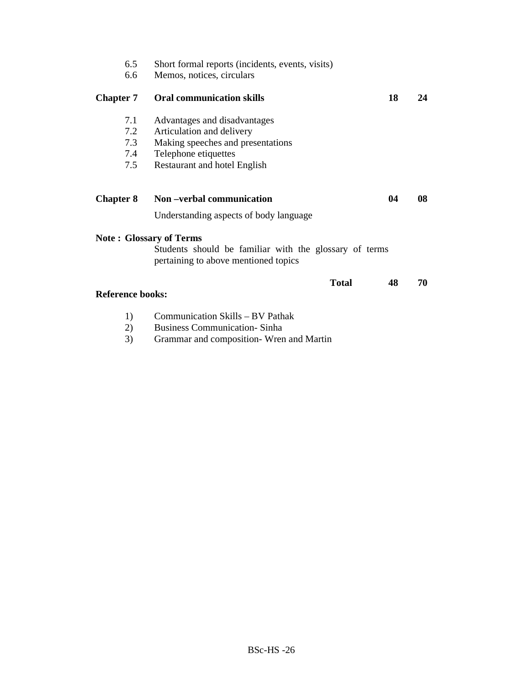| 6.5                     | Short formal reports (incidents, events, visits)                                               |    |    |
|-------------------------|------------------------------------------------------------------------------------------------|----|----|
| 6.6                     | Memos, notices, circulars                                                                      |    |    |
| <b>Chapter 7</b>        | <b>Oral communication skills</b>                                                               | 18 | 24 |
| 7.1                     | Advantages and disadvantages                                                                   |    |    |
| 7.2                     | Articulation and delivery                                                                      |    |    |
| 7.3                     | Making speeches and presentations                                                              |    |    |
| 7.4                     | Telephone etiquettes                                                                           |    |    |
| 7.5                     | Restaurant and hotel English                                                                   |    |    |
|                         |                                                                                                |    |    |
| <b>Chapter 8</b>        | Non-verbal communication                                                                       | 04 | 08 |
|                         | Understanding aspects of body language                                                         |    |    |
|                         | <b>Note: Glossary of Terms</b>                                                                 |    |    |
|                         | Students should be familiar with the glossary of terms<br>pertaining to above mentioned topics |    |    |
|                         | <b>Total</b>                                                                                   | 48 | 70 |
| <b>Reference books:</b> |                                                                                                |    |    |
| 1)                      | Communication Skills - BV Pathak                                                               |    |    |
| つヽ                      | <b>Pucinose Communication</b> Sinha                                                            |    |    |

2) Business Communication- Sinha<br>3) Grammar and composition- Wren 3) Grammar and composition- Wren and Martin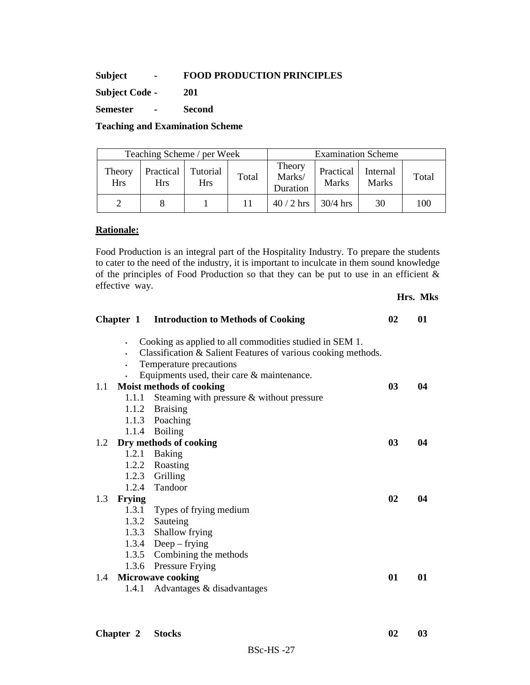#### **Subject - FOOD PRODUCTION PRINCIPLES**

**Subject Code - 201** 

**Semester - Second** 

#### **Teaching and Examination Scheme**

| Teaching Scheme / per Week |                      |                  |                        | <b>Examination Scheme</b> |                              |                           |                          |       |
|----------------------------|----------------------|------------------|------------------------|---------------------------|------------------------------|---------------------------|--------------------------|-------|
|                            | Theory<br><b>Hrs</b> | Practical<br>Hrs | Tutorial<br><b>Hrs</b> | Total                     | Theory<br>Marks/<br>Duration | Practical<br><b>Marks</b> | Internal<br><b>Marks</b> | Total |
|                            |                      |                  |                        | 11                        | $40/2$ hrs                   | $30/4$ hrs                | 30                       | 100   |

#### **Rationale:**

Food Production is an integral part of the Hospitality Industry. To prepare the students to cater to the need of the industry, it is important to inculcate in them sound knowledge of the principles of Food Production so that they can be put to use in an efficient & effective way.

|     |               | <b>Chapter 1</b> Introduction to Methods of Cooking                                                                                                 | 02             | 01 |
|-----|---------------|-----------------------------------------------------------------------------------------------------------------------------------------------------|----------------|----|
|     |               | Cooking as applied to all commodities studied in SEM 1.<br>Classification & Salient Features of various cooking methods.<br>Temperature precautions |                |    |
|     |               | Equipments used, their care $&$ maintenance.                                                                                                        |                |    |
|     |               | 1.1 Moist methods of cooking                                                                                                                        | 0 <sub>3</sub> | 04 |
|     | 1.1.1         | Steaming with pressure & without pressure                                                                                                           |                |    |
|     |               | 1.1.2 Braising<br>1.1.3 Poaching                                                                                                                    |                |    |
|     |               | 1.1.4 Boiling                                                                                                                                       |                |    |
|     |               | 1.2 Dry methods of cooking                                                                                                                          | 0 <sub>3</sub> | 04 |
|     |               | 1.2.1 Baking                                                                                                                                        |                |    |
|     |               | 1.2.2 Roasting                                                                                                                                      |                |    |
|     |               | 1.2.3 Grilling                                                                                                                                      |                |    |
|     |               | 1.2.4 Tandoor                                                                                                                                       |                |    |
| 1.3 | <b>Frying</b> |                                                                                                                                                     | 02             | 04 |
|     |               | 1.3.1 Types of frying medium                                                                                                                        |                |    |
|     |               | 1.3.2 Sauteing                                                                                                                                      |                |    |
|     |               | 1.3.3 Shallow frying                                                                                                                                |                |    |
|     |               | 1.3.4 Deep – frying                                                                                                                                 |                |    |
|     |               | 1.3.5 Combining the methods                                                                                                                         |                |    |
|     |               | 1.3.6 Pressure Frying                                                                                                                               |                |    |
|     |               | 1.4 Microwave cooking                                                                                                                               | 01             | 01 |
|     | 1.4.1         | Advantages & disadvantages                                                                                                                          |                |    |
|     |               |                                                                                                                                                     |                |    |

**Hrs. Mks**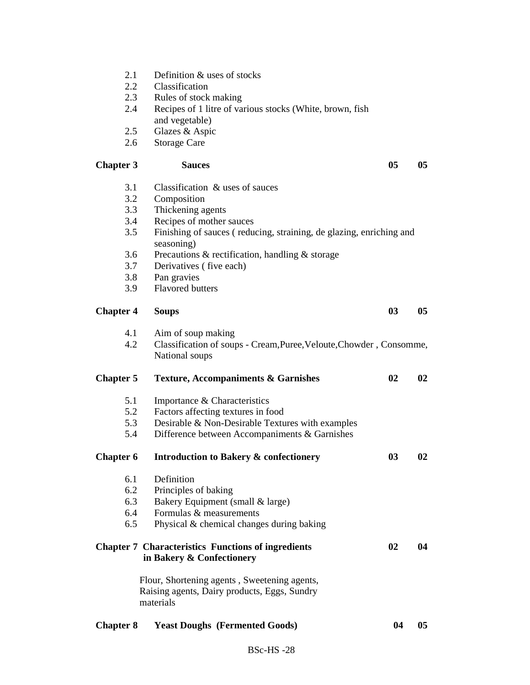- 2.1 Definition & uses of stocks<br>2.2 Classification
- Classification
- 2.3 Rules of stock making
- 2.4 Recipes of 1 litre of various stocks (White, brown, fish and vegetable)
- 2.5 Glazes & Aspic
- 2.6 Storage Care

#### Chapter 3 Sauces 05 05 05

- 3.1 Classification & uses of sauces
- 3.2 Composition<br>3.3 Thickening as
- Thickening agents
- 3.4 Recipes of mother sauces
- 3.5 Finishing of sauces ( reducing, straining, de glazing, enriching and seasoning)
- 3.6 Precautions & rectification, handling & storage
- 3.7 Derivatives ( five each)
- 3.8 Pan gravies
- 3.9 Flavored butters

#### **Chapter 4 Soups 03 05**

- 4.1 Aim of soup making<br>4.2 Classification of soup
- 4.2 Classification of soups Cream,Puree,Veloute,Chowder , Consomme, National soups

#### **Chapter 5 Texture, Accompaniments & Garnishes 02 02**

- 5.1 Importance & Characteristics
- 5.2 Factors affecting textures in food
- 5.3 Desirable & Non-Desirable Textures with examples
- 5.4 Difference between Accompaniments & Garnishes

# **Chapter 6 Introduction to Bakery & confectionery 03 02**

- 6.1 Definition
- 6.2 Principles of baking
- 6.3 Bakery Equipment (small & large)
- 6.4 Formulas & measurements
- 6.5 Physical & chemical changes during baking

# **Chapter 7 Characteristics Functions of ingredients 02 04 in Bakery & Confectionery**

Flour, Shortening agents , Sweetening agents, Raising agents, Dairy products, Eggs, Sundry materials

| <b>Chapter 8</b> Yeast Doughs (Fermented Goods) |  | 04 | - 05 |
|-------------------------------------------------|--|----|------|
|-------------------------------------------------|--|----|------|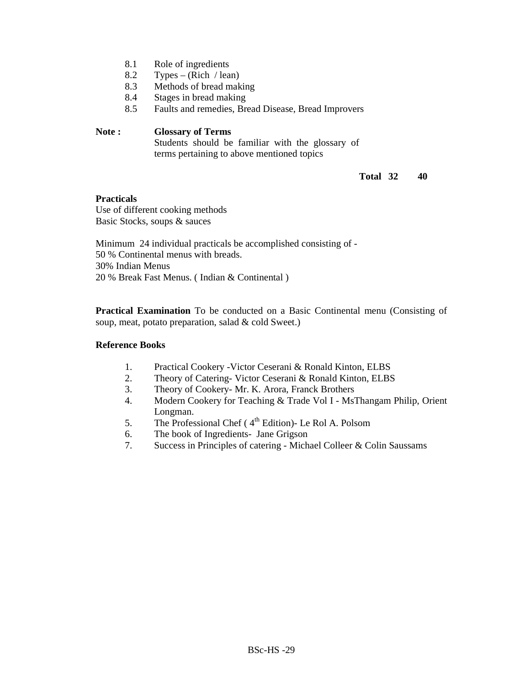- 8.1 Role of ingredients
- 8.2 Types (Rich / lean)<br>8.3 Methods of bread mak
- Methods of bread making
- 8.4 Stages in bread making
- 8.5 Faults and remedies, Bread Disease, Bread Improvers

#### **Note : Glossary of Terms**

Students should be familiar with the glossary of terms pertaining to above mentioned topics

#### **Total 32 40**

#### **Practicals**

Use of different cooking methods Basic Stocks, soups & sauces

Minimum 24 individual practicals be accomplished consisting of - 50 % Continental menus with breads. 30% Indian Menus 20 % Break Fast Menus. ( Indian & Continental )

**Practical Examination** To be conducted on a Basic Continental menu (Consisting of soup, meat, potato preparation, salad & cold Sweet.)

#### **Reference Books**

- 1. Practical Cookery -Victor Ceserani & Ronald Kinton, ELBS
- 2. Theory of Catering- Victor Ceserani & Ronald Kinton, ELBS
- 3. Theory of Cookery- Mr. K. Arora, Franck Brothers
- 4. Modern Cookery for Teaching & Trade Vol I MsThangam Philip, Orient Longman.
- 5. The Professional Chef ( $4<sup>th</sup>$  Edition)- Le Rol A. Polsom
- 6. The book of Ingredients- Jane Grigson
- 7. Success in Principles of catering Michael Colleer & Colin Saussams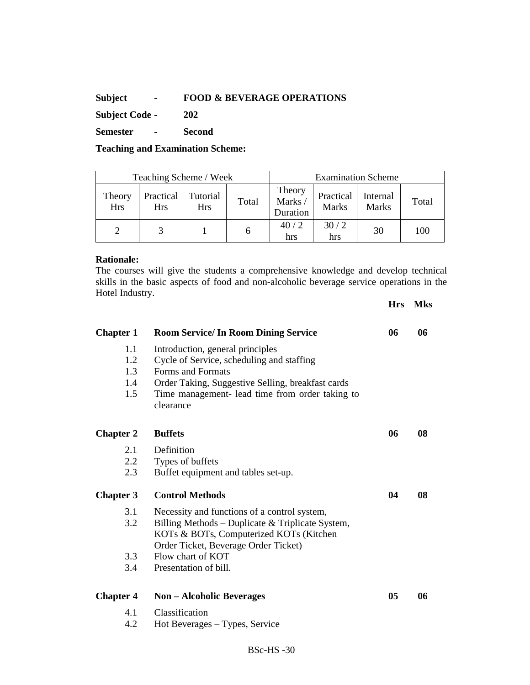# **Subject - FOOD & BEVERAGE OPERATIONS**

**Subject Code - 202** 

**Semester - Second** 

**Teaching and Examination Scheme:** 

|                      | Teaching Scheme / Week  |                        |       | <b>Examination Scheme</b>    |                           |                          |       |
|----------------------|-------------------------|------------------------|-------|------------------------------|---------------------------|--------------------------|-------|
| Theory<br><b>Hrs</b> | Practical<br><b>Hrs</b> | Tutorial<br><b>Hrs</b> | Total | Theory<br>Marks/<br>Duration | Practical<br><b>Marks</b> | Internal<br><b>Marks</b> | Total |
|                      |                         |                        |       | 40/2<br>hrs                  | 30/2<br>hrs               | 30                       | 100   |

#### **Rationale:**

The courses will give the students a comprehensive knowledge and develop technical skills in the basic aspects of food and non-alcoholic beverage service operations in the Hotel Industry.

**Hrs Mks** 

| <b>Chapter 1</b><br>1.1<br>1.2<br>1.3<br>1.4<br>1.5 | <b>Room Service/ In Room Dining Service</b><br>Introduction, general principles<br>Cycle of Service, scheduling and staffing<br>Forms and Formats<br>Order Taking, Suggestive Selling, breakfast cards<br>Time management- lead time from order taking to<br>clearance | 06 | 06 |
|-----------------------------------------------------|------------------------------------------------------------------------------------------------------------------------------------------------------------------------------------------------------------------------------------------------------------------------|----|----|
| <b>Chapter 2</b>                                    | <b>Buffets</b>                                                                                                                                                                                                                                                         | 06 | 08 |
| 2.1<br>$2.2\,$<br>2.3                               | Definition<br>Types of buffets<br>Buffet equipment and tables set-up.                                                                                                                                                                                                  |    |    |
| <b>Chapter 3</b>                                    | <b>Control Methods</b>                                                                                                                                                                                                                                                 | 04 | 08 |
| 3.1<br>3.2                                          | Necessity and functions of a control system,<br>Billing Methods – Duplicate & Triplicate System,<br>KOTs & BOTs, Computerized KOTs (Kitchen<br>Order Ticket, Beverage Order Ticket)                                                                                    |    |    |
| 3.3                                                 | Flow chart of KOT                                                                                                                                                                                                                                                      |    |    |
| 3.4                                                 | Presentation of bill.                                                                                                                                                                                                                                                  |    |    |
| <b>Chapter 4</b>                                    | <b>Non – Alcoholic Beverages</b>                                                                                                                                                                                                                                       | 05 | 06 |
| 41                                                  | Classification                                                                                                                                                                                                                                                         |    |    |
| 4.2                                                 | Hot Beverages - Types, Service                                                                                                                                                                                                                                         |    |    |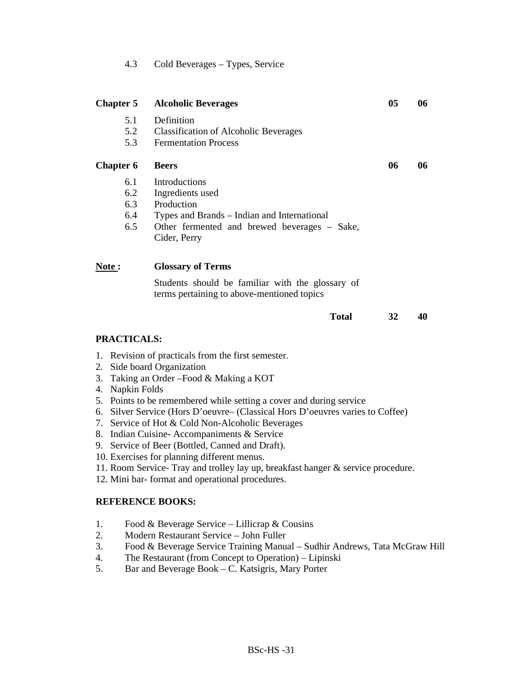| 4.3 |  | Cold Beverages - Types, Service |
|-----|--|---------------------------------|
|-----|--|---------------------------------|

| <b>Chapter 5</b>                   |                                                                                                                                                                                                                                                                                                                                                                                                                                                                                                                                                                                                                                                      | <b>Alcoholic Beverages</b>                                                                                                                                     | 05 | 06 |  |  |  |
|------------------------------------|------------------------------------------------------------------------------------------------------------------------------------------------------------------------------------------------------------------------------------------------------------------------------------------------------------------------------------------------------------------------------------------------------------------------------------------------------------------------------------------------------------------------------------------------------------------------------------------------------------------------------------------------------|----------------------------------------------------------------------------------------------------------------------------------------------------------------|----|----|--|--|--|
|                                    | 5.1<br>5.2<br>5.3                                                                                                                                                                                                                                                                                                                                                                                                                                                                                                                                                                                                                                    | Definition<br><b>Classification of Alcoholic Beverages</b><br><b>Fermentation Process</b>                                                                      |    |    |  |  |  |
| <b>Chapter 6</b>                   |                                                                                                                                                                                                                                                                                                                                                                                                                                                                                                                                                                                                                                                      | <b>Beers</b>                                                                                                                                                   | 06 | 06 |  |  |  |
|                                    | 6.1<br>6.2<br>6.3<br>6.4<br>6.5                                                                                                                                                                                                                                                                                                                                                                                                                                                                                                                                                                                                                      | Introductions<br>Ingredients used<br>Production<br>Types and Brands - Indian and International<br>Other fermented and brewed beverages – Sake,<br>Cider, Perry |    |    |  |  |  |
| Note:                              |                                                                                                                                                                                                                                                                                                                                                                                                                                                                                                                                                                                                                                                      | <b>Glossary of Terms</b>                                                                                                                                       |    |    |  |  |  |
|                                    |                                                                                                                                                                                                                                                                                                                                                                                                                                                                                                                                                                                                                                                      | Students should be familiar with the glossary of<br>terms pertaining to above-mentioned topics                                                                 |    |    |  |  |  |
|                                    |                                                                                                                                                                                                                                                                                                                                                                                                                                                                                                                                                                                                                                                      | <b>Total</b>                                                                                                                                                   | 32 | 40 |  |  |  |
|                                    | <b>PRACTICALS:</b>                                                                                                                                                                                                                                                                                                                                                                                                                                                                                                                                                                                                                                   |                                                                                                                                                                |    |    |  |  |  |
| <b>REFERENCE BOOKS:</b>            | 1. Revision of practicals from the first semester.<br>2. Side board Organization<br>3. Taking an Order - Food & Making a KOT<br>4. Napkin Folds<br>5. Points to be remembered while setting a cover and during service<br>6. Silver Service (Hors D'oeuvre– (Classical Hors D'oeuvres varies to Coffee)<br>7. Service of Hot & Cold Non-Alcoholic Beverages<br>8. Indian Cuisine- Accompaniments & Service<br>9. Service of Beer (Bottled, Canned and Draft).<br>10. Exercises for planning different menus.<br>11. Room Service- Tray and trolley lay up, breakfast hanger & service procedure.<br>12. Mini bar- format and operational procedures. |                                                                                                                                                                |    |    |  |  |  |
|                                    |                                                                                                                                                                                                                                                                                                                                                                                                                                                                                                                                                                                                                                                      |                                                                                                                                                                |    |    |  |  |  |
| 1.<br>2.<br>3.<br>4.<br>$\epsilon$ | Food & Beverage Service – Lillicrap & Cousins<br>Modern Restaurant Service - John Fuller<br>Food & Beverage Service Training Manual - Sudhir Andrews, Tata McGraw Hill<br>The Restaurant (from Concept to Operation) – Lipinski<br>Bonand Davenage Book C. Vaterage Many Donto                                                                                                                                                                                                                                                                                                                                                                       |                                                                                                                                                                |    |    |  |  |  |

5. Bar and Beverage Book – C. Katsigris, Mary Porter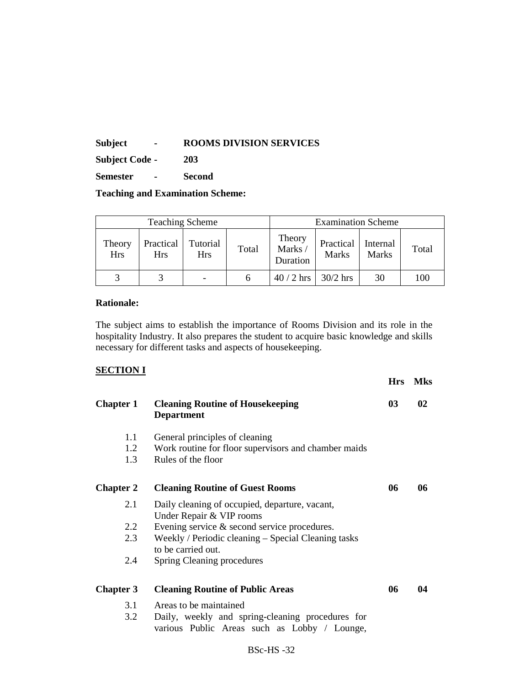**Subject - ROOMS DIVISION SERVICES** 

**Subject Code - 203** 

**Semester - Second** 

**Teaching and Examination Scheme:** 

| <b>Teaching Scheme</b> |                         |                          |       | <b>Examination Scheme</b>    |                           |                          |       |
|------------------------|-------------------------|--------------------------|-------|------------------------------|---------------------------|--------------------------|-------|
| Theory<br><b>Hrs</b>   | Practical<br><b>Hrs</b> | Tutorial<br><b>Hrs</b>   | Total | Theory<br>Marks/<br>Duration | Practical<br><b>Marks</b> | Internal<br><b>Marks</b> | Total |
|                        |                         | $\overline{\phantom{a}}$ |       | $40/2$ hrs                   | $30/2$ hrs                | 30                       | 100   |

#### **Rationale:**

The subject aims to establish the importance of Rooms Division and its role in the hospitality Industry. It also prepares the student to acquire basic knowledge and skills necessary for different tasks and aspects of housekeeping.

# **SECTION I**

|                  |                                                                                                  | <b>Hrs</b> | <b>Mks</b> |
|------------------|--------------------------------------------------------------------------------------------------|------------|------------|
| <b>Chapter 1</b> | <b>Cleaning Routine of Housekeeping</b><br><b>Department</b>                                     | 03         | 02         |
| 1.1              | General principles of cleaning                                                                   |            |            |
| 1.2              | Work routine for floor supervisors and chamber maids                                             |            |            |
| 1.3              | Rules of the floor                                                                               |            |            |
| <b>Chapter 2</b> | <b>Cleaning Routine of Guest Rooms</b>                                                           | 06         | 06         |
| 2.1              | Daily cleaning of occupied, departure, vacant,<br>Under Repair & VIP rooms                       |            |            |
| 2.2              | Evening service & second service procedures.                                                     |            |            |
| 2.3              | Weekly / Periodic cleaning – Special Cleaning tasks<br>to be carried out.                        |            |            |
| 2.4              | Spring Cleaning procedures                                                                       |            |            |
| <b>Chapter 3</b> | <b>Cleaning Routine of Public Areas</b>                                                          | 06         | 04         |
| 3.1              | Areas to be maintained                                                                           |            |            |
| 3.2              | Daily, weekly and spring-cleaning procedures for<br>various Public Areas such as Lobby / Lounge, |            |            |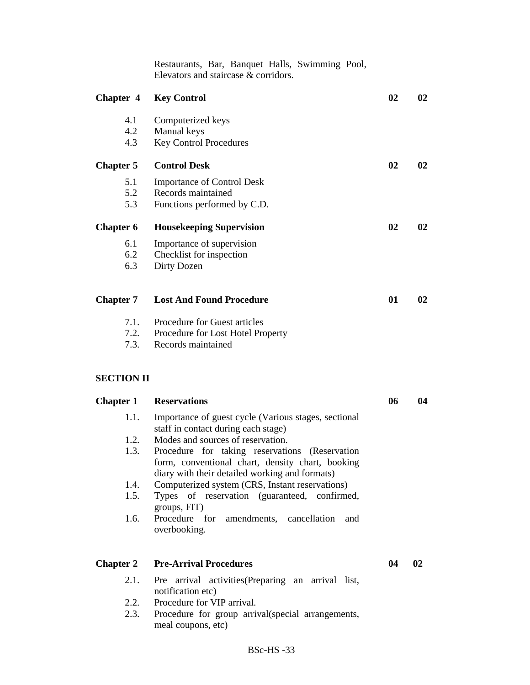Restaurants, Bar, Banquet Halls, Swimming Pool, Elevators and staircase & corridors. **Chapter 4 Key Control 02 02**  4.1 Computerized keys 4.2 Manual keys 4.3 Key Control Procedures **Chapter 5 Control Desk 02 02**  5.1 Importance of Control Desk 5.2 Records maintained 5.3 Functions performed by C.D. **Chapter 6 Housekeeping Supervision 02 02**  6.1 Importance of supervision 6.2 Checklist for inspection 6.3 Dirty Dozen **Chapter 7 Lost And Found Procedure 01 02**  7.1. Procedure for Guest articles 7.2. Procedure for Lost Hotel Property 7.3. Records maintained **SECTION II Chapter 1 Reservations 06 04** 1.1. Importance of guest cycle (Various stages, sectional staff in contact during each stage) 1.2. Modes and sources of reservation. 1.3. Procedure for taking reservations (Reservation form, conventional chart, density chart, booking diary with their detailed working and formats) 1.4. Computerized system (CRS, Instant reservations) 1.5. Types of reservation (guaranteed, confirmed, groups, FIT) 1.6. Procedure for amendments, cancellation and overbooking. **Chapter 2 Pre-Arrival Procedures 04 02**  2.1. Pre arrival activities(Preparing an arrival list, notification etc) 2.2. Procedure for VIP arrival. 2.3. Procedure for group arrival(special arrangements,

meal coupons, etc)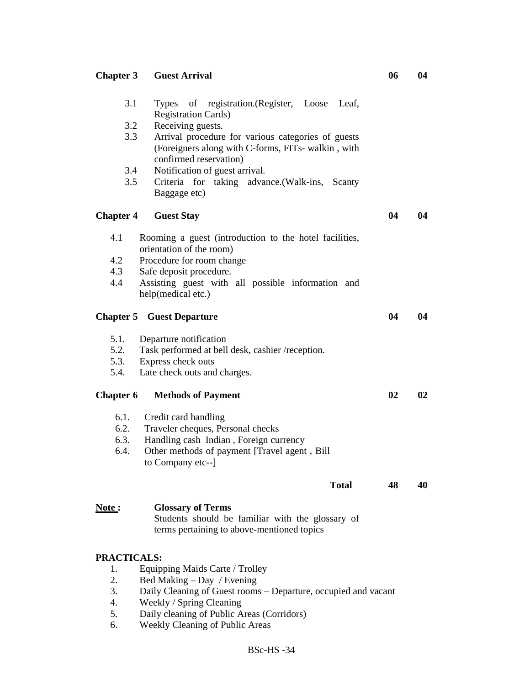| <b>Chapter 3</b>   | <b>Guest Arrival</b>                                                                           | 06 | 04 |
|--------------------|------------------------------------------------------------------------------------------------|----|----|
| 3.1                | Types of registration. (Register, Loose Leaf,<br><b>Registration Cards)</b>                    |    |    |
| 3.2                | Receiving guests.                                                                              |    |    |
| 3.3                | Arrival procedure for various categories of guests                                             |    |    |
|                    | (Foreigners along with C-forms, FITs- walkin, with<br>confirmed reservation)                   |    |    |
| 3.4                | Notification of guest arrival.                                                                 |    |    |
| 3.5                | Criteria for taking advance. (Walk-ins, Scanty                                                 |    |    |
|                    | Baggage etc)                                                                                   |    |    |
| <b>Chapter 4</b>   | <b>Guest Stay</b>                                                                              | 04 | 04 |
| 4.1                | Rooming a guest (introduction to the hotel facilities,<br>orientation of the room)             |    |    |
| 4.2                | Procedure for room change                                                                      |    |    |
| 4.3                | Safe deposit procedure.                                                                        |    |    |
| 4.4                | Assisting guest with all possible information and<br>help(medical etc.)                        |    |    |
|                    | <b>Chapter 5 Guest Departure</b>                                                               | 04 | 04 |
| 5.1.               | Departure notification                                                                         |    |    |
| 5.2.               | Task performed at bell desk, cashier /reception.                                               |    |    |
| 5.3.               | Express check outs                                                                             |    |    |
| 5.4.               | Late check outs and charges.                                                                   |    |    |
| <b>Chapter 6</b>   | <b>Methods of Payment</b>                                                                      | 02 | 02 |
| 6.1.               | Credit card handling                                                                           |    |    |
| 6.2.               | Traveler cheques, Personal checks                                                              |    |    |
| 6.3.               | Handling cash Indian, Foreign currency                                                         |    |    |
| 6.4.               | Other methods of payment [Travel agent, Bill                                                   |    |    |
|                    | to Company etc--]                                                                              |    |    |
|                    | <b>Total</b>                                                                                   | 48 | 40 |
| Note:              | <b>Glossary of Terms</b>                                                                       |    |    |
|                    | Students should be familiar with the glossary of<br>terms pertaining to above-mentioned topics |    |    |
| <b>PRACTICALS:</b> |                                                                                                |    |    |
| 1.                 | Equipping Maids Carte / Trolley                                                                |    |    |
| 2.                 | Bed Making – Day / Evening                                                                     |    |    |
| 3.                 | Daily Cleaning of Guest rooms - Departure, occupied and vacant                                 |    |    |
| 4.                 | Weekly / Spring Cleaning                                                                       |    |    |
| 5.                 | Daily cleaning of Public Areas (Corridors)                                                     |    |    |
| 6.                 | Weekly Cleaning of Public Areas                                                                |    |    |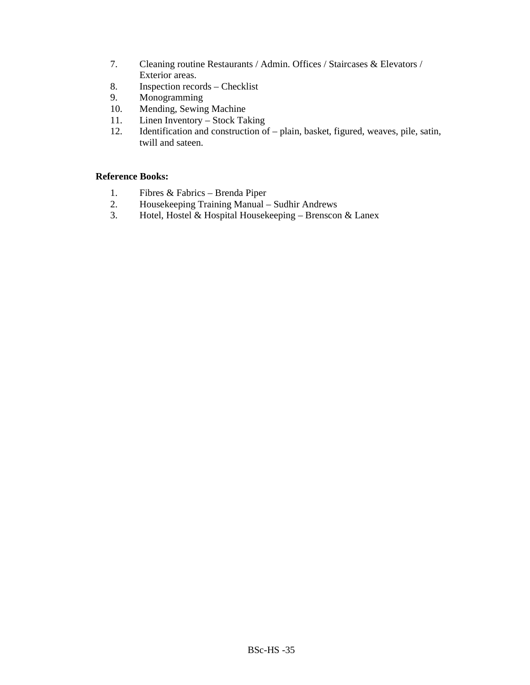- 7. Cleaning routine Restaurants / Admin. Offices / Staircases & Elevators / Exterior areas.
- 8. Inspection records Checklist
- 9. Monogramming
- 10. Mending, Sewing Machine<br>11. Linen Inventory Stock Tal
- Linen Inventory Stock Taking
- 12. Identification and construction of plain, basket, figured, weaves, pile, satin, twill and sateen.

#### **Reference Books:**

- 1. Fibres & Fabrics Brenda Piper
- 2. Housekeeping Training Manual Sudhir Andrews
- 3. Hotel, Hostel & Hospital Housekeeping Brenscon & Lanex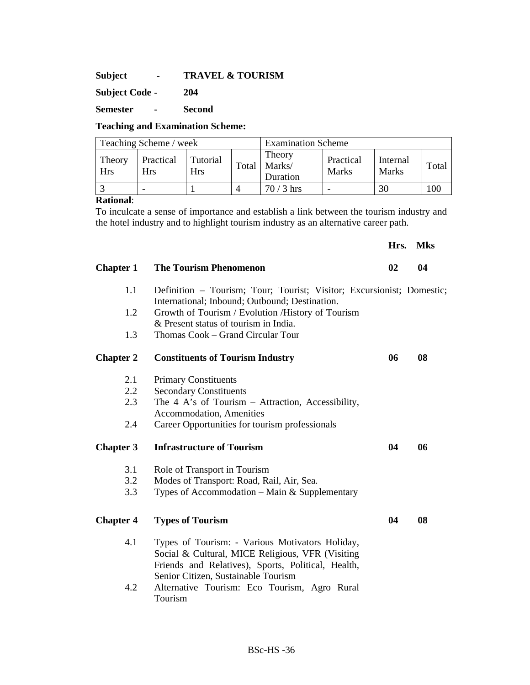**Subject - TRAVEL & TOURISM** 

**Subject Code - 204** 

**Semester - Second** 

#### **Teaching and Examination Scheme:**

| Teaching Scheme / week |                  |                        |       | <b>Examination Scheme</b>    |                    |                   |       |
|------------------------|------------------|------------------------|-------|------------------------------|--------------------|-------------------|-------|
| Theory<br><b>Hrs</b>   | Practical<br>Hrs | Tutorial<br><b>Hrs</b> | Total | Theory<br>Marks/<br>Duration | Practical<br>Marks | Internal<br>Marks | Total |
|                        |                  |                        |       | $70/3$ hrs                   |                    | 30                | 100   |

#### **Rational**:

To inculcate a sense of importance and establish a link between the tourism industry and the hotel industry and to highlight tourism industry as an alternative career path.

**Hrs. Mks** 

| <b>Chapter 1</b> | <b>The Tourism Phenomenon</b>                                                                                                                                                                                                                    | $\mathbf{02}$ | 04 |
|------------------|--------------------------------------------------------------------------------------------------------------------------------------------------------------------------------------------------------------------------------------------------|---------------|----|
| 1.1              | Definition - Tourism; Tour; Tourist; Visitor; Excursionist; Domestic;<br>International; Inbound; Outbound; Destination.                                                                                                                          |               |    |
| 1.2              | Growth of Tourism / Evolution / History of Tourism<br>& Present status of tourism in India.                                                                                                                                                      |               |    |
| 1.3              | Thomas Cook - Grand Circular Tour                                                                                                                                                                                                                |               |    |
| <b>Chapter 2</b> | <b>Constituents of Tourism Industry</b>                                                                                                                                                                                                          | 06            | 08 |
| 2.1              | <b>Primary Constituents</b>                                                                                                                                                                                                                      |               |    |
| 2.2              | <b>Secondary Constituents</b>                                                                                                                                                                                                                    |               |    |
| 2.3              | The 4 A's of Tourism – Attraction, Accessibility,                                                                                                                                                                                                |               |    |
|                  | Accommodation, Amenities                                                                                                                                                                                                                         |               |    |
| 2.4              | Career Opportunities for tourism professionals                                                                                                                                                                                                   |               |    |
| <b>Chapter 3</b> | <b>Infrastructure of Tourism</b>                                                                                                                                                                                                                 | 04            | 06 |
| 3.1              | Role of Transport in Tourism                                                                                                                                                                                                                     |               |    |
| 3.2              | Modes of Transport: Road, Rail, Air, Sea.                                                                                                                                                                                                        |               |    |
| 3.3              | Types of Accommodation - Main & Supplementary                                                                                                                                                                                                    |               |    |
| <b>Chapter 4</b> | <b>Types of Tourism</b>                                                                                                                                                                                                                          | 04            | 08 |
| 4.1<br>4.2       | Types of Tourism: - Various Motivators Holiday,<br>Social & Cultural, MICE Religious, VFR (Visiting<br>Friends and Relatives), Sports, Political, Health,<br>Senior Citizen, Sustainable Tourism<br>Alternative Tourism: Eco Tourism, Agro Rural |               |    |
|                  | Tourism                                                                                                                                                                                                                                          |               |    |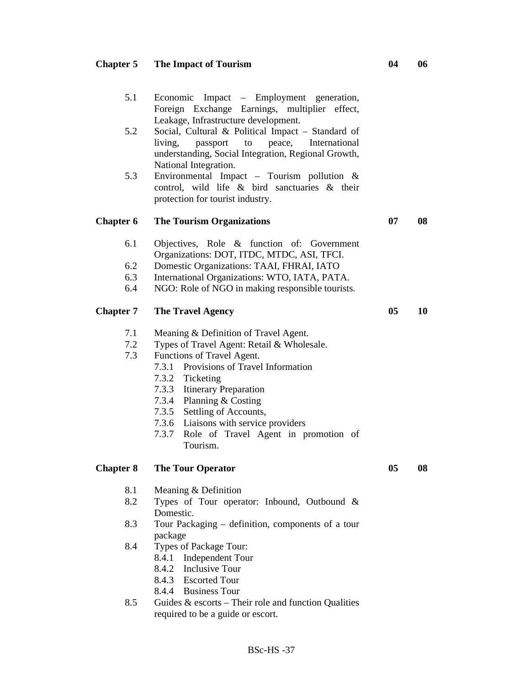# **Chapter 5 The Impact of Tourism 04 06**

8.4.3 Escorted Tour 8.4.4 Business Tour

required to be a guide or escort.

8.5 Guides & escorts – Their role and function Qualities

| 5.2<br>5.3               | Social, Cultural & Political Impact - Standard of<br>living,<br>peace,<br>International<br>passport<br>to<br>understanding, Social Integration, Regional Growth,<br>National Integration.<br>Environmental Impact - Tourism pollution $\&$<br>control, wild life & bird sanctuaries & their<br>protection for tourist industry.                                                   |                |    |
|--------------------------|-----------------------------------------------------------------------------------------------------------------------------------------------------------------------------------------------------------------------------------------------------------------------------------------------------------------------------------------------------------------------------------|----------------|----|
| <b>Chapter 6</b>         | <b>The Tourism Organizations</b>                                                                                                                                                                                                                                                                                                                                                  | 07             | 08 |
| 6.1<br>6.2<br>6.3<br>6.4 | Objectives, Role & function of: Government<br>Organizations: DOT, ITDC, MTDC, ASI, TFCI.<br>Domestic Organizations: TAAI, FHRAI, IATO<br>International Organizations: WTO, IATA, PATA.<br>NGO: Role of NGO in making responsible tourists.                                                                                                                                        |                |    |
| <b>Chapter 7</b>         | <b>The Travel Agency</b>                                                                                                                                                                                                                                                                                                                                                          | 0 <sub>5</sub> | 10 |
| 7.1<br>7.2<br>7.3        | Meaning & Definition of Travel Agent.<br>Types of Travel Agent: Retail & Wholesale.<br>Functions of Travel Agent.<br>Provisions of Travel Information<br>7.3.1<br>7.3.2 Ticketing<br>7.3.3 Itinerary Preparation<br>7.3.4 Planning & Costing<br>7.3.5 Settling of Accounts,<br>7.3.6 Liaisons with service providers<br>Role of Travel Agent in promotion of<br>7.3.7<br>Tourism. |                |    |
| <b>Chapter 8</b>         | <b>The Tour Operator</b>                                                                                                                                                                                                                                                                                                                                                          | 05             | 08 |
| 8.1<br>8.2               | Meaning & Definition<br>Types of Tour operator: Inbound, Outbound &<br>Domestic.                                                                                                                                                                                                                                                                                                  |                |    |
| 8.3                      | Tour Packaging – definition, components of a tour                                                                                                                                                                                                                                                                                                                                 |                |    |
| 8.4                      | package<br>Types of Package Tour:<br>Independent Tour<br>8.4.1<br>8.4.2<br>Inclusive Tour                                                                                                                                                                                                                                                                                         |                |    |

5.1 Economic Impact – Employment generation,

Leakage, Infrastructure development.

Foreign Exchange Earnings, multiplier effect,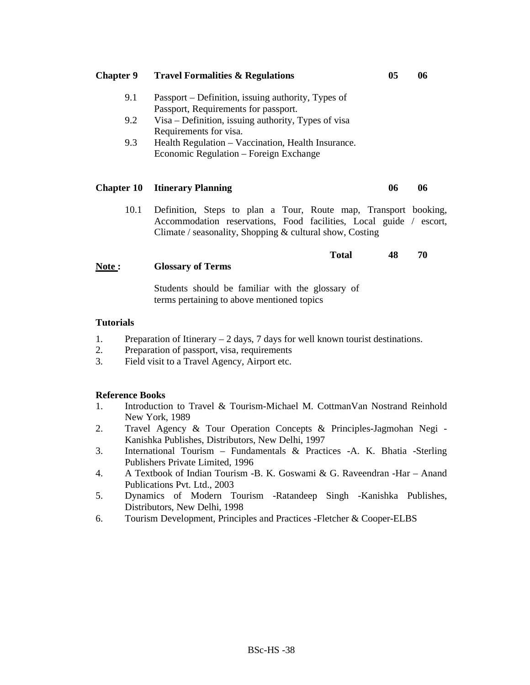| <b>Chapter 9</b>  |                                                                                                                                | 05                                                                                                                                                                                                  | 06 |    |  |  |
|-------------------|--------------------------------------------------------------------------------------------------------------------------------|-----------------------------------------------------------------------------------------------------------------------------------------------------------------------------------------------------|----|----|--|--|
|                   | 9.1                                                                                                                            | Passport – Definition, issuing authority, Types of<br>Passport, Requirements for passport.                                                                                                          |    |    |  |  |
|                   | 9.2                                                                                                                            | Visa – Definition, issuing authority, Types of visa                                                                                                                                                 |    |    |  |  |
|                   | 9.3                                                                                                                            | Requirements for visa.<br>Health Regulation – Vaccination, Health Insurance.<br>Economic Regulation - Foreign Exchange                                                                              |    |    |  |  |
| <b>Chapter 10</b> |                                                                                                                                | <b>Itinerary Planning</b>                                                                                                                                                                           | 06 | 06 |  |  |
|                   | 10.1                                                                                                                           | Definition, Steps to plan a Tour, Route map, Transport booking,<br>Accommodation reservations, Food facilities, Local guide / escort,<br>Climate / seasonality, Shopping $&$ cultural show, Costing |    |    |  |  |
| Note:             |                                                                                                                                | <b>Total</b><br><b>Glossary of Terms</b>                                                                                                                                                            | 48 | 70 |  |  |
|                   |                                                                                                                                | Students should be familiar with the glossary of<br>terms pertaining to above mentioned topics                                                                                                      |    |    |  |  |
| <b>Tutorials</b>  |                                                                                                                                |                                                                                                                                                                                                     |    |    |  |  |
| 1.<br>2.          | Preparation of Itinerary $-2$ days, 7 days for well known tourist destinations.<br>Preparation of passport, visa, requirements |                                                                                                                                                                                                     |    |    |  |  |

3. Field visit to a Travel Agency, Airport etc.

- 1. Introduction to Travel & Tourism-Michael M. CottmanVan Nostrand Reinhold New York, 1989
- 2. Travel Agency & Tour Operation Concepts & Principles-Jagmohan Negi Kanishka Publishes, Distributors, New Delhi, 1997
- 3. International Tourism Fundamentals & Practices -A. K. Bhatia -Sterling Publishers Private Limited, 1996
- 4. A Textbook of Indian Tourism -B. K. Goswami & G. Raveendran -Har Anand Publications Pvt. Ltd., 2003
- 5. Dynamics of Modern Tourism -Ratandeep Singh -Kanishka Publishes, Distributors, New Delhi, 1998
- 6. Tourism Development, Principles and Practices -Fletcher & Cooper-ELBS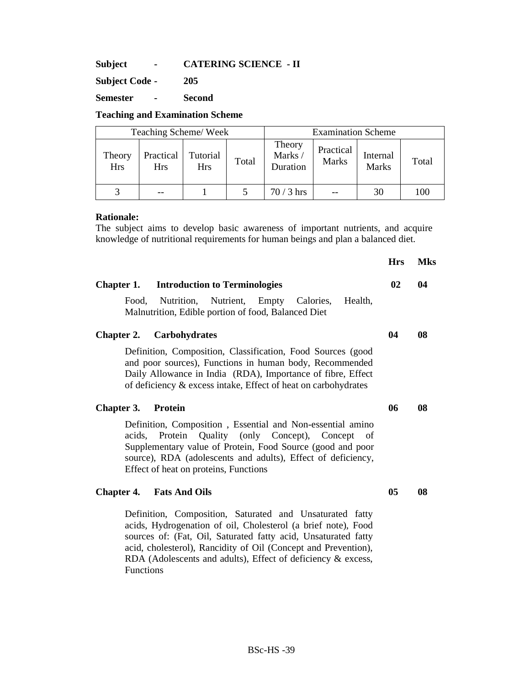**Subject - CATERING SCIENCE - II** 

**Subject Code - 205** 

**Semester - Second** 

**Teaching and Examination Scheme** 

| Teaching Scheme/Week |                         |                        |       | <b>Examination Scheme</b>    |                           |                          |       |
|----------------------|-------------------------|------------------------|-------|------------------------------|---------------------------|--------------------------|-------|
| Theory<br><b>Hrs</b> | Practical<br><b>Hrs</b> | Tutorial<br><b>Hrs</b> | Total | Theory<br>Marks/<br>Duration | Practical<br><b>Marks</b> | Internal<br><b>Marks</b> | Total |
|                      |                         |                        |       | 70 / 3 hrs                   |                           | 30                       | 100   |

### **Rationale:**

The subject aims to develop basic awareness of important nutrients, and acquire knowledge of nutritional requirements for human beings and plan a balanced diet.

|                                                                                                                                                                                                                                                                                        | <b>Hrs</b> | <b>Mks</b> |
|----------------------------------------------------------------------------------------------------------------------------------------------------------------------------------------------------------------------------------------------------------------------------------------|------------|------------|
| <b>Chapter 1.</b> Introduction to Terminologies                                                                                                                                                                                                                                        | 02         | 04         |
| Food, Nutrition, Nutrient, Empty Calories,<br>Health,<br>Malnutrition, Edible portion of food, Balanced Diet                                                                                                                                                                           |            |            |
| <b>Chapter 2.</b> Carbohydrates                                                                                                                                                                                                                                                        | 04         | 08         |
| Definition, Composition, Classification, Food Sources (good<br>and poor sources), Functions in human body, Recommended<br>Daily Allowance in India (RDA), Importance of fibre, Effect<br>of deficiency $\&$ excess intake, Effect of heat on carbohydrates                             |            |            |
| Chapter 3.<br><b>Protein</b>                                                                                                                                                                                                                                                           | 06         | 08         |
| Definition, Composition, Essential and Non-essential amino<br>acids, Protein Quality (only Concept), Concept of<br>Supplementary value of Protein, Food Source (good and poor<br>source), RDA (adolescents and adults), Effect of deficiency,<br>Effect of heat on proteins, Functions |            |            |
| <b>Chapter 4.</b> Fats And Oils                                                                                                                                                                                                                                                        | 05         | 08         |
| Definition Composition Seturated and Ungeturated fatty                                                                                                                                                                                                                                 |            |            |

Definition, Composition, Saturated and Unsaturated fatty acids, Hydrogenation of oil, Cholesterol (a brief note), Food sources of: (Fat, Oil, Saturated fatty acid, Unsaturated fatty acid, cholesterol), Rancidity of Oil (Concept and Prevention), RDA (Adolescents and adults), Effect of deficiency & excess, Functions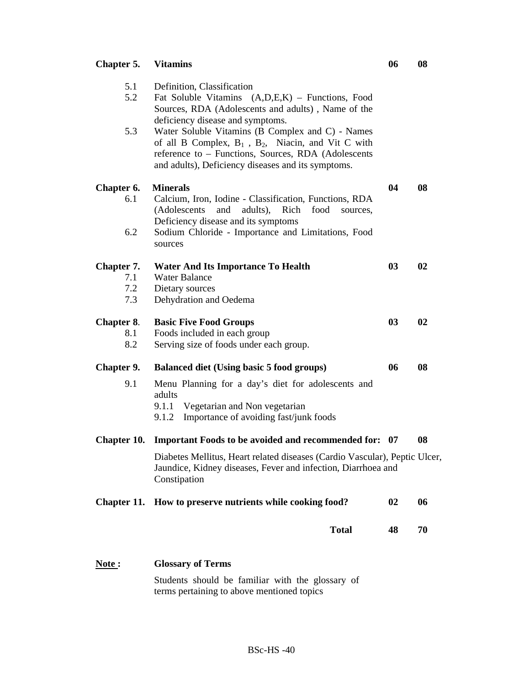# **Chapter 5. Vitamins 06 08**  5.1 Definition, Classification 5.2 Fat Soluble Vitamins (A,D,E,K) – Functions, Food Sources, RDA (Adolescents and adults) , Name of the deficiency disease and symptoms. 5.3 Water Soluble Vitamins (B Complex and C) - Names of all B Complex,  $B_1$ ,  $B_2$ , Niacin, and Vit C with reference to – Functions, Sources, RDA (Adolescents and adults), Deficiency diseases and its symptoms. **Chapter 6. Minerals 64 08 04 08** 6.1 Calcium, Iron, Iodine - Classification, Functions, RDA (Adolescents and adults), Rich food sources, Deficiency disease and its symptoms 6.2 Sodium Chloride - Importance and Limitations, Food sources **Chapter 7.** Water And Its Importance To Health 03 02 7.1 Water Balance 7.2 Dietary sources 7.3 Dehydration and Oedema **Chapter 8. Basic Five Food Groups 03 02 03** 02 8.1 Foods included in each group 8.2 Serving size of foods under each group. **Chapter 9. Balanced diet (Using basic 5 food groups) 06 08**  9.1 Menu Planning for a day's diet for adolescents and adults 9.1.1 Vegetarian and Non vegetarian 9.1.2 Importance of avoiding fast/junk foods **Chapter 10. Important Foods to be avoided and recommended for: 07 08**  Diabetes Mellitus, Heart related diseases (Cardio Vascular), Peptic Ulcer, Jaundice, Kidney diseases, Fever and infection, Diarrhoea and Constipation Chapter 11. How to preserve nutrients while cooking food? 02 06 **Total 48 70 Note : Glossary of Terms**

Students should be familiar with the glossary of terms pertaining to above mentioned topics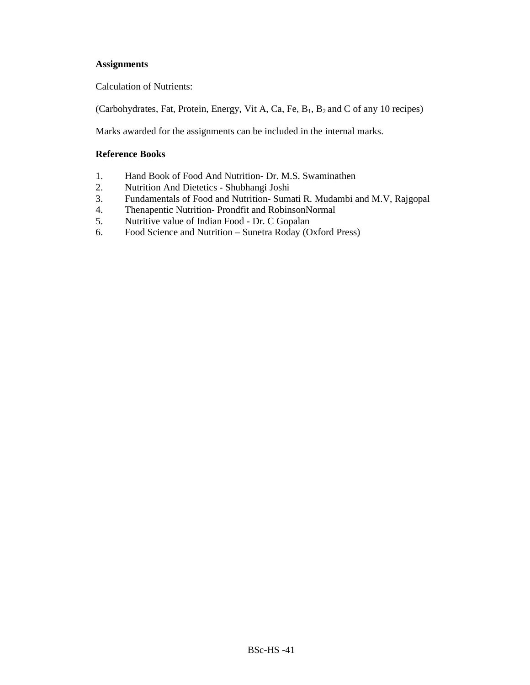# **Assignments**

Calculation of Nutrients:

(Carbohydrates, Fat, Protein, Energy, Vit A, Ca, Fe, B1, B2 and C of any 10 recipes)

Marks awarded for the assignments can be included in the internal marks.

- 1. Hand Book of Food And Nutrition- Dr. M.S. Swaminathen
- 2. Nutrition And Dietetics Shubhangi Joshi
- 3. Fundamentals of Food and Nutrition-Sumati R. Mudambi and M.V, Rajgopal 4. Thenapentic Nutrition-Prondfit and RobinsonNormal
- 4. Thenapentic Nutrition- Prondfit and RobinsonNormal
- 5. Nutritive value of Indian Food Dr. C Gopalan
- 6. Food Science and Nutrition Sunetra Roday (Oxford Press)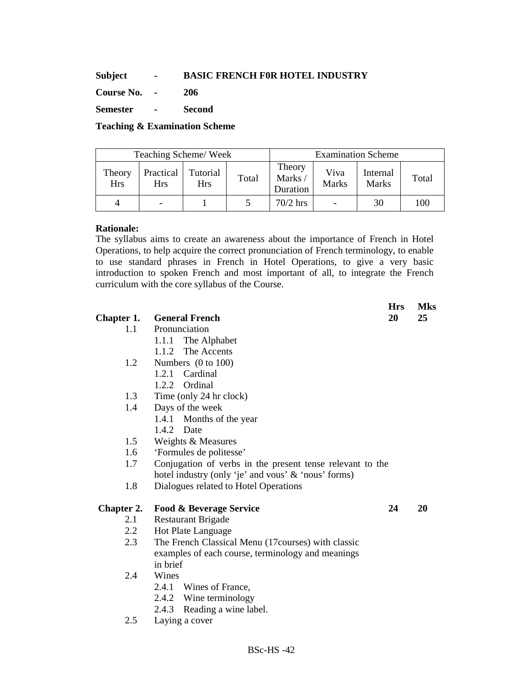### **Subject - BASIC FRENCH F0R HOTEL INDUSTRY**

**Course No. - 206** 

**Semester - Second** 

### **Teaching & Examination Scheme**

| Teaching Scheme/Week |                  |                        |       | <b>Examination Scheme</b>    |                      |                   |       |
|----------------------|------------------|------------------------|-------|------------------------------|----------------------|-------------------|-------|
| Theory<br><b>Hrs</b> | Practical<br>Hrs | Tutorial<br><b>Hrs</b> | Total | Theory<br>Marks/<br>Duration | Viva<br><b>Marks</b> | Internal<br>Marks | Total |
|                      | -                |                        |       | $70/2$ hrs                   |                      | 30                | 100   |

# **Rationale:**

The syllabus aims to create an awareness about the importance of French in Hotel Operations, to help acquire the correct pronunciation of French terminology, to enable to use standard phrases in French in Hotel Operations, to give a very basic introduction to spoken French and most important of all, to integrate the French curriculum with the core syllabus of the Course.

**Hrs Mks** 

| Chapter 1. | <b>General French</b>                                     | 20 | 25 |
|------------|-----------------------------------------------------------|----|----|
| 1.1        | Pronunciation                                             |    |    |
|            | 1.1.1 The Alphabet                                        |    |    |
|            | The Accents<br>1.1.2                                      |    |    |
| 1.2        | Numbers $(0 \text{ to } 100)$                             |    |    |
|            | 1.2.1 Cardinal                                            |    |    |
|            | 1.2.2 Ordinal                                             |    |    |
| 1.3        | Time (only 24 hr clock)                                   |    |    |
| 1.4        | Days of the week                                          |    |    |
|            | Months of the year<br>1.4.1                               |    |    |
|            | 1.4.2 Date                                                |    |    |
| 1.5        | Weights & Measures                                        |    |    |
| 1.6        | 'Formules de politesse'                                   |    |    |
| 1.7        | Conjugation of verbs in the present tense relevant to the |    |    |
|            | hotel industry (only 'je' and vous' & 'nous' forms)       |    |    |
| 1.8        | Dialogues related to Hotel Operations                     |    |    |
| Chapter 2. | <b>Food &amp; Beverage Service</b>                        | 24 | 20 |
| 2.1        | <b>Restaurant Brigade</b>                                 |    |    |
| 2.2        | Hot Plate Language                                        |    |    |
| 2.3        | The French Classical Menu (17 courses) with classic       |    |    |
|            | examples of each course, terminology and meanings         |    |    |
|            | in brief                                                  |    |    |
| 2.4        | Wines                                                     |    |    |
|            | Wines of France,<br>2.4.1                                 |    |    |
|            | 2.4.2 Wine terminology                                    |    |    |
|            | 2.4.3 Reading a wine label.                               |    |    |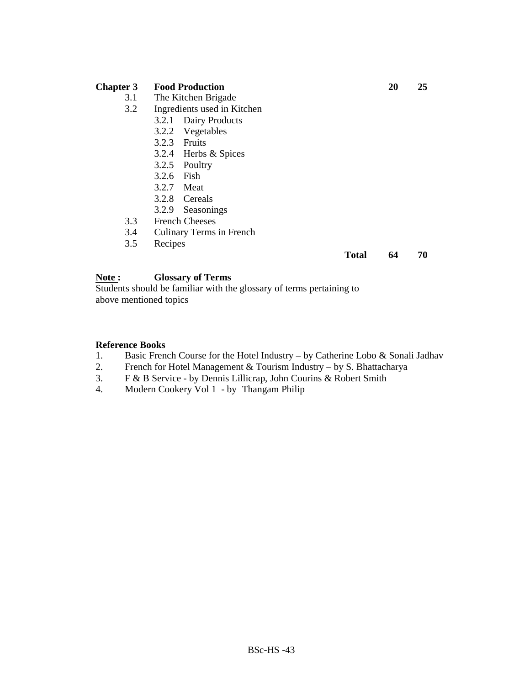### **Chapter 3 Food Production 20 25**

- 3.1 The Kitchen Brigade
- 3.2 Ingredients used in Kitchen
	- 3.2.1 Dairy Products
	- 3.2.2 Vegetables
	- 3.2.3 Fruits
	- 3.2.4 Herbs & Spices
	- 3.2.5 Poultry
	- 3.2.6 Fish
	- 3.2.7 Meat
	- 3.2.8 Cereals
	- 3.2.9 Seasonings
- 3.3 French Cheeses
- 3.4 Culinary Terms in French<br>3.5 Recipes
- **Recipes**

**Total 64 70** 

# **Note : Glossary of Terms**

Students should be familiar with the glossary of terms pertaining to above mentioned topics

#### **Reference Books**

- 1. Basic French Course for the Hotel Industry by Catherine Lobo & Sonali Jadhav
- 2. French for Hotel Management & Tourism Industry by S. Bhattacharya
- 3. F & B Service by Dennis Lillicrap, John Courins & Robert Smith
- 4. Modern Cookery Vol 1 by Thangam Philip

BSc-HS -43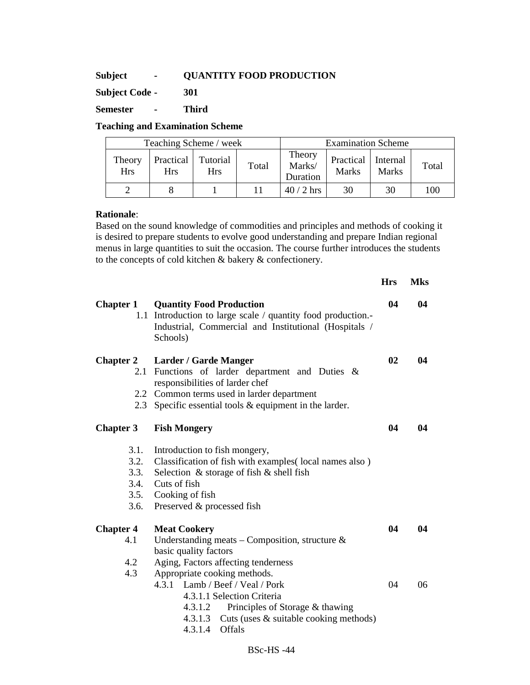# **Subject - QUANTITY FOOD PRODUCTION**

**Subject Code - 301** 

**Semester - Third** 

### **Teaching and Examination Scheme**

| Teaching Scheme / week |                           |                        |       | <b>Examination Scheme</b>    |                           |                          |       |
|------------------------|---------------------------|------------------------|-------|------------------------------|---------------------------|--------------------------|-------|
| Theory<br><b>Hrs</b>   | Practical  <br><b>Hrs</b> | Tutorial<br><b>Hrs</b> | Total | Theory<br>Marks/<br>Duration | Practical<br><b>Marks</b> | Internal<br><b>Marks</b> | Total |
|                        |                           |                        |       | $40/2$ hrs                   | 30                        | 30                       | 100   |

### **Rationale**:

Based on the sound knowledge of commodities and principles and methods of cooking it is desired to prepare students to evolve good understanding and prepare Indian regional menus in large quantities to suit the occasion. The course further introduces the students to the concepts of cold kitchen & bakery & confectionery.

|                                              |                                                                                                                                                                                                                                                                                           | <b>Hrs</b> | <b>Mks</b> |
|----------------------------------------------|-------------------------------------------------------------------------------------------------------------------------------------------------------------------------------------------------------------------------------------------------------------------------------------------|------------|------------|
| <b>Chapter 1</b>                             | <b>Quantity Food Production</b><br>1.1 Introduction to large scale / quantity food production.<br>Industrial, Commercial and Institutional (Hospitals /<br>Schools)                                                                                                                       | 04         | 04         |
| <b>Chapter 2</b><br>2.1<br>2.3               | <b>Larder / Garde Manger</b><br>Functions of larder department and Duties &<br>responsibilities of larder chef<br>2.2 Common terms used in larder department<br>Specific essential tools $&$ equipment in the larder.                                                                     | 02         | 04         |
| <b>Chapter 3</b>                             | <b>Fish Mongery</b>                                                                                                                                                                                                                                                                       | 04         | 04         |
| 3.1.<br>3.2.<br>3.3.<br>3.4.<br>3.5.<br>3.6. | Introduction to fish mongery,<br>Classification of fish with examples(local names also)<br>Selection & storage of fish & shell fish<br>Cuts of fish<br>Cooking of fish<br>Preserved & processed fish                                                                                      |            |            |
| <b>Chapter 4</b><br>4.1                      | <b>Meat Cookery</b><br>Understanding meats - Composition, structure $\&$                                                                                                                                                                                                                  | 04         | 04         |
| 4.2<br>4.3                                   | basic quality factors<br>Aging, Factors affecting tenderness<br>Appropriate cooking methods.<br>4.3.1 Lamb / Beef / Veal / Pork<br>4.3.1.1 Selection Criteria<br>Principles of Storage & thawing<br>4.3.1.2<br>4.3.1.3 Cuts (uses & suitable cooking methods)<br><b>Offals</b><br>4.3.1.4 | 04         | 06         |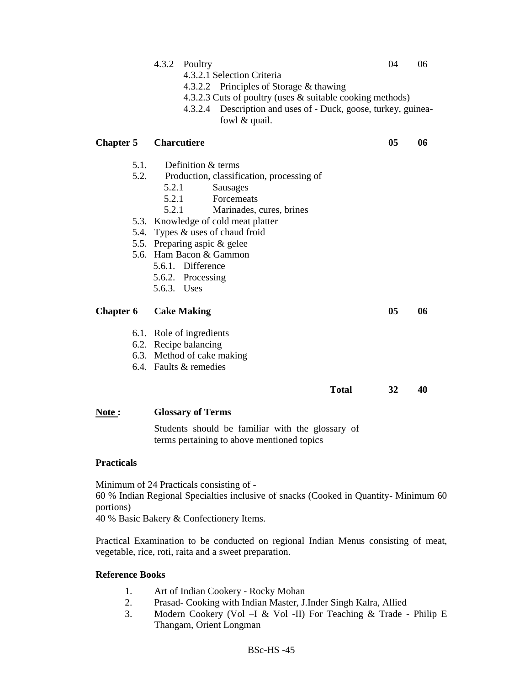|                   |              | 4.3.2<br>Poultry<br>4.3.2.1 Selection Criteria                                                                                                                                          | 04             | 06 |
|-------------------|--------------|-----------------------------------------------------------------------------------------------------------------------------------------------------------------------------------------|----------------|----|
|                   |              | 4.3.2.2 Principles of Storage & thawing<br>4.3.2.3 Cuts of poultry (uses & suitable cooking methods)<br>4.3.2.4 Description and uses of - Duck, goose, turkey, guinea-<br>fowl & quail. |                |    |
| <b>Chapter 5</b>  |              | <b>Charcutiere</b>                                                                                                                                                                      | 05             | 06 |
|                   | 5.1.<br>5.2. | Definition & terms<br>Production, classification, processing of<br>5.2.1<br>Sausages<br>5.2.1<br>Forcemeats<br>5.2.1<br>Marinades, cures, brines                                        |                |    |
|                   |              | 5.3. Knowledge of cold meat platter<br>5.4. Types & uses of chaud froid<br>5.5. Preparing aspic & gelee                                                                                 |                |    |
|                   |              | 5.6. Ham Bacon & Gammon<br>5.6.1. Difference<br>5.6.2. Processing<br>5.6.3. Uses                                                                                                        |                |    |
| <b>Chapter 6</b>  |              | <b>Cake Making</b>                                                                                                                                                                      | 0 <sub>5</sub> | 06 |
|                   |              | 6.1. Role of ingredients<br>6.2. Recipe balancing<br>6.3. Method of cake making<br>6.4. Faults & remedies                                                                               |                |    |
|                   |              | <b>Total</b>                                                                                                                                                                            | 32             | 40 |
| Note:             |              | <b>Glossary of Terms</b>                                                                                                                                                                |                |    |
|                   |              | Students should be familiar with the glossary of<br>terms pertaining to above mentioned topics                                                                                          |                |    |
| <b>Practicals</b> |              |                                                                                                                                                                                         |                |    |
|                   |              | Minimum of 24 Practicals consisting of -                                                                                                                                                |                |    |

60 % Indian Regional Specialties inclusive of snacks (Cooked in Quantity- Minimum 60 portions)

40 % Basic Bakery & Confectionery Items.

Practical Examination to be conducted on regional Indian Menus consisting of meat, vegetable, rice, roti, raita and a sweet preparation.

- 1. Art of Indian Cookery Rocky Mohan
- 2. Prasad- Cooking with Indian Master, J.Inder Singh Kalra, Allied<br>3. Modern Cookery (Vol I & Vol II) For Teaching & Trade -
- 3. Modern Cookery (Vol –I & Vol -II) For Teaching & Trade Philip E Thangam, Orient Longman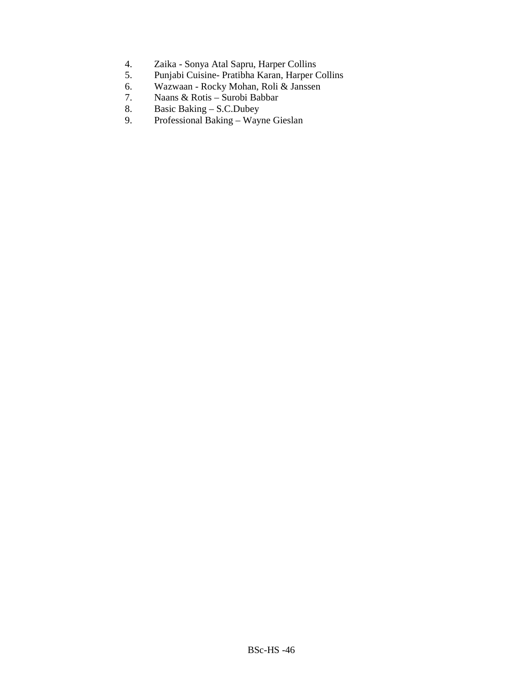- 4. Zaika Sonya Atal Sapru, Harper Collins<br>5. Punjabi Cuisine- Pratibha Karan, Harper C
- 5. Punjabi Cuisine- Pratibha Karan, Harper Collins<br>6. Wazwaan Rocky Mohan, Roli & Janssen
- 6. Wazwaan Rocky Mohan, Roli & Janssen<br>7. Naans & Rotis Surobi Babbar
- 7. Naans & Rotis Surobi Babbar
- 8. Basic Baking S.C.Dubey<br>9. Professional Baking Way
- 9. Professional Baking Wayne Gieslan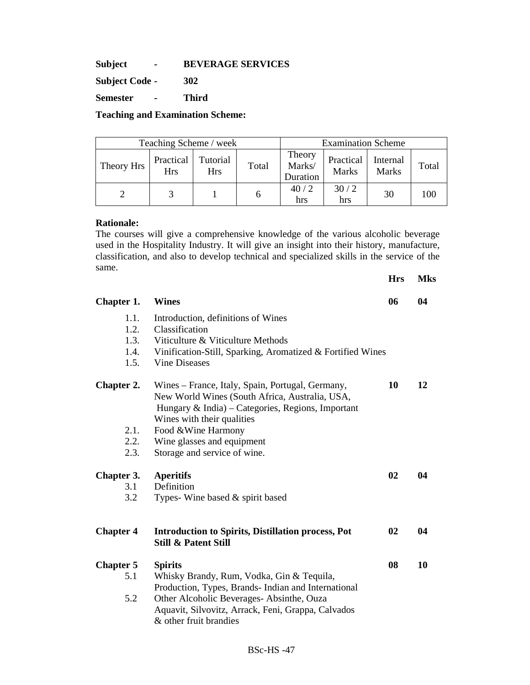**Subject - BEVERAGE SERVICES** 

**Subject Code - 302** 

**Semester - Third** 

**Teaching and Examination Scheme:** 

| Teaching Scheme / week |                         |                        |       | <b>Examination Scheme</b>    |                           |                          |       |
|------------------------|-------------------------|------------------------|-------|------------------------------|---------------------------|--------------------------|-------|
| Theory Hrs             | Practical<br><b>Hrs</b> | Tutorial<br><b>Hrs</b> | Total | Theory<br>Marks/<br>Duration | Practical<br><b>Marks</b> | Internal<br><b>Marks</b> | Total |
|                        |                         |                        |       | 40/2<br>hrs                  | 30/2<br>hrs               | 30                       | 100   |

### **Rationale:**

The courses will give a comprehensive knowledge of the various alcoholic beverage used in the Hospitality Industry. It will give an insight into their history, manufacture, classification, and also to develop technical and specialized skills in the service of the same.

|                  |                                                            | <b>Hrs</b> | <b>Mks</b> |
|------------------|------------------------------------------------------------|------------|------------|
| Chapter 1.       | <b>Wines</b>                                               | 06         | 04         |
| 1.1.             | Introduction, definitions of Wines                         |            |            |
| 1.2.             | Classification                                             |            |            |
| 1.3.             | Viticulture & Viticulture Methods                          |            |            |
| 1.4.             | Vinification-Still, Sparking, Aromatized & Fortified Wines |            |            |
| 1.5.             | <b>Vine Diseases</b>                                       |            |            |
| Chapter 2.       | Wines – France, Italy, Spain, Portugal, Germany,           | 10         | 12         |
|                  | New World Wines (South Africa, Australia, USA,             |            |            |
|                  | Hungary & India) – Categories, Regions, Important          |            |            |
|                  | Wines with their qualities                                 |            |            |
| 2.1.             | Food & Wine Harmony                                        |            |            |
| 2.2.             | Wine glasses and equipment                                 |            |            |
| 2.3.             | Storage and service of wine.                               |            |            |
| Chapter 3.       | <b>Aperitifs</b>                                           | 02         | 04         |
| 3.1              | Definition                                                 |            |            |
| 3.2              | Types- Wine based & spirit based                           |            |            |
|                  |                                                            |            |            |
| <b>Chapter 4</b> | <b>Introduction to Spirits, Distillation process, Pot</b>  | 02         | 04         |
|                  | <b>Still &amp; Patent Still</b>                            |            |            |
| <b>Chapter 5</b> | <b>Spirits</b>                                             | 08         | 10         |
| 5.1              | Whisky Brandy, Rum, Vodka, Gin & Tequila,                  |            |            |
|                  | Production, Types, Brands- Indian and International        |            |            |
| 5.2              | Other Alcoholic Beverages-Absinthe, Ouza                   |            |            |
|                  | Aquavit, Silvovitz, Arrack, Feni, Grappa, Calvados         |            |            |
|                  | & other fruit brandies                                     |            |            |
|                  |                                                            |            |            |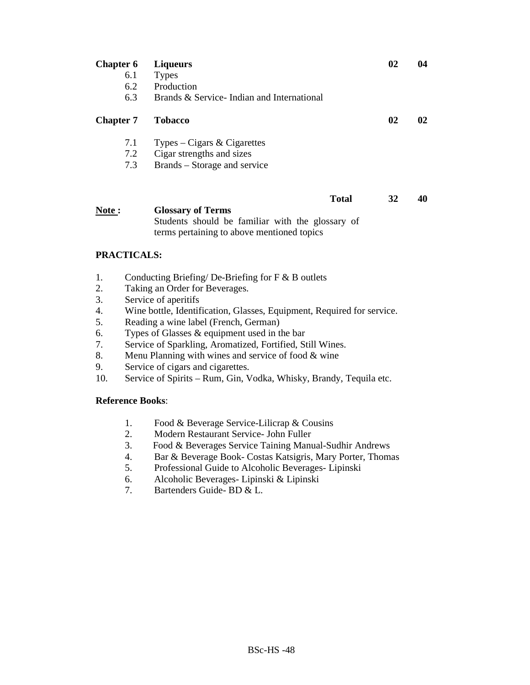| <b>Chapter 6</b> | <b>Liqueurs</b>                           |              | 02 | 04 |
|------------------|-------------------------------------------|--------------|----|----|
| 6.1              | <b>Types</b>                              |              |    |    |
| 6.2              | Production                                |              |    |    |
| 6.3              | Brands & Service-Indian and International |              |    |    |
| <b>Chapter 7</b> | <b>Tobacco</b>                            |              | 02 | 02 |
| 7.1              | Types – Cigars & Cigarettes               |              |    |    |
| 7.2              | Cigar strengths and sizes                 |              |    |    |
| 7.3              | Brands – Storage and service              |              |    |    |
|                  |                                           |              |    | 40 |
|                  |                                           | <b>Total</b> | 32 |    |

**Note : Glossary of Terms**  Students should be familiar with the glossary of terms pertaining to above mentioned topics

### **PRACTICALS:**

- 1. Conducting Briefing/ De-Briefing for F & B outlets
- 2. Taking an Order for Beverages.
- 3. Service of aperitifs
- 4. Wine bottle, Identification, Glasses, Equipment, Required for service.
- 5. Reading a wine label (French, German)
- 6. Types of Glasses  $&$  equipment used in the bar
- 7. Service of Sparkling, Aromatized, Fortified, Still Wines.
- 8. Menu Planning with wines and service of food & wine
- 9. Service of cigars and cigarettes.
- 10. Service of Spirits Rum, Gin, Vodka, Whisky, Brandy, Tequila etc.

- 1. Food & Beverage Service-Lilicrap & Cousins<br>2. Modern Restaurant Service-John Fuller
- 2. Modern Restaurant Service- John Fuller
- 3. Food & Beverages Service Taining Manual-Sudhir Andrews
- 4. Bar & Beverage Book- Costas Katsigris, Mary Porter, Thomas<br>5. Professional Guide to Alcoholic Beverages- Lipinski
- 5. Professional Guide to Alcoholic Beverages- Lipinski
- 6. Alcoholic Beverages- Lipinski & Lipinski
- 7. Bartenders Guide- BD & L.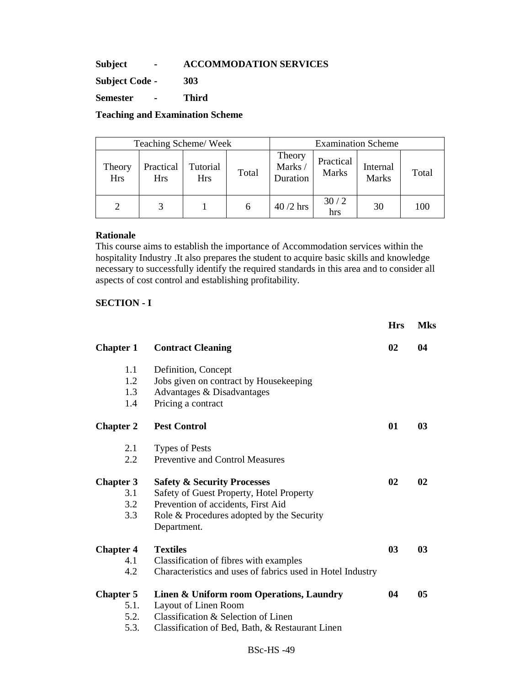# **Subject - ACCOMMODATION SERVICES**

**Subject Code - 303** 

**Semester - Third** 

**Teaching and Examination Scheme** 

| Teaching Scheme/Week |                  |                        |       | <b>Examination Scheme</b>    |                    |                   |       |
|----------------------|------------------|------------------------|-------|------------------------------|--------------------|-------------------|-------|
| Theory<br><b>Hrs</b> | Practical<br>Hrs | Tutorial<br><b>Hrs</b> | Total | Theory<br>Marks/<br>Duration | Practical<br>Marks | Internal<br>Marks | Total |
| 2                    | 3                |                        | 6     | $40/2$ hrs                   | 30/2<br>hrs        | 30                | 100   |

### **Rationale**

This course aims to establish the importance of Accommodation services within the hospitality Industry .It also prepares the student to acquire basic skills and knowledge necessary to successfully identify the required standards in this area and to consider all aspects of cost control and establishing profitability.

# **SECTION - I**

|                  |                                                            | <b>Hrs</b>     | <b>Mks</b> |
|------------------|------------------------------------------------------------|----------------|------------|
| <b>Chapter 1</b> | <b>Contract Cleaning</b>                                   | 02             | 04         |
| 1.1              | Definition, Concept                                        |                |            |
| 1.2              | Jobs given on contract by Housekeeping                     |                |            |
| 1.3              | Advantages & Disadvantages                                 |                |            |
| 1.4              | Pricing a contract                                         |                |            |
| <b>Chapter 2</b> | <b>Pest Control</b>                                        | 01             | 03         |
| 2.1              | <b>Types of Pests</b>                                      |                |            |
| 2.2              | <b>Preventive and Control Measures</b>                     |                |            |
| <b>Chapter 3</b> | <b>Safety &amp; Security Processes</b>                     | 02             | 02         |
| 3.1              | Safety of Guest Property, Hotel Property                   |                |            |
| 3.2              | Prevention of accidents, First Aid                         |                |            |
| 3.3              | Role & Procedures adopted by the Security                  |                |            |
|                  | Department.                                                |                |            |
| <b>Chapter 4</b> | <b>Textiles</b>                                            | 0 <sub>3</sub> | 03         |
| 4.1              | Classification of fibres with examples                     |                |            |
| 4.2              | Characteristics and uses of fabrics used in Hotel Industry |                |            |
| <b>Chapter 5</b> | Linen & Uniform room Operations, Laundry                   | 04             | 05         |
| 5.1.             | Layout of Linen Room                                       |                |            |
| 5.2.             | Classification & Selection of Linen                        |                |            |
| 5.3.             | Classification of Bed, Bath, & Restaurant Linen            |                |            |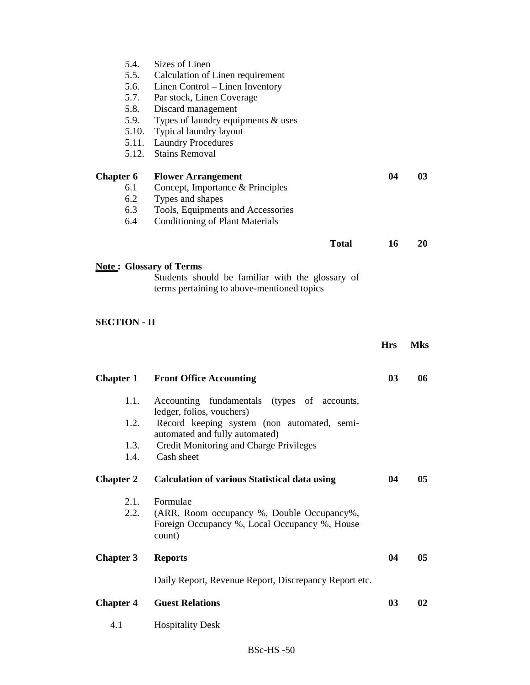|                  | 5.4.<br>5.6.<br>5.7.<br>5.8.<br>5.9.<br>5.10. | Sizes of Linen<br>5.5. Calculation of Linen requirement<br>Linen Control – Linen Inventory<br>Par stock, Linen Coverage<br>Discard management<br>Types of laundry equipments & uses<br>Typical laundry layout<br>5.11. Laundry Procedures<br>5.12. Stains Removal |            |            |
|------------------|-----------------------------------------------|-------------------------------------------------------------------------------------------------------------------------------------------------------------------------------------------------------------------------------------------------------------------|------------|------------|
| <b>Chapter 6</b> | 6.1<br>6.2<br>6.3<br>6.4                      | <b>Flower Arrangement</b><br>Concept, Importance & Principles<br>Types and shapes<br>Tools, Equipments and Accessories<br><b>Conditioning of Plant Materials</b>                                                                                                  | 04         | 03         |
|                  |                                               | <b>Total</b>                                                                                                                                                                                                                                                      | 16         | <b>20</b>  |
|                  | <b>SECTION - II</b>                           | <b>Note: Glossary of Terms</b><br>Students should be familiar with the glossary of<br>terms pertaining to above-mentioned topics                                                                                                                                  |            |            |
|                  |                                               |                                                                                                                                                                                                                                                                   | <b>Hrs</b> | <b>Mks</b> |
| <b>Chapter 1</b> |                                               | <b>Front Office Accounting</b>                                                                                                                                                                                                                                    | 03         | 06         |
|                  | 1.1.                                          | Accounting fundamentals (types of accounts,                                                                                                                                                                                                                       |            |            |
|                  | 1.2.                                          | ledger, folios, vouchers)<br>Record keeping system (non automated, semi-<br>automated and fully automated)                                                                                                                                                        |            |            |
|                  | 1.3.<br>1.4.                                  | Credit Monitoring and Charge Privileges<br>Cash sheet                                                                                                                                                                                                             |            |            |
| <b>Chapter 2</b> |                                               | <b>Calculation of various Statistical data using</b>                                                                                                                                                                                                              | 04         | 05         |
|                  | 2.1.<br>2.2.                                  | Formulae<br>(ARR, Room occupancy %, Double Occupancy%,<br>Foreign Occupancy %, Local Occupancy %, House<br>count)                                                                                                                                                 |            |            |
| <b>Chapter 3</b> |                                               | <b>Reports</b>                                                                                                                                                                                                                                                    | 04         | 05         |
|                  |                                               | Daily Report, Revenue Report, Discrepancy Report etc.                                                                                                                                                                                                             |            |            |
| <b>Chapter 4</b> |                                               | <b>Guest Relations</b>                                                                                                                                                                                                                                            | 03         | 02         |
| 4.1              |                                               | <b>Hospitality Desk</b>                                                                                                                                                                                                                                           |            |            |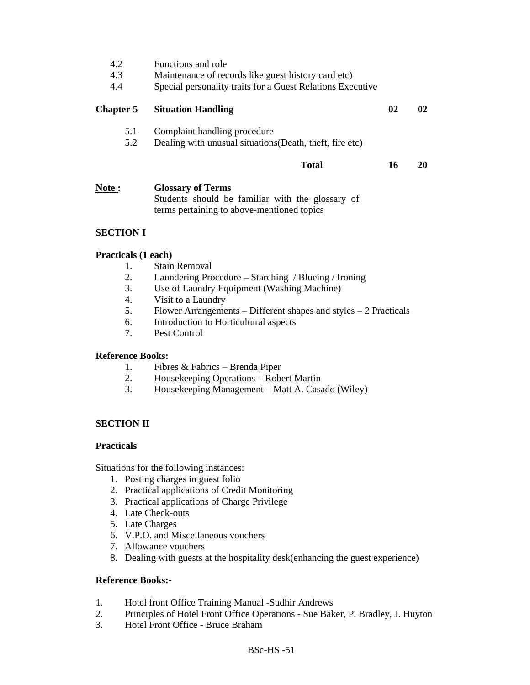| 4.2<br>4.3<br>4.4 | Functions and role<br>Maintenance of records like guest history card etc)<br>Special personality traits for a Guest Relations Executive |    |     |
|-------------------|-----------------------------------------------------------------------------------------------------------------------------------------|----|-----|
| <b>Chapter 5</b>  | <b>Situation Handling</b>                                                                                                               | 02 | 02. |
| 5.1<br>5.2        | Complaint handling procedure<br>Dealing with unusual situations (Death, theft, fire etc)                                                |    |     |
|                   | <b>Total</b>                                                                                                                            | 16 | 20  |
| Note:             | <b>Glossary of Terms</b><br>Students should be familiar with the glossary of                                                            |    |     |

terms pertaining to above-mentioned topics

# **SECTION I**

# **Practicals (1 each)**

- 1. Stain Removal
- 2. Laundering Procedure Starching / Blueing / Ironing
- 3. Use of Laundry Equipment (Washing Machine)
- 4. Visit to a Laundry
- 5. Flower Arrangements Different shapes and styles 2 Practicals
- 6. Introduction to Horticultural aspects
- 7. Pest Control

# **Reference Books:**

- 1. Fibres & Fabrics Brenda Piper
- 2. Housekeeping Operations Robert Martin
- 3. Housekeeping Management Matt A. Casado (Wiley)

# **SECTION II**

# **Practicals**

Situations for the following instances:

- 1. Posting charges in guest folio
- 2. Practical applications of Credit Monitoring
- 3. Practical applications of Charge Privilege
- 4. Late Check-outs
- 5. Late Charges
- 6. V.P.O. and Miscellaneous vouchers
- 7. Allowance vouchers
- 8. Dealing with guests at the hospitality desk(enhancing the guest experience)

- 1. Hotel front Office Training Manual -Sudhir Andrews<br>2. Principles of Hotel Front Office Operations Sue Bak
- 2. Principles of Hotel Front Office Operations Sue Baker, P. Bradley, J. Huyton
- 3. Hotel Front Office Bruce Braham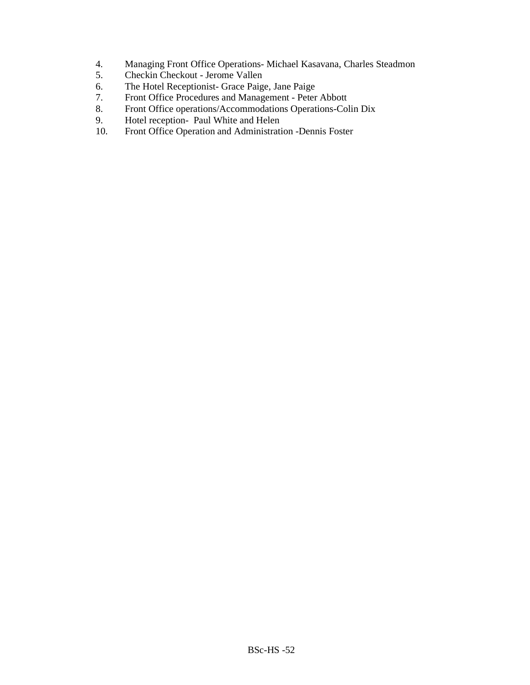- 4. Managing Front Office Operations- Michael Kasavana, Charles Steadmon
- 5. Checkin Checkout Jerome Vallen<br>6. The Hotel Receptionist- Grace Paig
- The Hotel Receptionist- Grace Paige, Jane Paige
- 7. Front Office Procedures and Management Peter Abbott
- 8. Front Office operations/Accommodations Operations-Colin Dix<br>9. Hotel reception-Paul White and Helen
- 9. Hotel reception- Paul White and Helen<br>10. Front Office Operation and Administrati
- Front Office Operation and Administration -Dennis Foster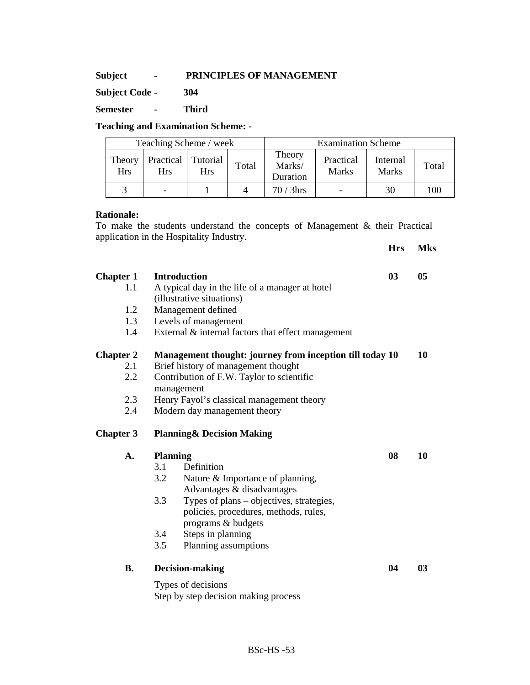### **Subject - PRINCIPLES OF MANAGEMENT**

**Subject Code - 304** 

**Semester - Third** 

# **Teaching and Examination Scheme: -**

| Teaching Scheme / week |                         |                        |       | <b>Examination Scheme</b>    |                              |                          |       |
|------------------------|-------------------------|------------------------|-------|------------------------------|------------------------------|--------------------------|-------|
| Theory<br><b>Hrs</b>   | Practical<br><b>Hrs</b> | Tutorial<br><b>Hrs</b> | Total | Theory<br>Marks/<br>Duration | Practical<br><b>Marks</b>    | Internal<br><b>Marks</b> | Total |
|                        |                         |                        |       | $70/3$ hrs                   | $\qquad \qquad \blacksquare$ | 30                       | 100   |

**Hrs Mks** 

# **Rationale:**

To make the students understand the concepts of Management & their Practical application in the Hospitality Industry.

| <b>Chapter 1</b><br>1.1<br>1.2<br>1.3<br>1.4 | <b>Introduction</b><br>A typical day in the life of a manager at hotel<br>(illustrative situations)<br>Management defined<br>Levels of management<br>External $\&$ internal factors that effect management                                                                                 | 03 | 05        |
|----------------------------------------------|--------------------------------------------------------------------------------------------------------------------------------------------------------------------------------------------------------------------------------------------------------------------------------------------|----|-----------|
| <b>Chapter 2</b><br>2.1<br>2.2<br>2.3<br>2.4 | Management thought: journey from inception till today 10<br>Brief history of management thought<br>Contribution of F.W. Taylor to scientific<br>management<br>Henry Fayol's classical management theory<br>Modern day management theory                                                    |    | 10        |
| <b>Chapter 3</b>                             | <b>Planning&amp; Decision Making</b>                                                                                                                                                                                                                                                       |    |           |
| A.                                           | <b>Planning</b><br>Definition<br>3.1<br>3.2<br>Nature & Importance of planning,<br>Advantages & disadvantages<br>3.3<br>Types of plans – objectives, strategies,<br>policies, procedures, methods, rules,<br>programs & budgets<br>Steps in planning<br>3.4<br>3.5<br>Planning assumptions | 08 | <b>10</b> |
| <b>B.</b>                                    | Decision-making<br>Types of decisions<br>Step by step decision making process                                                                                                                                                                                                              | 04 | 03        |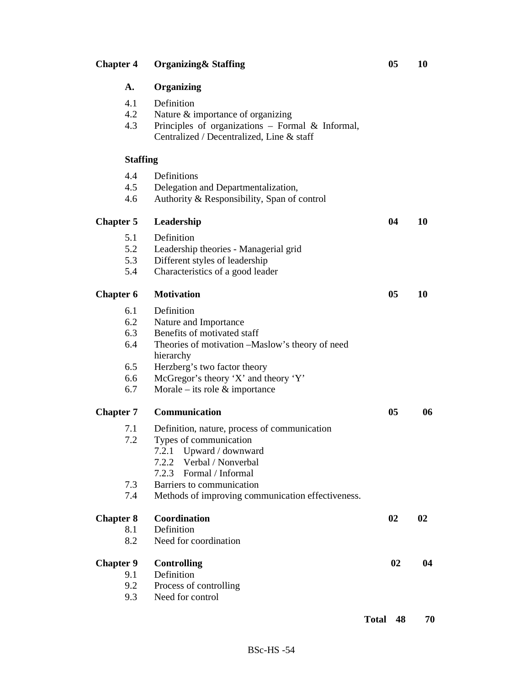| 4.1<br>4.2<br>4.3 | Definition<br>Nature & importance of organizing<br>Principles of organizations - Formal & Informal,<br>Centralized / Decentralized, Line & staff |    |    |
|-------------------|--------------------------------------------------------------------------------------------------------------------------------------------------|----|----|
| <b>Staffing</b>   |                                                                                                                                                  |    |    |
| 4.4               | Definitions                                                                                                                                      |    |    |
| 4.5<br>4.6        | Delegation and Departmentalization,<br>Authority & Responsibility, Span of control                                                               |    |    |
| <b>Chapter 5</b>  | Leadership                                                                                                                                       | 04 | 10 |
| 5.1               | Definition                                                                                                                                       |    |    |
| 5.2               | Leadership theories - Managerial grid                                                                                                            |    |    |
| 5.3               | Different styles of leadership                                                                                                                   |    |    |
| 5.4               | Characteristics of a good leader                                                                                                                 |    |    |
| <b>Chapter 6</b>  | <b>Motivation</b>                                                                                                                                | 05 | 10 |
| 6.1               | Definition                                                                                                                                       |    |    |
| 6.2               | Nature and Importance                                                                                                                            |    |    |
| 6.3               | Benefits of motivated staff                                                                                                                      |    |    |
| 6.4               | Theories of motivation -Maslow's theory of need<br>hierarchy                                                                                     |    |    |
| 6.5               | Herzberg's two factor theory                                                                                                                     |    |    |
| 6.6               | McGregor's theory 'X' and theory 'Y'                                                                                                             |    |    |
| 6.7               | Morale – its role $\&$ importance                                                                                                                |    |    |
| <b>Chapter 7</b>  | Communication                                                                                                                                    | 05 | 06 |
| 7.1               | Definition, nature, process of communication                                                                                                     |    |    |
| 7.2               | Types of communication                                                                                                                           |    |    |
|                   | Upward / downward<br>7.2.1                                                                                                                       |    |    |
|                   | 7.2.2 Verbal / Nonverbal                                                                                                                         |    |    |
|                   | 7.2.3 Formal / Informal                                                                                                                          |    |    |
| 7.3               | Barriers to communication                                                                                                                        |    |    |
| 7.4               | Methods of improving communication effectiveness.                                                                                                |    |    |
| <b>Chapter 8</b>  | Coordination                                                                                                                                     | 02 | 02 |
| 8.1               | Definition                                                                                                                                       |    |    |
| 8.2               | Need for coordination                                                                                                                            |    |    |
| <b>Chapter 9</b>  | <b>Controlling</b>                                                                                                                               | 02 | 04 |
| 9.1               | Definition                                                                                                                                       |    |    |
| 9.2               | Process of controlling                                                                                                                           |    |    |
| 9.3               | Need for control                                                                                                                                 |    |    |

**A. Organizing**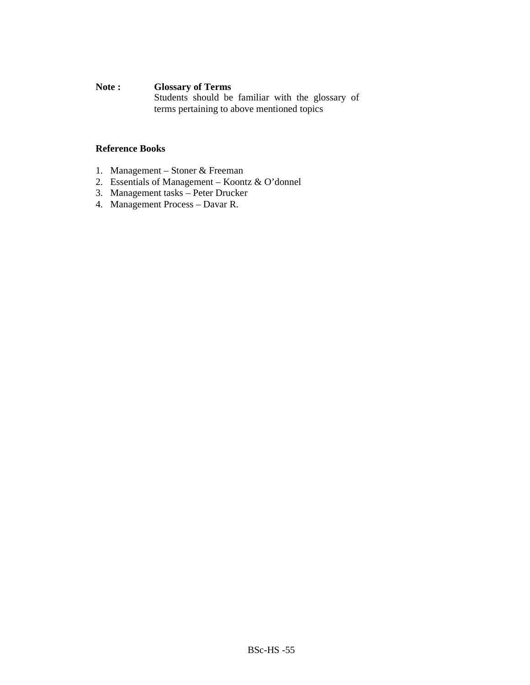# **Note : Glossary of Terms**

Students should be familiar with the glossary of terms pertaining to above mentioned topics

- 1. Management Stoner & Freeman
- 2. Essentials of Management Koontz & O'donnel
- 3. Management tasks Peter Drucker
- 4. Management Process Davar R.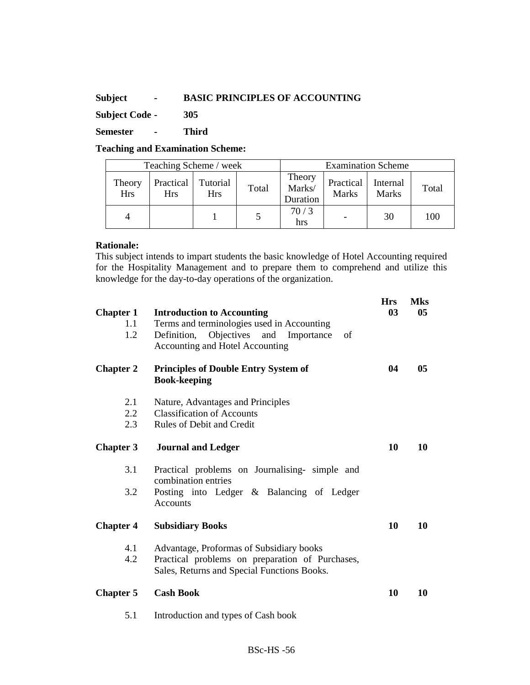# **Subject - BASIC PRINCIPLES OF ACCOUNTING**

**Subject Code - 305** 

**Semester - Third** 

**Teaching and Examination Scheme:** 

|                      | Teaching Scheme / week             |            |       |                              | <b>Examination Scheme</b> |                          |       |  |
|----------------------|------------------------------------|------------|-------|------------------------------|---------------------------|--------------------------|-------|--|
| Theory<br><b>Hrs</b> | Practical   Tutorial<br><b>Hrs</b> | <b>Hrs</b> | Total | Theory<br>Marks/<br>Duration | Practical<br><b>Marks</b> | Internal<br><b>Marks</b> | Total |  |
|                      |                                    |            |       | 70/3<br>hrs                  |                           | 30                       | 100   |  |

# **Rationale:**

This subject intends to impart students the basic knowledge of Hotel Accounting required for the Hospitality Management and to prepare them to comprehend and utilize this knowledge for the day-to-day operations of the organization.

| <b>Chapter 1</b><br>1.1<br>1.2 | <b>Introduction to Accounting</b><br>Terms and terminologies used in Accounting<br>Definition, Objectives and Importance<br>of<br>Accounting and Hotel Accounting | <b>Hrs</b><br>03 | <b>Mks</b><br>05 |
|--------------------------------|-------------------------------------------------------------------------------------------------------------------------------------------------------------------|------------------|------------------|
| <b>Chapter 2</b>               | <b>Principles of Double Entry System of</b><br><b>Book-keeping</b>                                                                                                | 04               | 05               |
| 2.1<br>2.2<br>2.3              | Nature, Advantages and Principles<br><b>Classification of Accounts</b><br>Rules of Debit and Credit                                                               |                  |                  |
| <b>Chapter 3</b>               | <b>Journal and Ledger</b>                                                                                                                                         | 10               | 10               |
| 3.1                            | Practical problems on Journalising- simple and<br>combination entries                                                                                             |                  |                  |
| 3.2                            | Posting into Ledger & Balancing of Ledger<br>Accounts                                                                                                             |                  |                  |
| <b>Chapter 4</b>               | <b>Subsidiary Books</b>                                                                                                                                           | 10               | 10               |
| 4.1<br>4.2                     | Advantage, Proformas of Subsidiary books<br>Practical problems on preparation of Purchases,<br>Sales, Returns and Special Functions Books.                        |                  |                  |
| <b>Chapter 5</b>               | <b>Cash Book</b>                                                                                                                                                  | 10               | 10               |
| 5.1                            | Introduction and types of Cash book                                                                                                                               |                  |                  |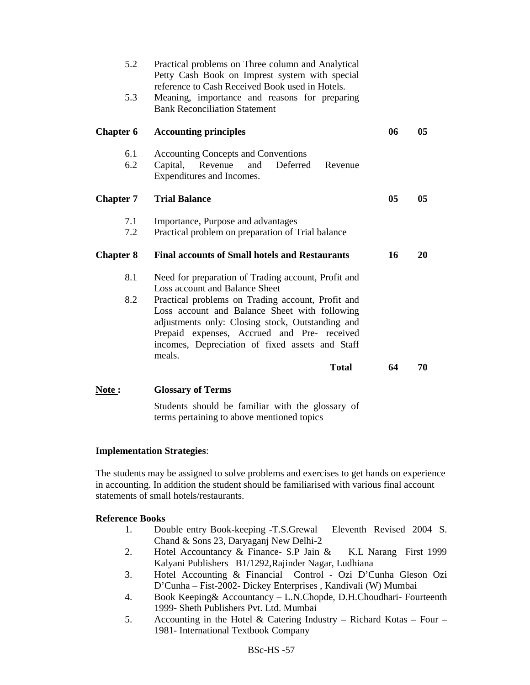| 5.2<br>5.3       | Practical problems on Three column and Analytical<br>Petty Cash Book on Imprest system with special<br>reference to Cash Received Book used in Hotels.<br>Meaning, importance and reasons for preparing                                                            |    |                |
|------------------|--------------------------------------------------------------------------------------------------------------------------------------------------------------------------------------------------------------------------------------------------------------------|----|----------------|
|                  | <b>Bank Reconciliation Statement</b>                                                                                                                                                                                                                               |    |                |
| <b>Chapter 6</b> | <b>Accounting principles</b>                                                                                                                                                                                                                                       | 06 | 05             |
| 6.1<br>6.2       | <b>Accounting Concepts and Conventions</b><br>Deferred<br>Capital, Revenue<br>and<br>Revenue<br>Expenditures and Incomes.                                                                                                                                          |    |                |
| <b>Chapter 7</b> | <b>Trial Balance</b>                                                                                                                                                                                                                                               | 05 | 0 <sub>5</sub> |
| 7.1<br>7.2       | Importance, Purpose and advantages<br>Practical problem on preparation of Trial balance                                                                                                                                                                            |    |                |
| <b>Chapter 8</b> | <b>Final accounts of Small hotels and Restaurants</b>                                                                                                                                                                                                              | 16 | 20             |
| 8.1              | Need for preparation of Trading account, Profit and<br>Loss account and Balance Sheet                                                                                                                                                                              |    |                |
| 8.2              | Practical problems on Trading account, Profit and<br>Loss account and Balance Sheet with following<br>adjustments only: Closing stock, Outstanding and<br>Prepaid expenses, Accrued and Pre- received<br>incomes, Depreciation of fixed assets and Staff<br>meals. |    |                |
|                  | <b>Total</b>                                                                                                                                                                                                                                                       | 64 | 70             |

**Note : Glossary of Terms** 

Students should be familiar with the glossary of terms pertaining to above mentioned topics

# **Implementation Strategies**:

The students may be assigned to solve problems and exercises to get hands on experience in accounting. In addition the student should be familiarised with various final account statements of small hotels/restaurants.

- 1. Double entry Book-keeping -T.S.Grewal Eleventh Revised 2004 S. Chand & Sons 23, Daryaganj New Delhi-2
- 2. Hotel Accountancy & Finance- S.P Jain & K.L Narang First 1999 Kalyani Publishers B1/1292,Rajinder Nagar, Ludhiana
- 3. Hotel Accounting & Financial Control Ozi D'Cunha Gleson Ozi D'Cunha – Fist-2002- Dickey Enterprises , Kandivali (W) Mumbai
- 4. Book Keeping& Accountancy L.N.Chopde, D.H.Choudhari- Fourteenth 1999- Sheth Publishers Pvt. Ltd. Mumbai
- 5. Accounting in the Hotel & Catering Industry Richard Kotas Four 1981- International Textbook Company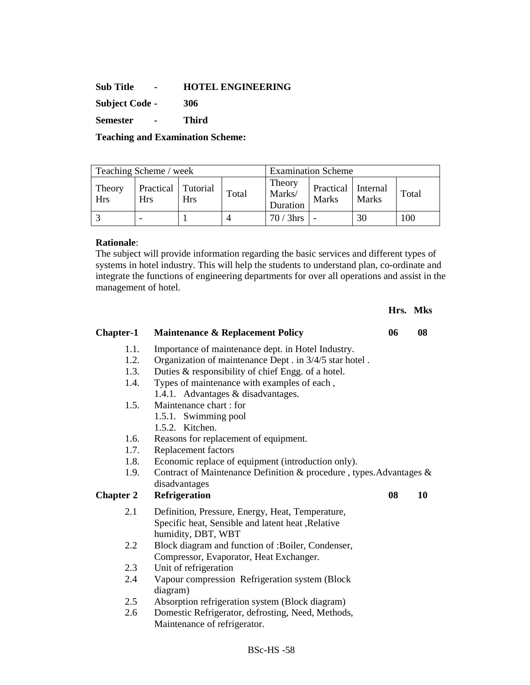### **Sub Title - HOTEL ENGINEERING**

**Subject Code - 306** 

**Semester - Third** 

**Teaching and Examination Scheme:** 

| Teaching Scheme / week |                                    |            |       | <b>Examination Scheme</b>    |                                    |              |       |
|------------------------|------------------------------------|------------|-------|------------------------------|------------------------------------|--------------|-------|
| Theory<br><b>Hrs</b>   | Practical   Tutorial<br><b>Hrs</b> | <b>Hrs</b> | Total | Theory<br>Marks/<br>Duration | Practical Internal<br><b>Marks</b> | <b>Marks</b> | Total |
|                        |                                    |            |       | $70/3$ hrs                   |                                    | 30           | 100   |

# **Rationale**:

The subject will provide information regarding the basic services and different types of systems in hotel industry. This will help the students to understand plan, co-ordinate and integrate the functions of engineering departments for over all operations and assist in the management of hotel.

|                  |                                                                     |    | Hrs. Mks |
|------------------|---------------------------------------------------------------------|----|----------|
| <b>Chapter-1</b> | <b>Maintenance &amp; Replacement Policy</b>                         | 06 | 08       |
| 1.1.             | Importance of maintenance dept. in Hotel Industry.                  |    |          |
| 1.2.             | Organization of maintenance Dept . in 3/4/5 star hotel.             |    |          |
| 1.3.             | Duties & responsibility of chief Engg. of a hotel.                  |    |          |
| 1.4.             | Types of maintenance with examples of each,                         |    |          |
|                  | 1.4.1. Advantages & disadvantages.                                  |    |          |
| 1.5.             | Maintenance chart : for                                             |    |          |
|                  | 1.5.1. Swimming pool                                                |    |          |
|                  | 1.5.2. Kitchen.                                                     |    |          |
| 1.6.             | Reasons for replacement of equipment.                               |    |          |
| 1.7.             | Replacement factors                                                 |    |          |
| 1.8.             | Economic replace of equipment (introduction only).                  |    |          |
| 1.9.             | Contract of Maintenance Definition & procedure, types. Advantages & |    |          |
|                  | disadvantages                                                       |    |          |
| <b>Chapter 2</b> | <b>Refrigeration</b>                                                | 08 | 10       |
| 2.1              | Definition, Pressure, Energy, Heat, Temperature,                    |    |          |
|                  | Specific heat, Sensible and latent heat , Relative                  |    |          |
|                  | humidity, DBT, WBT                                                  |    |          |
| 2.2              | Block diagram and function of :Boiler, Condenser,                   |    |          |
|                  | Compressor, Evaporator, Heat Exchanger.                             |    |          |
| 2.3              | Unit of refrigeration                                               |    |          |
| 2.4              | Vapour compression Refrigeration system (Block                      |    |          |
|                  | diagram)                                                            |    |          |
| 2.5              | Absorption refrigeration system (Block diagram)                     |    |          |
| 2.6              | Domestic Refrigerator, defrosting, Need, Methods,                   |    |          |
|                  | Maintenance of refrigerator.                                        |    |          |
|                  |                                                                     |    |          |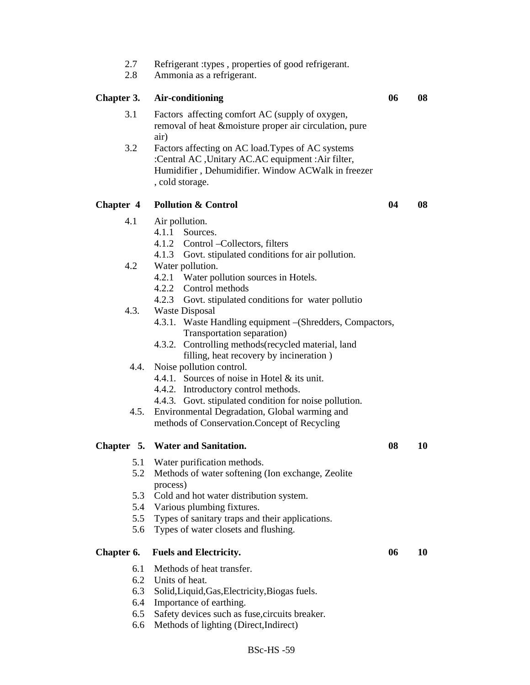| 2.7<br>2.8       | Refrigerant : types, properties of good refrigerant.<br>Ammonia as a refrigerant.                                                                                                                                                  |    |    |
|------------------|------------------------------------------------------------------------------------------------------------------------------------------------------------------------------------------------------------------------------------|----|----|
| Chapter 3.       | Air-conditioning                                                                                                                                                                                                                   | 06 | 08 |
| 3.1              | Factors affecting comfort AC (supply of oxygen,<br>removal of heat & moisture proper air circulation, pure<br>air)                                                                                                                 |    |    |
| 3.2              | Factors affecting on AC load. Types of AC systems<br>:Central AC, Unitary AC.AC equipment :Air filter,<br>Humidifier, Dehumidifier. Window ACWalk in freezer<br>, cold storage.                                                    |    |    |
| <b>Chapter 4</b> | <b>Pollution &amp; Control</b>                                                                                                                                                                                                     | 04 | 08 |
| 4.1              | Air pollution.<br>4.1.1 Sources.<br>4.1.2 Control – Collectors, filters<br>4.1.3 Govt. stipulated conditions for air pollution.                                                                                                    |    |    |
| 4.2              | Water pollution.<br>4.2.1 Water pollution sources in Hotels.<br>4.2.2 Control methods                                                                                                                                              |    |    |
| 4.3.             | 4.2.3 Govt. stipulated conditions for water pollutio<br><b>Waste Disposal</b><br>4.3.1. Waste Handling equipment - (Shredders, Compactors,<br>Transportation separation)<br>Controlling methods (recycled material, land<br>4.3.2. |    |    |
| 4.4.             | filling, heat recovery by incineration)<br>Noise pollution control.<br>4.4.1. Sources of noise in Hotel & its unit.<br>4.4.2. Introductory control methods.                                                                        |    |    |
| 4.5.             | 4.4.3. Govt. stipulated condition for noise pollution.<br>Environmental Degradation, Global warming and<br>methods of Conservation. Concept of Recycling                                                                           |    |    |
|                  | Chapter 5. Water and Sanitation.                                                                                                                                                                                                   | 08 | 10 |
| 5.1              | Water purification methods.                                                                                                                                                                                                        |    |    |
| 5.2              | Methods of water softening (Ion exchange, Zeolite)<br>process)                                                                                                                                                                     |    |    |
| 5.3              | Cold and hot water distribution system.                                                                                                                                                                                            |    |    |
| 5.4              | Various plumbing fixtures.                                                                                                                                                                                                         |    |    |
| 5.5              | Types of sanitary traps and their applications.                                                                                                                                                                                    |    |    |
| 5.6              | Types of water closets and flushing.                                                                                                                                                                                               |    |    |
| Chapter 6.       | <b>Fuels and Electricity.</b>                                                                                                                                                                                                      | 06 | 10 |
| 6.1              | Methods of heat transfer.                                                                                                                                                                                                          |    |    |
| 6.2              | Units of heat.                                                                                                                                                                                                                     |    |    |
| 6.3              | Solid, Liquid, Gas, Electricity, Biogas fuels.                                                                                                                                                                                     |    |    |
| 6.4              | Importance of earthing.                                                                                                                                                                                                            |    |    |
| 6.5<br>6.6       | Safety devices such as fuse, circuits breaker.<br>Methods of lighting (Direct, Indirect)                                                                                                                                           |    |    |
|                  |                                                                                                                                                                                                                                    |    |    |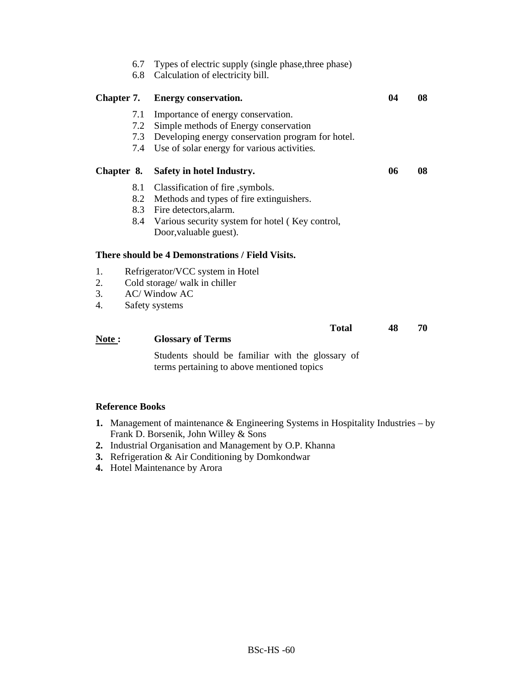|                      | 6.7<br>6.8        | Types of electric supply (single phase, three phase)<br>Calculation of electricity bill.                                                                                                        |    |    |
|----------------------|-------------------|-------------------------------------------------------------------------------------------------------------------------------------------------------------------------------------------------|----|----|
| Chapter 7.           |                   | <b>Energy conservation.</b>                                                                                                                                                                     | 04 | 08 |
|                      | 7.1<br>7.2<br>7.4 | Importance of energy conservation.<br>Simple methods of Energy conservation<br>7.3 Developing energy conservation program for hotel.<br>Use of solar energy for various activities.             |    |    |
| Chapter 8.           |                   | Safety in hotel Industry.                                                                                                                                                                       | 06 | 08 |
|                      | 8.1               | Classification of fire, symbols.<br>8.2 Methods and types of fire extinguishers.<br>8.3 Fire detectors, alarm.<br>8.4 Various security system for hotel (Key control,<br>Door, valuable guest). |    |    |
|                      |                   | There should be 4 Demonstrations / Field Visits.                                                                                                                                                |    |    |
| 1.<br>2.<br>3.<br>4. |                   | Refrigerator/VCC system in Hotel<br>Cold storage/ walk in chiller<br><b>AC/</b> Window AC<br>Safety systems                                                                                     |    |    |
| Note:                |                   | <b>Total</b><br><b>Glossary of Terms</b>                                                                                                                                                        | 48 | 70 |
|                      |                   | Students should be familiar with the glossary of<br>terms pertaining to above mentioned topics                                                                                                  |    |    |

- **1.** Management of maintenance & Engineering Systems in Hospitality Industries by Frank D. Borsenik, John Willey & Sons
- **2.** Industrial Organisation and Management by O.P. Khanna
- **3.** Refrigeration & Air Conditioning by Domkondwar
- **4.** Hotel Maintenance by Arora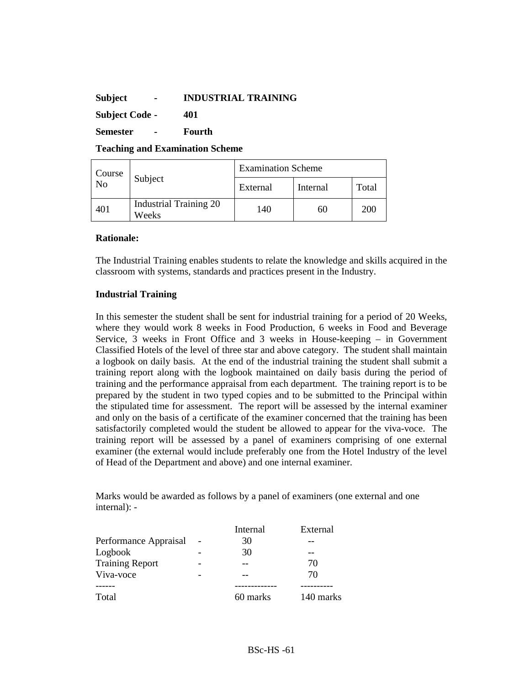### **Subject - INDUSTRIAL TRAINING**

**Subject Code - 401** 

**Semester - Fourth** 

**Teaching and Examination Scheme** 

|              |                                        | <b>Examination Scheme</b> |          |       |  |
|--------------|----------------------------------------|---------------------------|----------|-------|--|
| Course<br>No | Subject                                | External                  | Internal | Total |  |
| 401          | <b>Industrial Training 20</b><br>Weeks | 140                       | 60       | 200   |  |

### **Rationale:**

The Industrial Training enables students to relate the knowledge and skills acquired in the classroom with systems, standards and practices present in the Industry.

### **Industrial Training**

In this semester the student shall be sent for industrial training for a period of 20 Weeks, where they would work 8 weeks in Food Production, 6 weeks in Food and Beverage Service, 3 weeks in Front Office and 3 weeks in House-keeping – in Government Classified Hotels of the level of three star and above category. The student shall maintain a logbook on daily basis. At the end of the industrial training the student shall submit a training report along with the logbook maintained on daily basis during the period of training and the performance appraisal from each department. The training report is to be prepared by the student in two typed copies and to be submitted to the Principal within the stipulated time for assessment. The report will be assessed by the internal examiner and only on the basis of a certificate of the examiner concerned that the training has been satisfactorily completed would the student be allowed to appear for the viva-voce. The training report will be assessed by a panel of examiners comprising of one external examiner (the external would include preferably one from the Hotel Industry of the level of Head of the Department and above) and one internal examiner.

Marks would be awarded as follows by a panel of examiners (one external and one internal): -

|                        | Internal | External  |
|------------------------|----------|-----------|
| Performance Appraisal  | 30       |           |
| Logbook                | 30       |           |
| <b>Training Report</b> |          | 70        |
| Viva-voce              |          | 70        |
|                        |          |           |
| Total                  | 60 marks | 140 marks |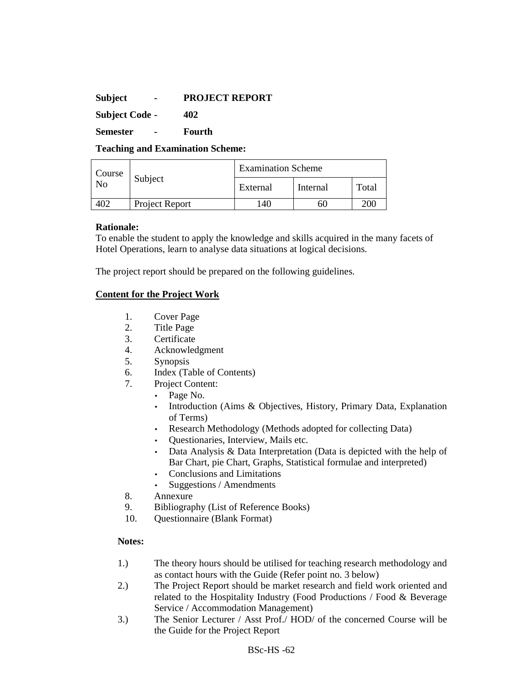### **Subject - PROJECT REPORT**

**Subject Code - 402** 

**Semester - Fourth** 

**Teaching and Examination Scheme:** 

| Course |                | <b>Examination Scheme</b> |          |       |  |
|--------|----------------|---------------------------|----------|-------|--|
| No     | Subject        | External                  | Internal | Total |  |
|        | Project Report | 40                        | 61.      | 200   |  |

### **Rationale:**

To enable the student to apply the knowledge and skills acquired in the many facets of Hotel Operations, learn to analyse data situations at logical decisions.

The project report should be prepared on the following guidelines.

# **Content for the Project Work**

- 1. Cover Page
- 2. Title Page
- 3. Certificate
- 4. Acknowledgment
- 5. Synopsis
- 6. Index (Table of Contents)
- 7. Project Content:
	- Page No.
		- Introduction (Aims & Objectives, History, Primary Data, Explanation of Terms)
		- Research Methodology (Methods adopted for collecting Data)
		- Questionaries, Interview, Mails etc.
		- Data Analysis & Data Interpretation (Data is depicted with the help of Bar Chart, pie Chart, Graphs, Statistical formulae and interpreted)
		- Conclusions and Limitations
		- Suggestions / Amendments
- 8. Annexure
- 9. Bibliography (List of Reference Books)
- 10. Questionnaire (Blank Format)

# **Notes:**

- 1.) The theory hours should be utilised for teaching research methodology and as contact hours with the Guide (Refer point no. 3 below)
- 2.) The Project Report should be market research and field work oriented and related to the Hospitality Industry (Food Productions / Food & Beverage Service / Accommodation Management)
- 3.) The Senior Lecturer / Asst Prof./ HOD/ of the concerned Course will be the Guide for the Project Report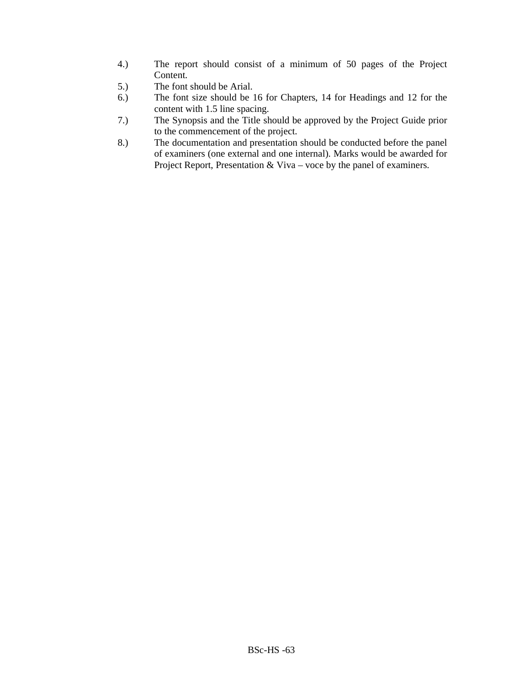- 4.) The report should consist of a minimum of 50 pages of the Project Content.
- 5.) The font should be Arial.
- 6.) The font size should be 16 for Chapters, 14 for Headings and 12 for the content with 1.5 line spacing.
- 7.) The Synopsis and the Title should be approved by the Project Guide prior to the commencement of the project.
- 8.) The documentation and presentation should be conducted before the panel of examiners (one external and one internal). Marks would be awarded for Project Report, Presentation & Viva – voce by the panel of examiners.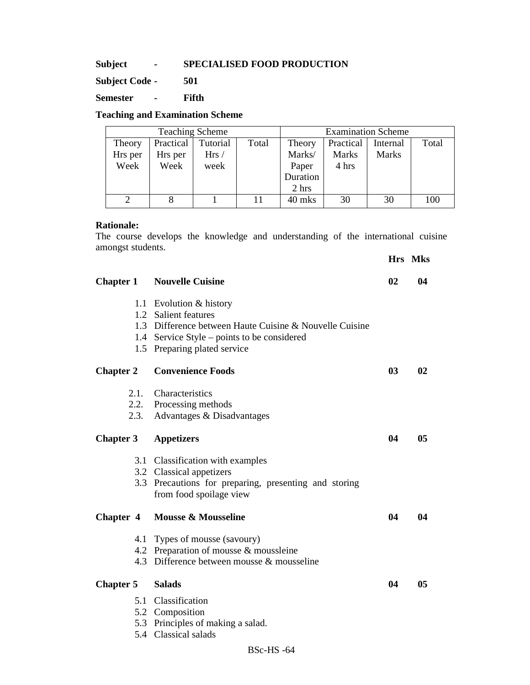### **Subject - SPECIALISED FOOD PRODUCTION**

**Subject Code - 501** 

**Semester - Fifth** 

### **Teaching and Examination Scheme**

|         |           | <b>Teaching Scheme</b> |       | <b>Examination Scheme</b> |           |              |       |
|---------|-----------|------------------------|-------|---------------------------|-----------|--------------|-------|
| Theory  | Practical | Tutorial               | Total | Theory                    | Practical | Internal     | Total |
| Hrs per | Hrs per   | Hrs/                   |       | Marks/                    | Marks     | <b>Marks</b> |       |
| Week    | Week      | week                   |       | Paper                     | 4 hrs     |              |       |
|         |           |                        |       | Duration                  |           |              |       |
|         |           |                        |       | 2 hrs                     |           |              |       |
|         |           |                        |       | 40 mks                    | 30        | 30           | 100   |

### **Rationale:**

The course develops the knowledge and understanding of the international cuisine amongst students.

**Chapter 1 • Nouvelle Cuisine 02 • 04 02 04** 1.1 Evolution & history 1.2 Salient features 1.3 Difference between Haute Cuisine & Nouvelle Cuisine 1.4 Service Style – points to be considered 1.5 Preparing plated service **Chapter 2 Convenience Foods** 03 02 2.1. Characteristics 2.2. Processing methods 2.3. Advantages & Disadvantages **Chapter 3 Appetizers 04 05** 3.1 Classification with examples 3.2 Classical appetizers 3.3 Precautions for preparing, presenting and storing from food spoilage view Chapter 4 Mousse & Mousseline 04 04 04 4.1 Types of mousse (savoury) 4.2 Preparation of mousse & moussleine 4.3 Difference between mousse & mousseline **Chapter 5 Salads 04 05**  5.1 Classification 5.2 Composition

5.3 Principles of making a salad.

5.4 Classical salads

### **Hrs Mks**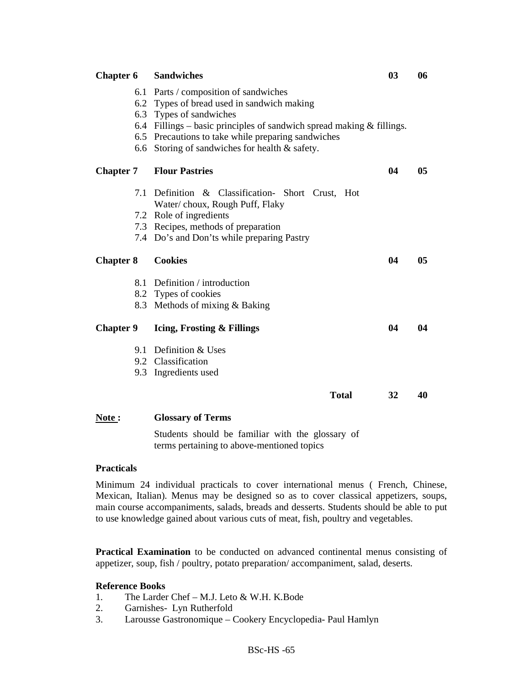| <b>Chapter 6</b> | <b>Sandwiches</b>                                                                                                                                                                                                                                                                                     | 03 | 06             |
|------------------|-------------------------------------------------------------------------------------------------------------------------------------------------------------------------------------------------------------------------------------------------------------------------------------------------------|----|----------------|
|                  | 6.1 Parts / composition of sandwiches<br>6.2 Types of bread used in sandwich making<br>6.3 Types of sandwiches<br>6.4 Fillings – basic principles of sandwich spread making $\&$ fillings.<br>6.5 Precautions to take while preparing sandwiches<br>6.6 Storing of sandwiches for health $\&$ safety. |    |                |
| <b>Chapter 7</b> | <b>Flour Pastries</b>                                                                                                                                                                                                                                                                                 | 04 | 0 <sub>5</sub> |
| 7.1              | Definition & Classification- Short Crust, Hot<br>Water/choux, Rough Puff, Flaky                                                                                                                                                                                                                       |    |                |
|                  | 7.2 Role of ingredients                                                                                                                                                                                                                                                                               |    |                |
|                  | 7.3 Recipes, methods of preparation                                                                                                                                                                                                                                                                   |    |                |
|                  | 7.4 Do's and Don'ts while preparing Pastry                                                                                                                                                                                                                                                            |    |                |
|                  |                                                                                                                                                                                                                                                                                                       |    |                |
| <b>Chapter 8</b> | <b>Cookies</b>                                                                                                                                                                                                                                                                                        | 04 | 0 <sub>5</sub> |
|                  | 8.1 Definition / introduction                                                                                                                                                                                                                                                                         |    |                |
|                  | 8.2 Types of cookies                                                                                                                                                                                                                                                                                  |    |                |
|                  | 8.3 Methods of mixing & Baking                                                                                                                                                                                                                                                                        |    |                |
| <b>Chapter 9</b> | Icing, Frosting & Fillings                                                                                                                                                                                                                                                                            | 04 | 04             |
|                  | 9.1 Definition & Uses                                                                                                                                                                                                                                                                                 |    |                |
|                  | 9.2 Classification                                                                                                                                                                                                                                                                                    |    |                |
|                  | 9.3 Ingredients used                                                                                                                                                                                                                                                                                  |    |                |
|                  | <b>Total</b>                                                                                                                                                                                                                                                                                          | 32 | 40             |

Students should be familiar with the glossary of terms pertaining to above-mentioned topics

### **Practicals**

Minimum 24 individual practicals to cover international menus ( French, Chinese, Mexican, Italian). Menus may be designed so as to cover classical appetizers, soups, main course accompaniments, salads, breads and desserts. Students should be able to put to use knowledge gained about various cuts of meat, fish, poultry and vegetables.

**Practical Examination** to be conducted on advanced continental menus consisting of appetizer, soup, fish / poultry, potato preparation/ accompaniment, salad, deserts.

- 1. The Larder Chef M.J. Leto & W.H. K.Bode
- 2. Garnishes- Lyn Rutherfold
- 3. Larousse Gastronomique Cookery Encyclopedia- Paul Hamlyn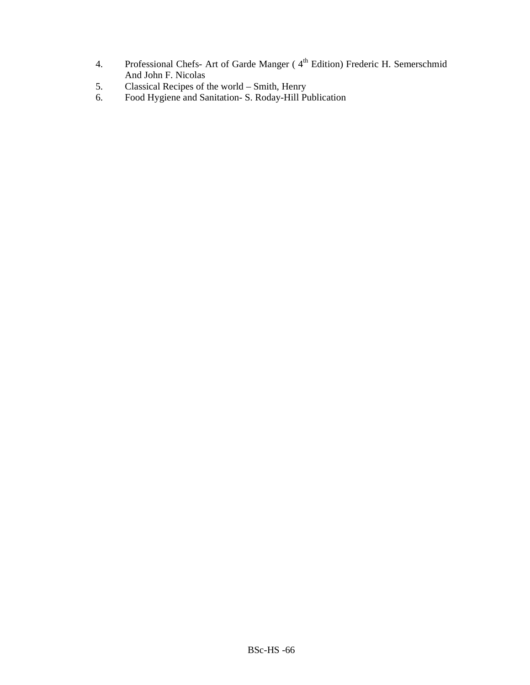- 4. Professional Chefs- Art of Garde Manger (4<sup>th</sup> Edition) Frederic H. Semerschmid And John F. Nicolas
- 5. Classical Recipes of the world Smith, Henry
- 6. Food Hygiene and Sanitation- S. Roday-Hill Publication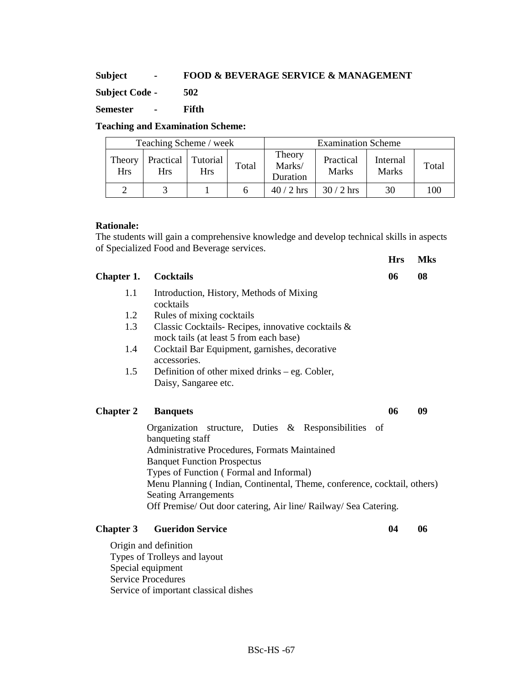# **Subject - FOOD & BEVERAGE SERVICE & MANAGEMENT**

**Subject Code - 502** 

**Semester - Fifth** 

# **Teaching and Examination Scheme:**

| Teaching Scheme / week |                         |                        |       |                              | <b>Examination Scheme</b> |                          |       |
|------------------------|-------------------------|------------------------|-------|------------------------------|---------------------------|--------------------------|-------|
| Theory<br><b>Hrs</b>   | Practical<br><b>Hrs</b> | Tutorial<br><b>Hrs</b> | Total | Theory<br>Marks/<br>Duration | Practical<br><b>Marks</b> | Internal<br><b>Marks</b> | Total |
|                        |                         |                        |       | $40/2$ hrs                   | $30/2$ hrs                | 30                       | 100   |

### **Rationale:**

The students will gain a comprehensive knowledge and develop technical skills in aspects of Specialized Food and Beverage services.

**Hrs Mks** 

| Chapter 1.       | <b>Cocktails</b>                                                         | 06 | 08 |
|------------------|--------------------------------------------------------------------------|----|----|
| 1.1              | Introduction, History, Methods of Mixing                                 |    |    |
|                  | cocktails                                                                |    |    |
| 1.2              | Rules of mixing cocktails                                                |    |    |
| 1.3              | Classic Cocktails-Recipes, innovative cocktails &                        |    |    |
|                  | mock tails (at least 5 from each base)                                   |    |    |
| 1.4              | Cocktail Bar Equipment, garnishes, decorative                            |    |    |
|                  | accessories.                                                             |    |    |
| 1.5              | Definition of other mixed drinks – eg. Cobler,                           |    |    |
|                  | Daisy, Sangaree etc.                                                     |    |    |
|                  |                                                                          |    |    |
| <b>Chapter 2</b> | <b>Banquets</b>                                                          | 06 | 09 |
|                  | Organization structure, Duties & Responsibilities of                     |    |    |
|                  | banqueting staff                                                         |    |    |
|                  | Administrative Procedures, Formats Maintained                            |    |    |
|                  | <b>Banquet Function Prospectus</b>                                       |    |    |
|                  | Types of Function (Formal and Informal)                                  |    |    |
|                  | Menu Planning (Indian, Continental, Theme, conference, cocktail, others) |    |    |
|                  | <b>Seating Arrangements</b>                                              |    |    |
|                  | Off Premise/ Out door catering, Air line/ Railway/ Sea Catering.         |    |    |
| <b>Chapter 3</b> | <b>Gueridon Service</b>                                                  | 04 | 06 |
|                  |                                                                          |    |    |
|                  | Origin and definition<br>Types of Trollove and lavout                    |    |    |

Types of Trolleys and layout Special equipment Service Procedures Service of important classical dishes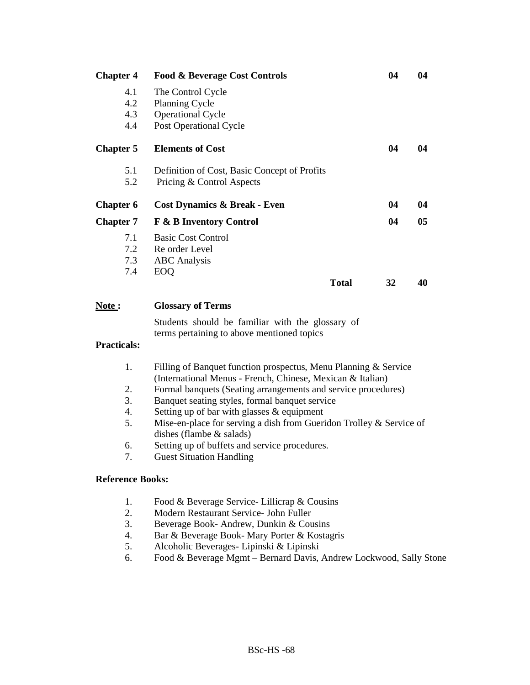| 4.1<br>The Control Cycle                               |    |    |
|--------------------------------------------------------|----|----|
| 4.2<br><b>Planning Cycle</b>                           |    |    |
| 4.3<br><b>Operational Cycle</b>                        |    |    |
| 4.4<br>Post Operational Cycle                          |    |    |
| <b>Elements of Cost</b><br><b>Chapter 5</b>            | 04 | 04 |
| 5.1<br>Definition of Cost, Basic Concept of Profits    |    |    |
| 5.2<br>Pricing & Control Aspects                       |    |    |
| <b>Chapter 6</b><br>Cost Dynamics & Break - Even       | 04 | 04 |
| <b>F &amp; B Inventory Control</b><br><b>Chapter 7</b> | 04 | 05 |
| 7.1<br><b>Basic Cost Control</b>                       |    |    |
| 7.2<br>Re order Level                                  |    |    |
| 7.3<br><b>ABC</b> Analysis                             |    |    |
| 7.4<br><b>EOQ</b>                                      |    |    |
| <b>Total</b>                                           | 32 | 40 |

### **Note : Glossary of Terms**

Students should be familiar with the glossary of terms pertaining to above mentioned topics

# **Practicals:**

- 1. Filling of Banquet function prospectus, Menu Planning & Service (International Menus - French, Chinese, Mexican & Italian)
- 2. Formal banquets (Seating arrangements and service procedures)
- 3. Banquet seating styles, formal banquet service
- 4. Setting up of bar with glasses & equipment
- 5. Mise-en-place for serving a dish from Gueridon Trolley & Service of dishes (flambe & salads)
- 6. Setting up of buffets and service procedures.
- 7. Guest Situation Handling

- 1. Food & Beverage Service- Lillicrap & Cousins
- 2. Modern Restaurant Service- John Fuller
- 3. Beverage Book- Andrew, Dunkin & Cousins
- 4. Bar & Beverage Book- Mary Porter & Kostagris
- 5. Alcoholic Beverages- Lipinski & Lipinski
- 6. Food & Beverage Mgmt Bernard Davis, Andrew Lockwood, Sally Stone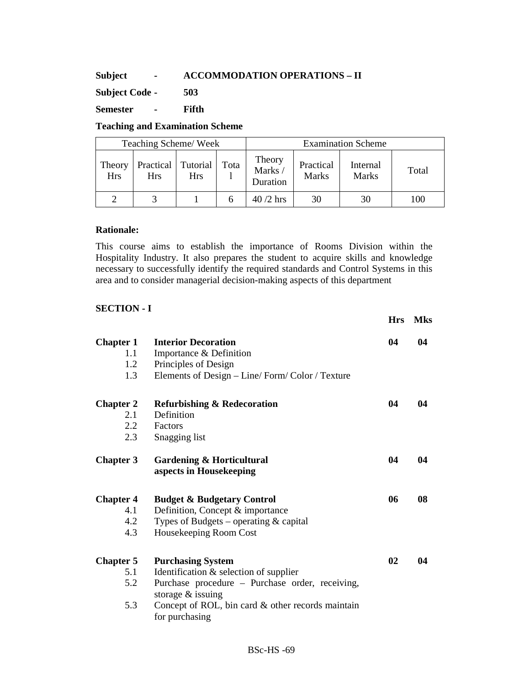# **Subject - ACCOMMODATION OPERATIONS – II**

**Subject Code - 503** 

**Semester - Fifth** 

### **Teaching and Examination Scheme**

|                      | Teaching Scheme/Week    |                        |      |                              |                           | <b>Examination Scheme</b> |       |
|----------------------|-------------------------|------------------------|------|------------------------------|---------------------------|---------------------------|-------|
| Theory<br><b>Hrs</b> | Practical<br><b>Hrs</b> | Tutorial<br><b>Hrs</b> | Tota | Theory<br>Marks/<br>Duration | Practical<br><b>Marks</b> | Internal<br>Marks         | Total |
|                      |                         |                        |      | $40/2$ hrs                   | 30                        | 30                        | 100   |

## **Rationale:**

This course aims to establish the importance of Rooms Division within the Hospitality Industry. It also prepares the student to acquire skills and knowledge necessary to successfully identify the required standards and Control Systems in this area and to consider managerial decision-making aspects of this department

### **SECTION - I**

|                  |                                                                 | <b>Hrs</b> | <b>Mks</b> |
|------------------|-----------------------------------------------------------------|------------|------------|
| <b>Chapter 1</b> | <b>Interior Decoration</b>                                      | 04         | 04         |
| 1.1              | Importance & Definition                                         |            |            |
| 1.2              | Principles of Design                                            |            |            |
| 1.3              | Elements of Design - Line/Form/Color / Texture                  |            |            |
| <b>Chapter 2</b> | <b>Refurbishing &amp; Redecoration</b>                          | 04         | 04         |
| 2.1              | Definition                                                      |            |            |
| 2.2              | Factors                                                         |            |            |
| 2.3              | Snagging list                                                   |            |            |
| <b>Chapter 3</b> | <b>Gardening &amp; Horticultural</b><br>aspects in Housekeeping | 04         | 04         |
| <b>Chapter 4</b> | <b>Budget &amp; Budgetary Control</b>                           | 06         | 08         |
| 4.1              | Definition, Concept & importance                                |            |            |
| 4.2              | Types of Budgets – operating $&$ capital                        |            |            |
| 4.3              | Housekeeping Room Cost                                          |            |            |
| <b>Chapter 5</b> | <b>Purchasing System</b>                                        | 02         | 04         |
| 5.1              | Identification $&$ selection of supplier                        |            |            |
| 5.2              | Purchase procedure – Purchase order, receiving,                 |            |            |
|                  | storage $&$ issuing                                             |            |            |
| 5.3              | Concept of ROL, bin card & other records maintain               |            |            |
|                  | for purchasing                                                  |            |            |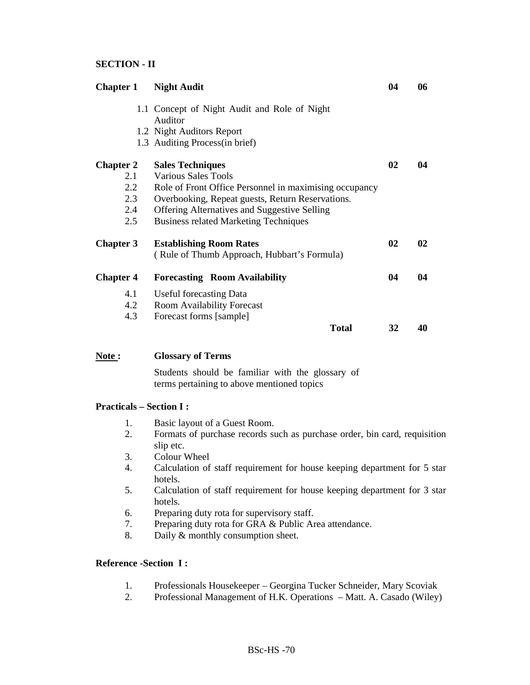# **SECTION - II**

|                                              | <b>Chapter 1</b> Night Audit                           | 04 | 06 |
|----------------------------------------------|--------------------------------------------------------|----|----|
| 1.1 Concept of Night Audit and Role of Night |                                                        |    |    |
|                                              | Auditor<br>1.2 Night Auditors Report                   |    |    |
|                                              | 1.3 Auditing Process (in brief)                        |    |    |
|                                              |                                                        |    |    |
| <b>Chapter 2</b>                             | <b>Sales Techniques</b>                                | 02 | 04 |
| 2.1                                          | <b>Various Sales Tools</b>                             |    |    |
| 2.2                                          | Role of Front Office Personnel in maximising occupancy |    |    |
| 2.3                                          |                                                        |    |    |
| 2.4                                          |                                                        |    |    |
| 2.5                                          | <b>Business related Marketing Techniques</b>           |    |    |
| <b>Chapter 3</b>                             | <b>Establishing Room Rates</b>                         | 02 | 02 |
|                                              | (Rule of Thumb Approach, Hubbart's Formula)            |    |    |
| <b>Chapter 4</b>                             | <b>Forecasting Room Availability</b>                   | 04 | 04 |
| 4.1                                          | <b>Useful forecasting Data</b>                         |    |    |
| 4.2                                          | <b>Room Availability Forecast</b>                      |    |    |
| 4.3                                          | Forecast forms [sample]                                |    |    |
|                                              | <b>Total</b>                                           | 32 | 40 |

#### **Note : Glossary of Terms**

Students should be familiar with the glossary of terms pertaining to above mentioned topics

## **Practicals – Section I :**

- 1. Basic layout of a Guest Room.
- 2. Formats of purchase records such as purchase order, bin card, requisition slip etc.
- 3. Colour Wheel
- 4. Calculation of staff requirement for house keeping department for 5 star hotels.
- 5. Calculation of staff requirement for house keeping department for 3 star hotels.
- 6. Preparing duty rota for supervisory staff.
- 7. Preparing duty rota for GRA & Public Area attendance.
- 8. Daily & monthly consumption sheet.

#### **Reference -Section I :**

- 1. Professionals Housekeeper Georgina Tucker Schneider, Mary Scoviak
- 2. Professional Management of H.K. Operations Matt. A. Casado (Wiley)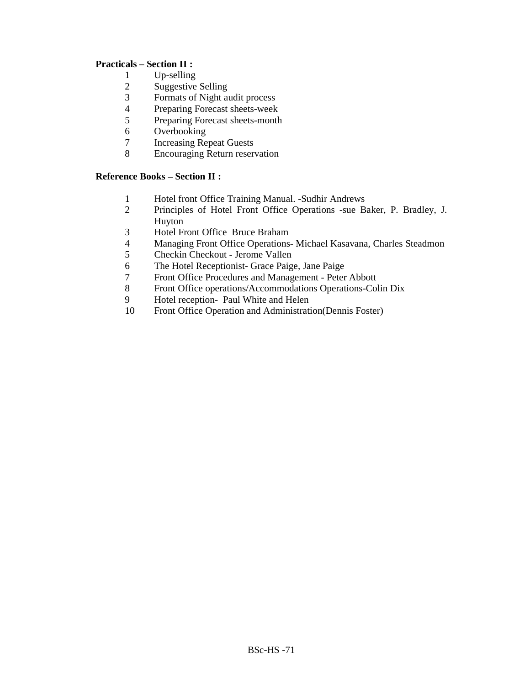# **Practicals – Section II :**

- 
- 1 Up-selling<br>2 Suggestive Suggestive Selling
- 3 Formats of Night audit process
- 4 Preparing Forecast sheets-week<br>5 Preparing Forecast sheets-month
- 5 Preparing Forecast sheets-month
- 6 Overbooking
- 7 Increasing Repeat Guests
- 8 Encouraging Return reservation

# **Reference Books – Section II :**

- 1 Hotel front Office Training Manual. -Sudhir Andrews<br>2 Principles of Hotel Front Office Operations -sue B
- 2 Principles of Hotel Front Office Operations -sue Baker, P. Bradley, J. Huyton
- 3 Hotel Front Office Bruce Braham<br>4 Managing Front Office Operations
- 4 Managing Front Office Operations- Michael Kasavana, Charles Steadmon
- 5 Checkin Checkout Jerome Vallen
- 6 The Hotel Receptionist- Grace Paige, Jane Paige
- 7 Front Office Procedures and Management Peter Abbott
- 8 Front Office operations/Accommodations Operations-Colin Dix
- 9 Hotel reception- Paul White and Helen<br>10 Front Office Operation and Administration
- Front Office Operation and Administration(Dennis Foster)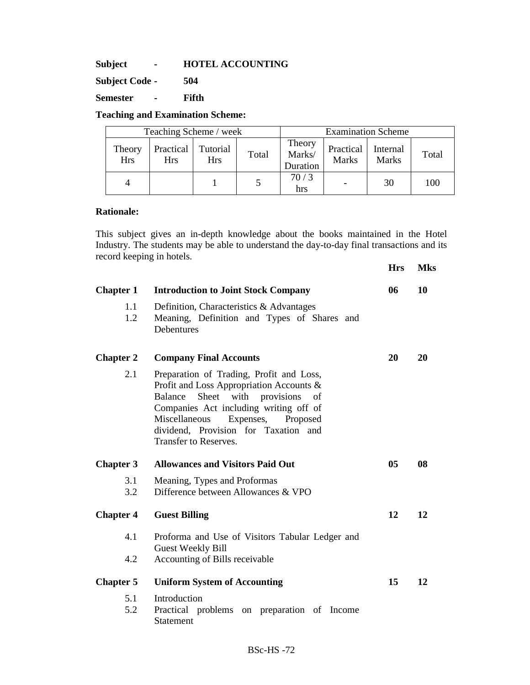**Subject - HOTEL ACCOUNTING** 

**Subject Code - 504** 

**Semester - Fifth** 

# **Teaching and Examination Scheme:**

| Teaching Scheme / week |                                    |            |       | <b>Examination Scheme</b>    |                                      |              |       |
|------------------------|------------------------------------|------------|-------|------------------------------|--------------------------------------|--------------|-------|
| Theory<br><b>Hrs</b>   | Practical   Tutorial<br><b>Hrs</b> | <b>Hrs</b> | Total | Theory<br>Marks/<br>Duration | Practical   Internal<br><b>Marks</b> | <b>Marks</b> | Total |
|                        |                                    |            |       | 70/3<br>hrs                  |                                      | 30           | 100   |

# **Rationale:**

This subject gives an in-depth knowledge about the books maintained in the Hotel Industry. The students may be able to understand the day-to-day final transactions and its record keeping in hotels.

|                  |                                                                                                                                                                                                                                                                                  | <b>Hrs</b> | <b>Mks</b> |
|------------------|----------------------------------------------------------------------------------------------------------------------------------------------------------------------------------------------------------------------------------------------------------------------------------|------------|------------|
| <b>Chapter 1</b> | <b>Introduction to Joint Stock Company</b>                                                                                                                                                                                                                                       | 06         | 10         |
| 1.1<br>1.2       | Definition, Characteristics & Advantages<br>Meaning, Definition and Types of Shares and<br>Debentures                                                                                                                                                                            |            |            |
| <b>Chapter 2</b> | <b>Company Final Accounts</b>                                                                                                                                                                                                                                                    | 20         | 20         |
| 2.1              | Preparation of Trading, Profit and Loss,<br>Profit and Loss Appropriation Accounts &<br>Sheet with provisions<br>Balance<br>of<br>Companies Act including writing off of<br>Miscellaneous<br>Expenses, Proposed<br>dividend, Provision for Taxation and<br>Transfer to Reserves. |            |            |
| <b>Chapter 3</b> | <b>Allowances and Visitors Paid Out</b>                                                                                                                                                                                                                                          | 05         | 08         |
| 3.1              | Meaning, Types and Proformas                                                                                                                                                                                                                                                     |            |            |
| 3.2              | Difference between Allowances & VPO                                                                                                                                                                                                                                              |            |            |
| <b>Chapter 4</b> | <b>Guest Billing</b>                                                                                                                                                                                                                                                             | 12         | 12         |
| 4.1              | Proforma and Use of Visitors Tabular Ledger and<br><b>Guest Weekly Bill</b>                                                                                                                                                                                                      |            |            |
| 4.2              | Accounting of Bills receivable                                                                                                                                                                                                                                                   |            |            |
| <b>Chapter 5</b> | <b>Uniform System of Accounting</b>                                                                                                                                                                                                                                              | 15         | 12         |
| 5.1              | Introduction                                                                                                                                                                                                                                                                     |            |            |
| 5.2              | Practical problems on preparation of Income<br>Statement                                                                                                                                                                                                                         |            |            |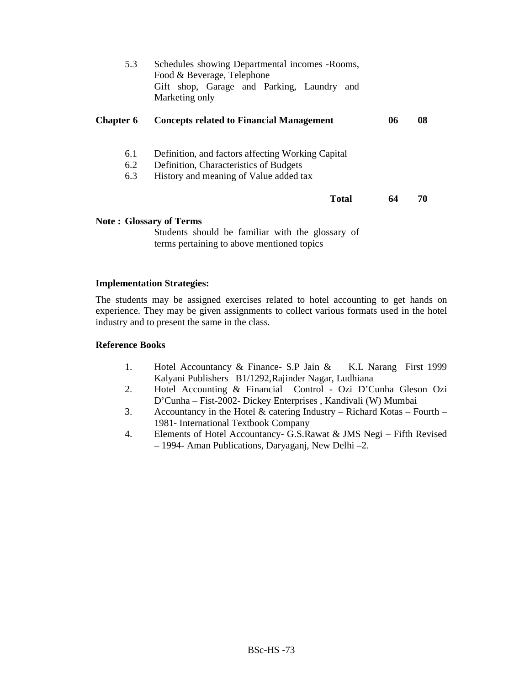| 5.3              | Schedules showing Departmental incomes - Rooms,<br>Food & Beverage, Telephone<br>Gift shop, Garage and Parking, Laundry and<br>Marketing only |    |    |
|------------------|-----------------------------------------------------------------------------------------------------------------------------------------------|----|----|
| <b>Chapter 6</b> | <b>Concepts related to Financial Management</b>                                                                                               | 06 | 08 |
| 6.1              | Definition, and factors affecting Working Capital                                                                                             |    |    |
| 6.2              | Definition, Characteristics of Budgets                                                                                                        |    |    |
| 6.3              | History and meaning of Value added tax                                                                                                        |    |    |
|                  | <b>Total</b>                                                                                                                                  | 64 | 70 |
|                  | <b>Note: Glossary of Terms</b>                                                                                                                |    |    |

Students should be familiar with the glossary of terms pertaining to above mentioned topics

### **Implementation Strategies:**

The students may be assigned exercises related to hotel accounting to get hands on experience. They may be given assignments to collect various formats used in the hotel industry and to present the same in the class.

## **Reference Books**

- 1. Hotel Accountancy & Finance- S.P Jain & K.L Narang First 1999 Kalyani Publishers B1/1292,Rajinder Nagar, Ludhiana
- 2. Hotel Accounting & Financial Control Ozi D'Cunha Gleson Ozi D'Cunha – Fist-2002- Dickey Enterprises , Kandivali (W) Mumbai
- 3. Accountancy in the Hotel & catering Industry Richard Kotas Fourth 1981- International Textbook Company
- 4. Elements of Hotel Accountancy- G.S.Rawat & JMS Negi Fifth Revised – 1994- Aman Publications, Daryaganj, New Delhi –2.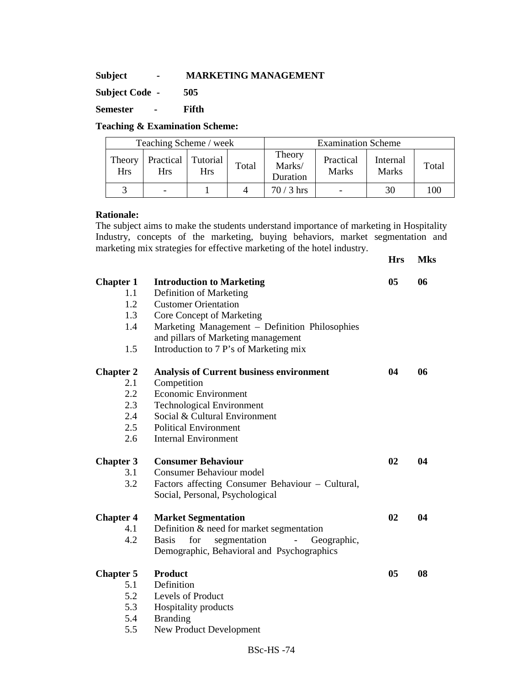# **Subject - MARKETING MANAGEMENT**

**Subject Code - 505** 

**Semester - Fifth** 

# **Teaching & Examination Scheme:**

| Teaching Scheme / week |                                  |            |       | <b>Examination Scheme</b>    |                           |                          |       |
|------------------------|----------------------------------|------------|-------|------------------------------|---------------------------|--------------------------|-------|
| Theory<br>Hrs          | Practical Tutorial<br><b>Hrs</b> | <b>Hrs</b> | Total | Theory<br>Marks/<br>Duration | Practical<br><b>Marks</b> | Internal<br><b>Marks</b> | Total |
|                        |                                  |            |       | $70/3$ hrs                   | $\overline{\phantom{a}}$  | 30                       | 100   |

# **Rationale:**

The subject aims to make the students understand importance of marketing in Hospitality Industry, concepts of the marketing, buying behaviors, market segmentation and marketing mix strategies for effective marketing of the hotel industry.

**Hrs Mks** 

| <b>Chapter 1</b><br>1.1<br>1.2<br>1.3<br>1.4<br>1.5        | <b>Introduction to Marketing</b><br>Definition of Marketing<br><b>Customer Orientation</b><br>Core Concept of Marketing<br>Marketing Management - Definition Philosophies<br>and pillars of Marketing management<br>Introduction to 7 P's of Marketing mix | 0 <sub>5</sub> | 06 |
|------------------------------------------------------------|------------------------------------------------------------------------------------------------------------------------------------------------------------------------------------------------------------------------------------------------------------|----------------|----|
| <b>Chapter 2</b><br>2.1<br>2.2<br>2.3<br>2.4<br>2.5<br>2.6 | <b>Analysis of Current business environment</b><br>Competition<br><b>Economic Environment</b><br><b>Technological Environment</b><br>Social & Cultural Environment<br><b>Political Environment</b><br><b>Internal Environment</b>                          | 04             | 06 |
| <b>Chapter 3</b><br>3.1<br>3.2                             | <b>Consumer Behaviour</b><br>Consumer Behaviour model<br>Factors affecting Consumer Behaviour - Cultural,<br>Social, Personal, Psychological                                                                                                               | 02             | 04 |
| <b>Chapter 4</b><br>4.1<br>4.2                             | <b>Market Segmentation</b><br>Definition & need for market segmentation<br><b>Basis</b><br>for<br>segmentation<br>Geographic,<br>$\blacksquare$<br>Demographic, Behavioral and Psychographics                                                              | 02             | 04 |
| <b>Chapter 5</b><br>5.1<br>5.2<br>5.3<br>5.4<br>5.5        | <b>Product</b><br>Definition<br>Levels of Product<br>Hospitality products<br><b>Branding</b><br>New Product Development                                                                                                                                    | 0 <sub>5</sub> | 08 |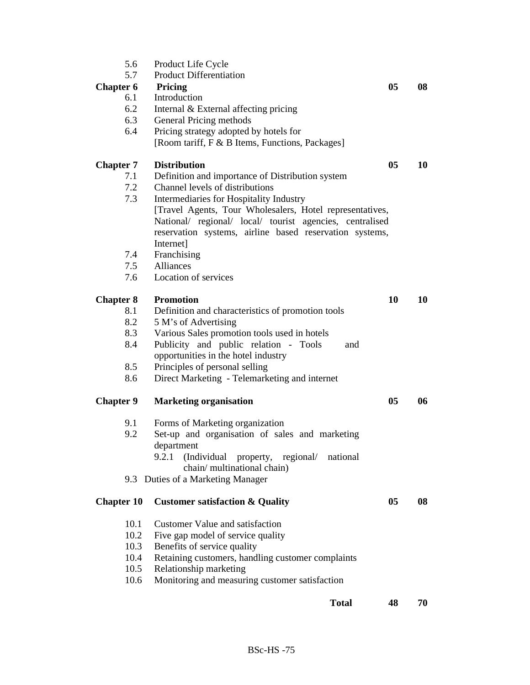| 5.6                     | Product Life Cycle                                               |    |    |
|-------------------------|------------------------------------------------------------------|----|----|
| 5.7                     | <b>Product Differentiation</b>                                   |    |    |
| <b>Chapter 6</b><br>6.1 | Pricing<br>Introduction                                          | 05 | 08 |
| 6.2                     |                                                                  |    |    |
| 6.3                     | Internal & External affecting pricing<br>General Pricing methods |    |    |
| 6.4                     | Pricing strategy adopted by hotels for                           |    |    |
|                         | [Room tariff, F & B Items, Functions, Packages]                  |    |    |
| <b>Chapter 7</b>        | <b>Distribution</b>                                              | 05 | 10 |
| 7.1                     | Definition and importance of Distribution system                 |    |    |
| 7.2                     | Channel levels of distributions                                  |    |    |
| 7.3                     | Intermediaries for Hospitality Industry                          |    |    |
|                         | [Travel Agents, Tour Wholesalers, Hotel representatives,         |    |    |
|                         | National/ regional/ local/ tourist agencies, centralised         |    |    |
|                         | reservation systems, airline based reservation systems,          |    |    |
|                         | Internet]                                                        |    |    |
| 7.4                     | Franchising                                                      |    |    |
| 7.5                     | Alliances                                                        |    |    |
| 7.6                     | Location of services                                             |    |    |
| <b>Chapter 8</b>        | <b>Promotion</b>                                                 | 10 | 10 |
| 8.1                     | Definition and characteristics of promotion tools                |    |    |
| 8.2                     | 5 M's of Advertising                                             |    |    |
| 8.3                     | Various Sales promotion tools used in hotels                     |    |    |
| 8.4                     | Publicity and public relation - Tools<br>and                     |    |    |
|                         | opportunities in the hotel industry                              |    |    |
| 8.5                     | Principles of personal selling                                   |    |    |
| 8.6                     | Direct Marketing - Telemarketing and internet                    |    |    |
| <b>Chapter 9</b>        | <b>Marketing organisation</b>                                    | 05 | 06 |
| 9.1                     | Forms of Marketing organization                                  |    |    |
| 9.2                     | Set-up and organisation of sales and marketing                   |    |    |
|                         | department                                                       |    |    |
|                         | 9.2.1<br>(Individual<br>property, regional/<br>national          |    |    |
|                         | chain/multinational chain)                                       |    |    |
|                         | 9.3 Duties of a Marketing Manager                                |    |    |
| <b>Chapter 10</b>       | <b>Customer satisfaction &amp; Quality</b>                       | 05 | 08 |
| 10.1                    | <b>Customer Value and satisfaction</b>                           |    |    |
| 10.2                    | Five gap model of service quality                                |    |    |
| 10.3                    | Benefits of service quality                                      |    |    |
| 10.4                    | Retaining customers, handling customer complaints                |    |    |
| 10.5                    | Relationship marketing                                           |    |    |
| 10.6                    | Monitoring and measuring customer satisfaction                   |    |    |
|                         |                                                                  |    |    |
|                         | <b>Total</b>                                                     | 48 | 70 |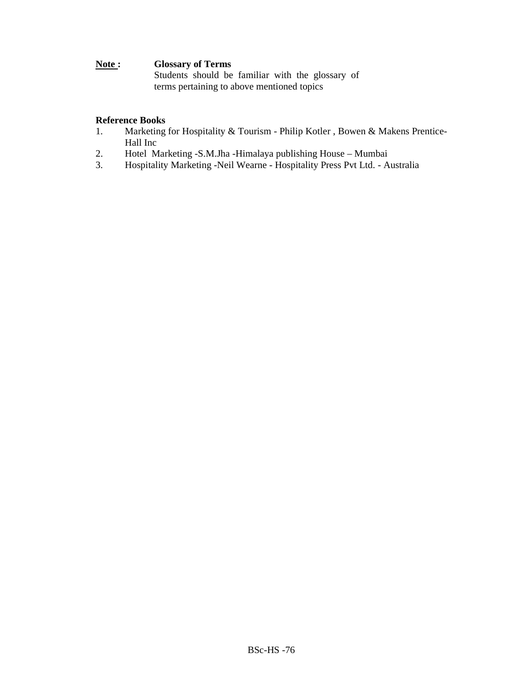# **Note : Glossary of Terms**

Students should be familiar with the glossary of terms pertaining to above mentioned topics

## **Reference Books**

- 1. Marketing for Hospitality & Tourism Philip Kotler , Bowen & Makens Prentice-Hall Inc
- 2. Hotel Marketing -S.M.Jha -Himalaya publishing House Mumbai<br>3. Hospitality Marketing -Neil Wearne Hospitality Press Pvt Ltd. A
- 3. Hospitality Marketing -Neil Wearne Hospitality Press Pvt Ltd. Australia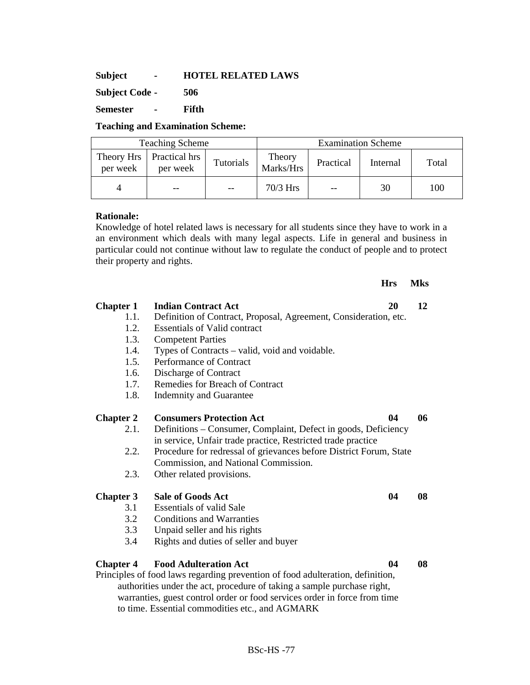**Subject - HOTEL RELATED LAWS** 

**Subject Code - 506** 

**Semester - Fifth** 

# **Teaching and Examination Scheme:**

| <b>Teaching Scheme</b> |                                          |           | <b>Examination Scheme</b> |           |          |       |
|------------------------|------------------------------------------|-----------|---------------------------|-----------|----------|-------|
| per week               | Theory Hrs   Practical hrs  <br>per week | Tutorials | Theory<br>Marks/Hrs       | Practical | Internal | Total |
|                        |                                          |           | $70/3$ Hrs                | $-$       | 30       | 100   |

# **Rationale:**

Knowledge of hotel related laws is necessary for all students since they have to work in a an environment which deals with many legal aspects. Life in general and business in particular could not continue without law to regulate the conduct of people and to protect their property and rights.

### **Hrs Mks**

# **Chapter 1 Indian Contract Act 20 12**  1.1. Definition of Contract, Proposal, Agreement, Consideration, etc. 1.2. Essentials of Valid contract 1.3. Competent Parties 1.4. Types of Contracts – valid, void and voidable. 1.5. Performance of Contract 1.6. Discharge of Contract 1.7. Remedies for Breach of Contract 1.8. Indemnity and Guarantee **Chapter 2 Consumers Protection Act 04 06**  2.1. Definitions – Consumer, Complaint, Defect in goods, Deficiency in service, Unfair trade practice, Restricted trade practice 2.2. Procedure for redressal of grievances before District Forum, State Commission, and National Commission. 2.3. Other related provisions. **Chapter 3** Sale of Goods Act 04 08 3.1 Essentials of valid Sale 3.2 Conditions and Warranties 3.3 Unpaid seller and his rights 3.4 Rights and duties of seller and buyer **Chapter 4 Food Adulteration Act 04 08**  Principles of food laws regarding prevention of food adulteration, definition, authorities under the act, procedure of taking a sample purchase right, warranties, guest control order or food services order in force from time

to time. Essential commodities etc., and AGMARK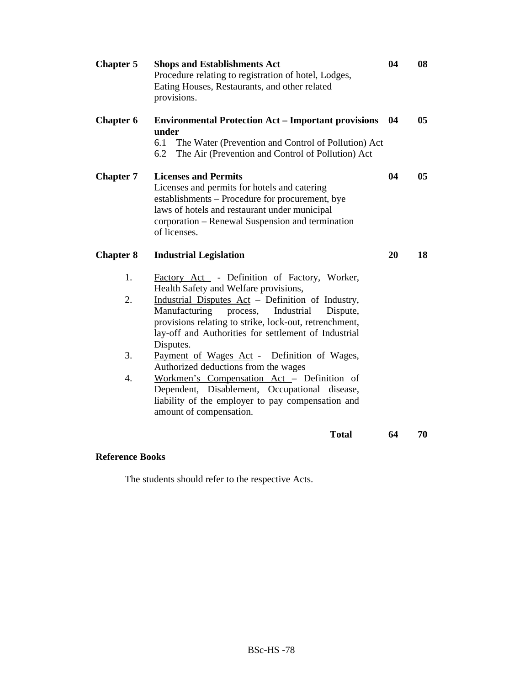| <b>Chapter 5</b> | <b>Shops and Establishments Act</b><br>Procedure relating to registration of hotel, Lodges,<br>Eating Houses, Restaurants, and other related<br>provisions.                                                                                                                      | 04 | 08             |
|------------------|----------------------------------------------------------------------------------------------------------------------------------------------------------------------------------------------------------------------------------------------------------------------------------|----|----------------|
| <b>Chapter 6</b> | <b>Environmental Protection Act - Important provisions</b><br>under<br>6.1<br>The Water (Prevention and Control of Pollution) Act<br>6.2<br>The Air (Prevention and Control of Pollution) Act                                                                                    | 04 | 0 <sub>5</sub> |
| <b>Chapter 7</b> | <b>Licenses and Permits</b><br>Licenses and permits for hotels and catering<br>establishments – Procedure for procurement, bye<br>laws of hotels and restaurant under municipal<br>corporation - Renewal Suspension and termination<br>of licenses.                              | 04 | 05             |
| <b>Chapter 8</b> | <b>Industrial Legislation</b>                                                                                                                                                                                                                                                    | 20 | 18             |
| 1.               | Factory Act - Definition of Factory, Worker,                                                                                                                                                                                                                                     |    |                |
| 2.               | Health Safety and Welfare provisions,<br>Industrial Disputes Act - Definition of Industry,<br>Manufacturing<br>Industrial<br>process,<br>Dispute,<br>provisions relating to strike, lock-out, retrenchment,<br>lay-off and Authorities for settlement of Industrial<br>Disputes. |    |                |
| 3.               | Payment of Wages Act - Definition of Wages,<br>Authorized deductions from the wages                                                                                                                                                                                              |    |                |
| 4.               | Workmen's Compensation Act - Definition of<br>Dependent, Disablement, Occupational disease,<br>liability of the employer to pay compensation and<br>amount of compensation.                                                                                                      |    |                |
|                  | <b>Total</b>                                                                                                                                                                                                                                                                     | 64 | 70             |

# **Reference Books**

The students should refer to the respective Acts.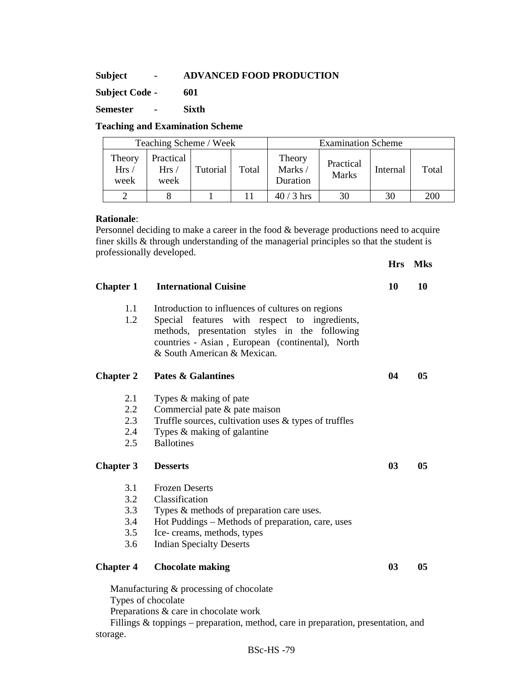# **Subject - ADVANCED FOOD PRODUCTION**

**Subject Code - 601** 

**Semester - Sixth** 

# **Teaching and Examination Scheme**

| Teaching Scheme / Week |                           |          |       | <b>Examination Scheme</b>    |                           |          |       |
|------------------------|---------------------------|----------|-------|------------------------------|---------------------------|----------|-------|
| Theory<br>Hrs/<br>week | Practical<br>Hrs/<br>week | Tutorial | Total | Theory<br>Marks/<br>Duration | Practical<br><b>Marks</b> | Internal | Total |
|                        |                           |          |       | $40/3$ hrs                   | 30                        | 30       | 200   |

# **Rationale**:

Personnel deciding to make a career in the food & beverage productions need to acquire finer skills & through understanding of the managerial principles so that the student is professionally developed.

|                  |                                                                                                                                                                                                                                        | <b>Hrs</b> | <b>Mks</b> |
|------------------|----------------------------------------------------------------------------------------------------------------------------------------------------------------------------------------------------------------------------------------|------------|------------|
| <b>Chapter 1</b> | <b>International Cuisine</b>                                                                                                                                                                                                           | 10         | 10         |
| 1.1<br>1.2       | Introduction to influences of cultures on regions<br>Special features with respect to ingredients,<br>methods, presentation styles in the following<br>countries - Asian, European (continental), North<br>& South American & Mexican. |            |            |
| <b>Chapter 2</b> | <b>Pates &amp; Galantines</b>                                                                                                                                                                                                          | 04         | 05         |
| 2.1              | Types & making of pate                                                                                                                                                                                                                 |            |            |
| $2.2^{\circ}$    | Commercial pate $\&$ pate maison                                                                                                                                                                                                       |            |            |
| 2.3              | Truffle sources, cultivation uses & types of truffles                                                                                                                                                                                  |            |            |
| 2.4              | Types $\&$ making of galantine                                                                                                                                                                                                         |            |            |
| 2.5              | <b>Ballotines</b>                                                                                                                                                                                                                      |            |            |
| <b>Chapter 3</b> | <b>Desserts</b>                                                                                                                                                                                                                        | 03         | 05         |
| 3.1              | <b>Frozen Deserts</b>                                                                                                                                                                                                                  |            |            |
| 3.2              | Classification                                                                                                                                                                                                                         |            |            |
| 3.3              | Types & methods of preparation care uses.                                                                                                                                                                                              |            |            |
| 3.4              | Hot Puddings – Methods of preparation, care, uses                                                                                                                                                                                      |            |            |
| 3.5              | Ice-creams, methods, types                                                                                                                                                                                                             |            |            |
| 3.6              | <b>Indian Specialty Deserts</b>                                                                                                                                                                                                        |            |            |
| <b>Chapter 4</b> | <b>Chocolate making</b>                                                                                                                                                                                                                | 03         | 05         |
|                  | Manufacturing & processing of chocolate<br>Types of chocolate                                                                                                                                                                          |            |            |

Preparations & care in chocolate work

Fillings & toppings – preparation, method, care in preparation, presentation, and storage.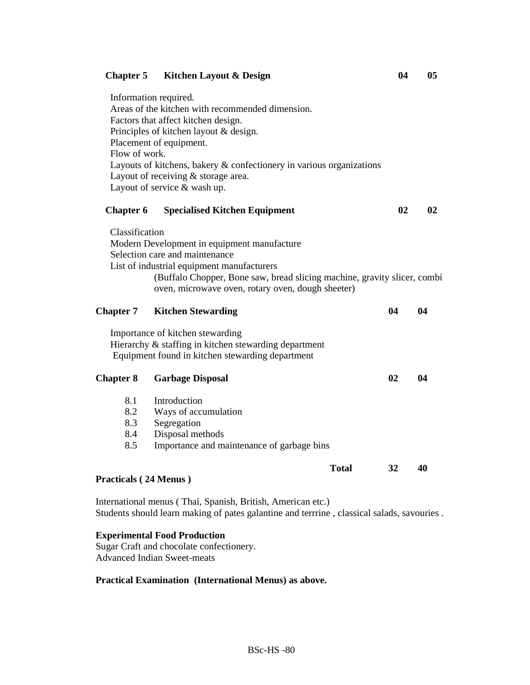## **Chapter 5 Kitchen Layout & Design 04 05**

Information required. Areas of the kitchen with recommended dimension. Factors that affect kitchen design. Principles of kitchen layout & design. Placement of equipment. Flow of work. Layouts of kitchens, bakery & confectionery in various organizations Layout of receiving & storage area. Layout of service & wash up.

| <b>Chapter 6</b> | <b>Specialised Kitchen Equipment</b>                                     | 02 | 02 |
|------------------|--------------------------------------------------------------------------|----|----|
| Classification   |                                                                          |    |    |
|                  | Modern Development in equipment manufacture                              |    |    |
|                  | Selection care and maintenance                                           |    |    |
|                  | List of industrial equipment manufacturers                               |    |    |
|                  | (Buffalo Chopper, Bone saw, bread slicing machine, gravity slicer, combi |    |    |
|                  | oven, microwave oven, rotary oven, dough sheeter)                        |    |    |

| <b>Chapter 7</b> | <b>Kitchen Stewarding</b>                                                                                                                     | 04    | 04 |    |
|------------------|-----------------------------------------------------------------------------------------------------------------------------------------------|-------|----|----|
|                  | Importance of kitchen stewarding<br>Hierarchy & staffing in kitchen stewarding department<br>Equipment found in kitchen stewarding department |       |    |    |
| <b>Chapter 8</b> | <b>Garbage Disposal</b>                                                                                                                       |       | 02 | 04 |
| 8.1              | Introduction                                                                                                                                  |       |    |    |
| 8.2              | Ways of accumulation                                                                                                                          |       |    |    |
| 8.3              | Segregation                                                                                                                                   |       |    |    |
| 8.4              | Disposal methods                                                                                                                              |       |    |    |
| 8.5              | Importance and maintenance of garbage bins                                                                                                    |       |    |    |
|                  |                                                                                                                                               | Total | 32 | 40 |

#### **Practicals ( 24 Menus )**

International menus ( Thai, Spanish, British, American etc.) Students should learn making of pates galantine and terrrine , classical salads, savouries .

#### **Experimental Food Production**

Sugar Craft and chocolate confectionery. Advanced Indian Sweet-meats

### **Practical Examination (International Menus) as above.**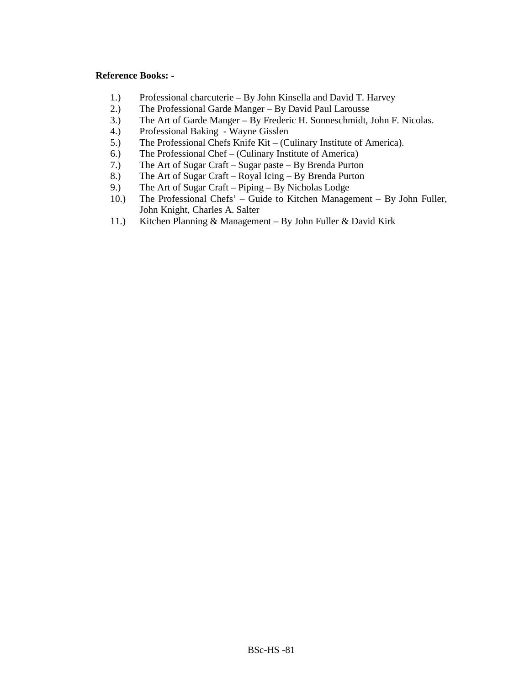## **Reference Books: -**

- 1.) Professional charcuterie By John Kinsella and David T. Harvey
- 2.) The Professional Garde Manger By David Paul Larousse
- 3.) The Art of Garde Manger By Frederic H. Sonneschmidt, John F. Nicolas.
- 4.) Professional Baking Wayne Gisslen
- 5.) The Professional Chefs Knife Kit (Culinary Institute of America).
- 6.) The Professional Chef (Culinary Institute of America)
- 7.) The Art of Sugar Craft Sugar paste By Brenda Purton
- 8.) The Art of Sugar Craft Royal Icing By Brenda Purton
- 9.) The Art of Sugar Craft Piping By Nicholas Lodge
- 10.) The Professional Chefs' Guide to Kitchen Management By John Fuller, John Knight, Charles A. Salter
- 11.) Kitchen Planning & Management By John Fuller & David Kirk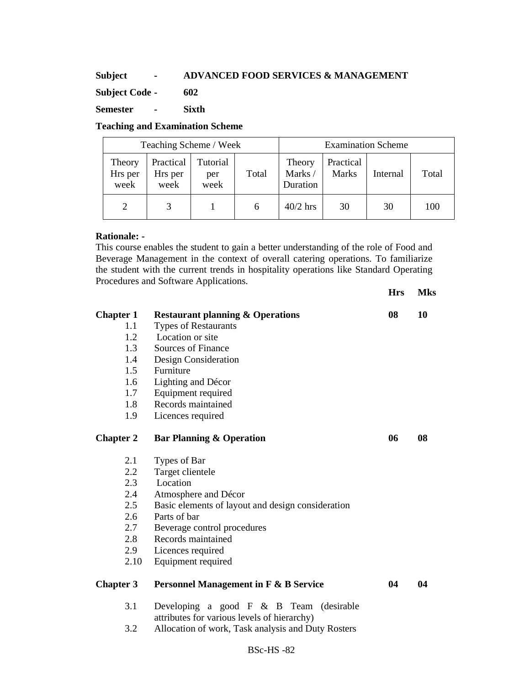# **Subject - ADVANCED FOOD SERVICES & MANAGEMENT**

**Subject Code - 602** 

**Semester - Sixth** 

# **Teaching and Examination Scheme**

| Teaching Scheme / Week    |                              |                         |       | <b>Examination Scheme</b>     |                           |          |       |
|---------------------------|------------------------------|-------------------------|-------|-------------------------------|---------------------------|----------|-------|
| Theory<br>Hrs per<br>week | Practical<br>Hrs per<br>week | Tutorial<br>per<br>week | Total | Theory<br>Marks /<br>Duration | Practical<br><b>Marks</b> | Internal | Total |
|                           |                              |                         | h     | $40/2$ hrs                    | 30                        | 30       | 100   |

## **Rationale: -**

This course enables the student to gain a better understanding of the role of Food and Beverage Management in the context of overall catering operations. To familiarize the student with the current trends in hospitality operations like Standard Operating Procedures and Software Applications.

**Hrs Mks** 

| <b>Chapter 1</b><br>1.1<br>1.2<br>1.3<br>1.4<br>1.5<br>1.6<br>1.7<br>1.8<br>1.9 | <b>Restaurant planning &amp; Operations</b><br>Types of Restaurants<br>Location or site<br>Sources of Finance<br>Design Consideration<br>Furniture<br>Lighting and Décor<br>Equipment required<br>Records maintained<br>Licences required | 08 | 10 |
|---------------------------------------------------------------------------------|-------------------------------------------------------------------------------------------------------------------------------------------------------------------------------------------------------------------------------------------|----|----|
| <b>Chapter 2</b>                                                                | <b>Bar Planning &amp; Operation</b>                                                                                                                                                                                                       | 06 | 08 |
| 2.1<br>2.2<br>2.3<br>2.4<br>2.5<br>2.6<br>2.7<br>2.8<br>2.9<br>2.10             | Types of Bar<br>Target clientele<br>Location<br>Atmosphere and Décor<br>Basic elements of layout and design consideration<br>Parts of bar<br>Beverage control procedures<br>Records maintained<br>Licences required<br>Equipment required |    |    |
| <b>Chapter 3</b>                                                                | <b>Personnel Management in F &amp; B Service</b>                                                                                                                                                                                          | 04 | 04 |
| 3.1<br>3.2                                                                      | Developing a good $F \& B$ Team (desirable<br>attributes for various levels of hierarchy)<br>Allocation of work, Task analysis and Duty Rosters                                                                                           |    |    |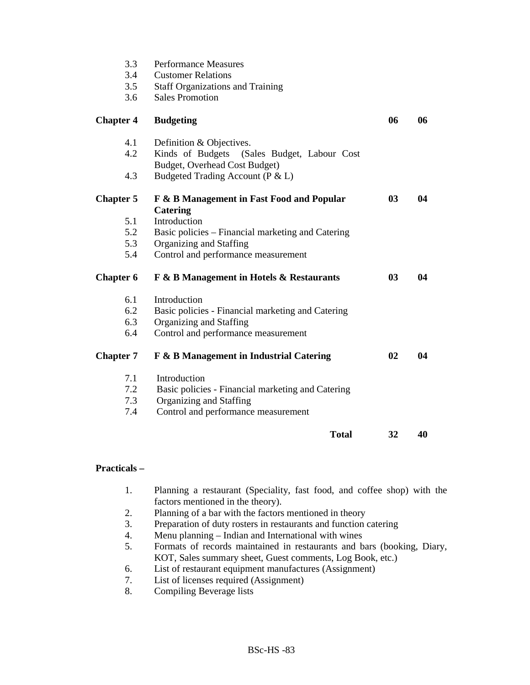| 3.3<br>3.4<br>3.5<br>3.6 | <b>Performance Measures</b><br><b>Customer Relations</b><br><b>Staff Organizations and Training</b><br><b>Sales Promotion</b> |                |    |
|--------------------------|-------------------------------------------------------------------------------------------------------------------------------|----------------|----|
| <b>Chapter 4</b>         | <b>Budgeting</b>                                                                                                              | 06             | 06 |
| 4.1<br>4.2               | Definition & Objectives.<br>Kinds of Budgets<br>(Sales Budget, Labour Cost<br>Budget, Overhead Cost Budget)                   |                |    |
| 4.3                      | Budgeted Trading Account (P & L)                                                                                              |                |    |
| <b>Chapter 5</b>         | F & B Management in Fast Food and Popular<br><b>Catering</b>                                                                  | 0 <sub>3</sub> | 04 |
| 5.1                      | Introduction                                                                                                                  |                |    |
| 5.2                      | Basic policies - Financial marketing and Catering                                                                             |                |    |
| 5.3                      | Organizing and Staffing                                                                                                       |                |    |
| 5.4                      | Control and performance measurement                                                                                           |                |    |
| <b>Chapter 6</b>         | F & B Management in Hotels & Restaurants                                                                                      | 03             | 04 |
| 6.1                      | Introduction                                                                                                                  |                |    |
| 6.2                      | Basic policies - Financial marketing and Catering                                                                             |                |    |
| 6.3                      | Organizing and Staffing                                                                                                       |                |    |
| 6.4                      | Control and performance measurement                                                                                           |                |    |
| <b>Chapter 7</b>         | F & B Management in Industrial Catering                                                                                       | 02             | 04 |
| 7.1                      | Introduction                                                                                                                  |                |    |
| 7.2                      | Basic policies - Financial marketing and Catering                                                                             |                |    |
| 7.3                      | Organizing and Staffing                                                                                                       |                |    |
| 7.4                      | Control and performance measurement                                                                                           |                |    |
|                          | <b>Total</b>                                                                                                                  | 32             | 40 |

# **Practicals –**

- 1. Planning a restaurant (Speciality, fast food, and coffee shop) with the factors mentioned in the theory).
- 2. Planning of a bar with the factors mentioned in theory
- 3. Preparation of duty rosters in restaurants and function catering
- 4. Menu planning Indian and International with wines
- 5. Formats of records maintained in restaurants and bars (booking, Diary, KOT, Sales summary sheet, Guest comments, Log Book, etc.)
- 6. List of restaurant equipment manufactures (Assignment)<br>7. List of licenses required (Assignment)
- 7. List of licenses required (Assignment)<br>8. Compiling Beverage lists
- Compiling Beverage lists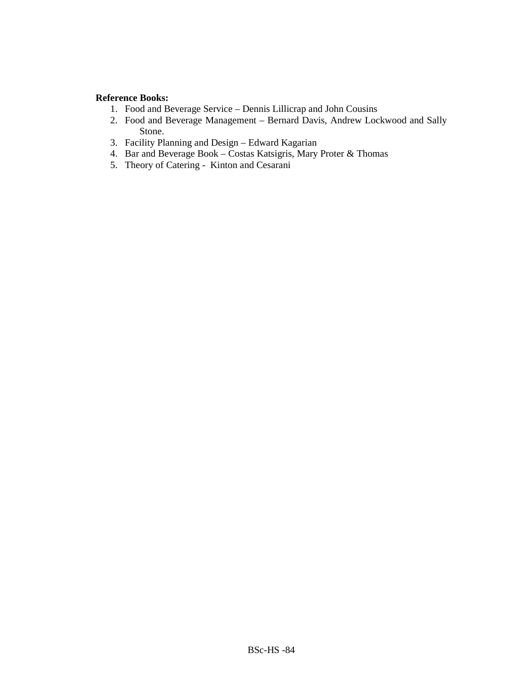# **Reference Books:**

- 1. Food and Beverage Service Dennis Lillicrap and John Cousins
- 2. Food and Beverage Management Bernard Davis, Andrew Lockwood and Sally Stone.
- 3. Facility Planning and Design Edward Kagarian
- 4. Bar and Beverage Book Costas Katsigris, Mary Proter & Thomas
- 5. Theory of Catering Kinton and Cesarani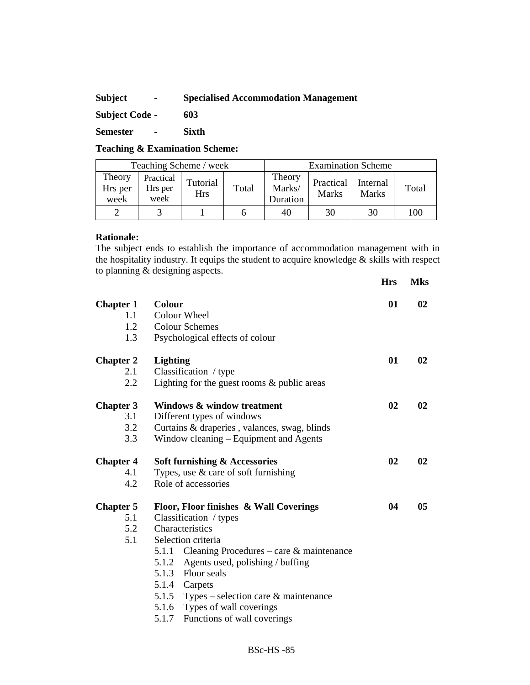# **Subject - Specialised Accommodation Management**

**Subject Code - 603** 

**Semester - Sixth** 

**Teaching & Examination Scheme:** 

| Teaching Scheme / week    |                              |                        |       | <b>Examination Scheme</b>    |                    |                          |       |
|---------------------------|------------------------------|------------------------|-------|------------------------------|--------------------|--------------------------|-------|
| Theory<br>Hrs per<br>week | Practical<br>Hrs per<br>week | Tutorial<br><b>Hrs</b> | Total | Theory<br>Marks/<br>Duration | Practical<br>Marks | Internal<br><b>Marks</b> | Total |
|                           |                              |                        |       | 40                           | 30                 | 30                       | 100   |

#### **Rationale:**

The subject ends to establish the importance of accommodation management with in the hospitality industry. It equips the student to acquire knowledge & skills with respect to planning & designing aspects.

|                  |                                                   | <b>Hrs</b> | <b>Mks</b> |
|------------------|---------------------------------------------------|------------|------------|
| <b>Chapter 1</b> | <b>Colour</b>                                     | 01         | 02         |
| 1.1              | Colour Wheel                                      |            |            |
| 1.2              | <b>Colour Schemes</b>                             |            |            |
| 1.3              | Psychological effects of colour                   |            |            |
| <b>Chapter 2</b> | <b>Lighting</b>                                   | 01         | 02         |
| 2.1              | Classification / type                             |            |            |
| 2.2              | Lighting for the guest rooms $\&$ public areas    |            |            |
| <b>Chapter 3</b> | <b>Windows &amp; window treatment</b>             | 02         | 02         |
| 3.1              | Different types of windows                        |            |            |
| 3.2              | Curtains & draperies, valances, swag, blinds      |            |            |
| 3.3              | Window cleaning – Equipment and Agents            |            |            |
| <b>Chapter 4</b> | Soft furnishing & Accessories                     | 02         | 02         |
| 4.1              | Types, use $\&$ care of soft furnishing           |            |            |
| 4.2              | Role of accessories                               |            |            |
| <b>Chapter 5</b> | Floor, Floor finishes & Wall Coverings            | 04         | 05         |
| 5.1              | Classification / types                            |            |            |
| 5.2              | Characteristics                                   |            |            |
| 5.1              | Selection criteria                                |            |            |
|                  | Cleaning Procedures – care & maintenance<br>5.1.1 |            |            |
|                  | 5.1.2<br>Agents used, polishing / buffing         |            |            |
|                  | 5.1.3<br>Floor seals                              |            |            |
|                  | 5.1.4<br>Carpets                                  |            |            |
|                  | 5.1.5<br>Types – selection care $\&$ maintenance  |            |            |
|                  | 5.1.6<br>Types of wall coverings                  |            |            |
|                  | Functions of wall coverings<br>5.1.7              |            |            |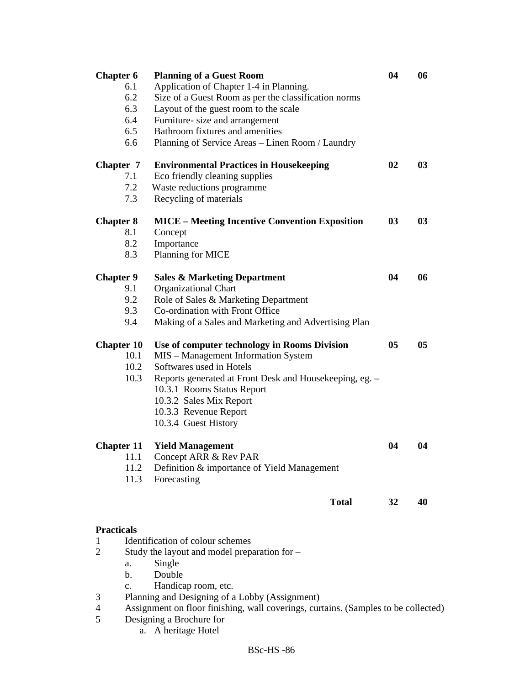| <b>Chapter 6</b>  |                | <b>Planning of a Guest Room</b>                                                    | 04 | 06 |
|-------------------|----------------|------------------------------------------------------------------------------------|----|----|
|                   | 6.1            | Application of Chapter 1-4 in Planning.                                            |    |    |
|                   | 6.2            | Size of a Guest Room as per the classification norms                               |    |    |
|                   | 6.3            | Layout of the guest room to the scale                                              |    |    |
|                   | 6.4            | Furniture- size and arrangement                                                    |    |    |
|                   | 6.5            | Bathroom fixtures and amenities                                                    |    |    |
|                   | 6.6            | Planning of Service Areas - Linen Room / Laundry                                   |    |    |
|                   |                |                                                                                    |    |    |
| Chapter 7         |                | <b>Environmental Practices in Housekeeping</b>                                     | 02 | 03 |
|                   | 7.1            | Eco friendly cleaning supplies                                                     |    |    |
|                   | 7.2            | Waste reductions programme                                                         |    |    |
|                   | 7.3            | Recycling of materials                                                             |    |    |
|                   |                |                                                                                    |    |    |
| <b>Chapter 8</b>  |                | <b>MICE</b> – Meeting Incentive Convention Exposition                              | 03 | 03 |
|                   | 8.1            | Concept                                                                            |    |    |
|                   | 8.2            | Importance                                                                         |    |    |
|                   | 8.3            | Planning for MICE                                                                  |    |    |
|                   |                |                                                                                    |    |    |
| <b>Chapter 9</b>  |                | <b>Sales &amp; Marketing Department</b>                                            | 04 | 06 |
|                   | 9.1            | <b>Organizational Chart</b>                                                        |    |    |
|                   | 9.2            | Role of Sales & Marketing Department                                               |    |    |
|                   | 9.3            | Co-ordination with Front Office                                                    |    |    |
|                   | 9.4            | Making of a Sales and Marketing and Advertising Plan                               |    |    |
|                   |                |                                                                                    |    |    |
| <b>Chapter 10</b> |                | Use of computer technology in Rooms Division                                       | 05 | 05 |
|                   | 10.1           | MIS - Management Information System                                                |    |    |
|                   | 10.2           | Softwares used in Hotels                                                           |    |    |
|                   | 10.3           | Reports generated at Front Desk and Housekeeping, eg. -                            |    |    |
|                   |                | 10.3.1 Rooms Status Report                                                         |    |    |
|                   |                | 10.3.2 Sales Mix Report                                                            |    |    |
|                   |                | 10.3.3 Revenue Report                                                              |    |    |
|                   |                | 10.3.4 Guest History                                                               |    |    |
|                   |                |                                                                                    |    |    |
| <b>Chapter 11</b> |                | <b>Yield Management</b>                                                            | 04 | 04 |
|                   | -11.1          | Concept ARR & Rev PAR                                                              |    |    |
|                   | 11.2           | Definition & importance of Yield Management                                        |    |    |
|                   | 11.3           | Forecasting                                                                        |    |    |
|                   |                | <b>Total</b>                                                                       | 32 | 40 |
|                   |                |                                                                                    |    |    |
|                   |                |                                                                                    |    |    |
| <b>Practicals</b> |                |                                                                                    |    |    |
| 1                 |                | Identification of colour schemes                                                   |    |    |
| $\overline{2}$    |                | Study the layout and model preparation for -                                       |    |    |
|                   | a.             | Single                                                                             |    |    |
|                   | b.             | Double                                                                             |    |    |
|                   | $\mathbf{c}$ . | Handicap room, etc.                                                                |    |    |
| 3                 |                | Planning and Designing of a Lobby (Assignment)                                     |    |    |
| 4                 |                | Assignment on floor finishing, wall coverings, curtains. (Samples to be collected) |    |    |
| 5                 |                | Designing a Brochure for                                                           |    |    |
|                   | a.             | A heritage Hotel                                                                   |    |    |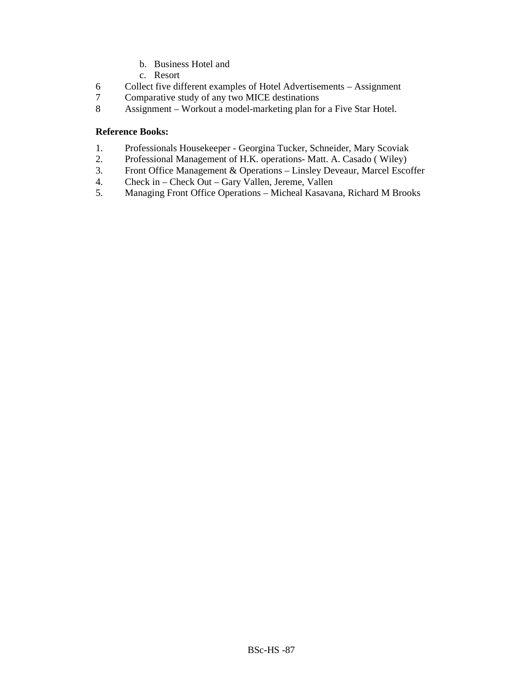- b. Business Hotel and
- c. Resort
- 6 Collect five different examples of Hotel Advertisements Assignment
- 7 Comparative study of any two MICE destinations
- 8 Assignment Workout a model-marketing plan for a Five Star Hotel.

# **Reference Books:**

- 1. Professionals Housekeeper Georgina Tucker, Schneider, Mary Scoviak
- 2. Professional Management of H.K. operations- Matt. A. Casado ( Wiley)
- 3. Front Office Management & Operations Linsley Deveaur, Marcel Escoffer<br>4. Check in Check Out Gary Vallen, Jereme, Vallen
- 4. Check in Check Out Gary Vallen, Jereme, Vallen
- 5. Managing Front Office Operations Micheal Kasavana, Richard M Brooks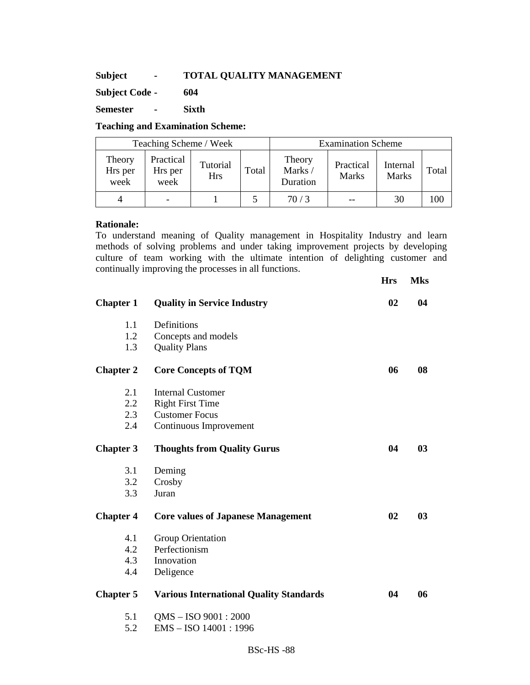# **Subject - TOTAL QUALITY MANAGEMENT**

**Subject Code - 604** 

**Semester - Sixth** 

# **Teaching and Examination Scheme:**

| Teaching Scheme / Week    |                              |                        |       |                              | <b>Examination Scheme</b> |                          |       |
|---------------------------|------------------------------|------------------------|-------|------------------------------|---------------------------|--------------------------|-------|
| Theory<br>Hrs per<br>week | Practical<br>Hrs per<br>week | Tutorial<br><b>Hrs</b> | Total | Theory<br>Marks/<br>Duration | Practical<br><b>Marks</b> | Internal<br><b>Marks</b> | Total |
|                           |                              |                        |       | 70/3                         | --                        | 30                       | .00   |

## **Rationale:**

To understand meaning of Quality management in Hospitality Industry and learn methods of solving problems and under taking improvement projects by developing culture of team working with the ultimate intention of delighting customer and continually improving the processes in all functions. **H**<sub>112</sub> **M**<sub>1</sub>

|                  |                                                | <b>Hrs</b> | <b>NIKS</b> |
|------------------|------------------------------------------------|------------|-------------|
| <b>Chapter 1</b> | <b>Quality in Service Industry</b>             | 02         | 04          |
| 1.1              | Definitions                                    |            |             |
| 1.2              | Concepts and models                            |            |             |
| 1.3              | <b>Quality Plans</b>                           |            |             |
| <b>Chapter 2</b> | <b>Core Concepts of TQM</b>                    | 06         | 08          |
| 2.1              | <b>Internal Customer</b>                       |            |             |
| 2.2              | <b>Right First Time</b>                        |            |             |
| 2.3              | <b>Customer Focus</b>                          |            |             |
| 2.4              | Continuous Improvement                         |            |             |
| <b>Chapter 3</b> | <b>Thoughts from Quality Gurus</b>             | 04         | 03          |
| 3.1              | Deming                                         |            |             |
| 3.2              | Crosby                                         |            |             |
| 3.3              | Juran                                          |            |             |
| <b>Chapter 4</b> | <b>Core values of Japanese Management</b>      | 02         | 03          |
| 4.1              | Group Orientation                              |            |             |
| 4.2              | Perfectionism                                  |            |             |
| 4.3              | Innovation                                     |            |             |
| 4.4              | Deligence                                      |            |             |
| <b>Chapter 5</b> | <b>Various International Quality Standards</b> | 04         | 06          |
| 5.1              | QMS - ISO 9001: 2000                           |            |             |
| 5.2              | EMS-ISO 14001:1996                             |            |             |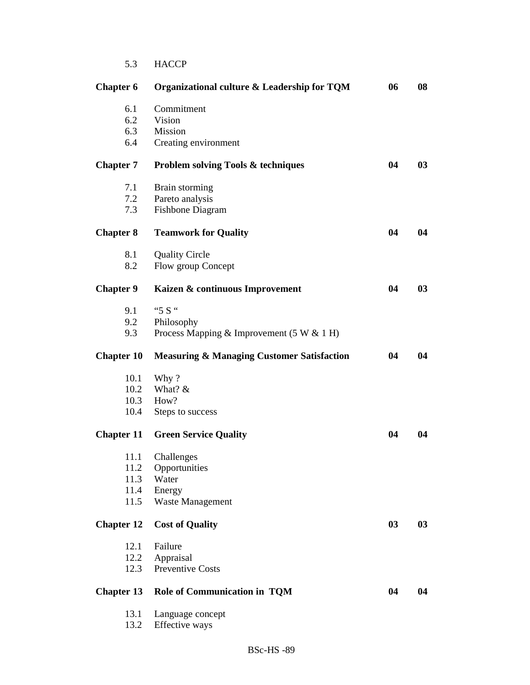| 5.3 | <b>HACCP</b> |
|-----|--------------|
|     |              |

| <b>Chapter 6</b>  | Organizational culture & Leadership for TQM           | 06 | 08 |
|-------------------|-------------------------------------------------------|----|----|
| 6.1               | Commitment                                            |    |    |
| 6.2               | Vision                                                |    |    |
| 6.3               | Mission                                               |    |    |
| 6.4               | Creating environment                                  |    |    |
| <b>Chapter 7</b>  | <b>Problem solving Tools &amp; techniques</b>         | 04 | 03 |
| 7.1               | Brain storming                                        |    |    |
| 7.2               | Pareto analysis                                       |    |    |
| 7.3               | <b>Fishbone Diagram</b>                               |    |    |
| <b>Chapter 8</b>  | <b>Teamwork for Quality</b>                           | 04 | 04 |
| 8.1               | <b>Quality Circle</b>                                 |    |    |
| 8.2               | Flow group Concept                                    |    |    |
| <b>Chapter 9</b>  | Kaizen & continuous Improvement                       | 04 | 03 |
| 9.1               | "5 S "                                                |    |    |
| 9.2               | Philosophy                                            |    |    |
| 9.3               | Process Mapping & Improvement $(5 W & 1 H)$           |    |    |
| <b>Chapter 10</b> | <b>Measuring &amp; Managing Customer Satisfaction</b> | 04 | 04 |
| 10.1              | Why?                                                  |    |    |
| 10.2              | What? &                                               |    |    |
| 10.3              | How?                                                  |    |    |
| 10.4              | Steps to success                                      |    |    |
| <b>Chapter 11</b> | <b>Green Service Quality</b>                          | 04 | 04 |
| 11.1              | Challenges                                            |    |    |
| 11.2              | Opportunities                                         |    |    |
| 11.3              | Water                                                 |    |    |
| 11.4              | Energy                                                |    |    |
| 11.5              | Waste Management                                      |    |    |
| <b>Chapter 12</b> | <b>Cost of Quality</b>                                | 03 | 03 |
| 12.1              | Failure                                               |    |    |
| 12.2              | Appraisal                                             |    |    |
| 12.3              | Preventive Costs                                      |    |    |
| <b>Chapter 13</b> | <b>Role of Communication in TQM</b>                   | 04 | 04 |
| 13.1              | Language concept                                      |    |    |
| 13.2              | Effective ways                                        |    |    |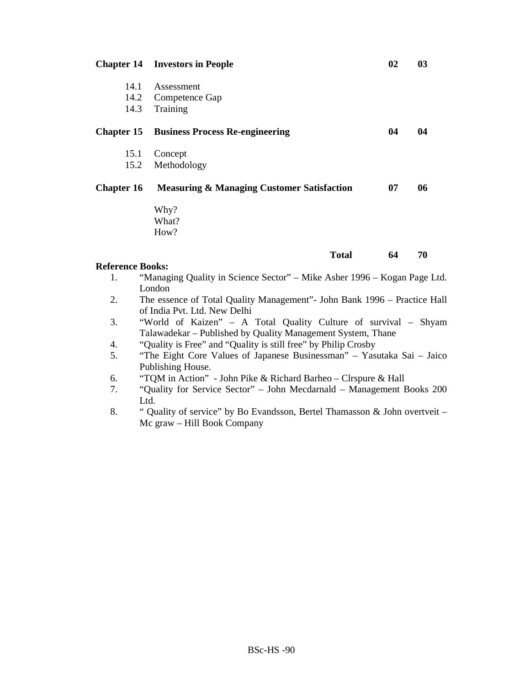|                         | <b>Chapter 14 Investors in People</b>                                    | 02 | 03 |
|-------------------------|--------------------------------------------------------------------------|----|----|
| 14.1                    | Assessment                                                               |    |    |
|                         | 14.2 Competence Gap                                                      |    |    |
| 14.3                    | Training                                                                 |    |    |
| <b>Chapter 15</b>       | <b>Business Process Re-engineering</b>                                   | 04 | 04 |
| 15.1                    | Concept                                                                  |    |    |
| 15.2                    | Methodology                                                              |    |    |
| <b>Chapter 16</b>       | <b>Measuring &amp; Managing Customer Satisfaction</b>                    | 07 | 06 |
|                         | Why?                                                                     |    |    |
|                         | What?                                                                    |    |    |
|                         | How?                                                                     |    |    |
|                         | <b>Total</b>                                                             | 64 | 70 |
| <b>Reference Books:</b> |                                                                          |    |    |
| 1.                      | "Managing Quality in Science Sector" – Mike Asher 1996 – Kogan Page Ltd. |    |    |
|                         | London                                                                   |    |    |

- 2. The essence of Total Quality Management"- John Bank 1996 Practice Hall of India Pvt. Ltd. New Delhi
- 3. "World of Kaizen" A Total Quality Culture of survival Shyam Talawadekar – Published by Quality Management System, Thane
- 4. "Quality is Free" and "Quality is still free" by Philip Crosby
- 5. "The Eight Core Values of Japanese Businessman" Yasutaka Sai Jaico Publishing House.
- 6. "TQM in Action" John Pike & Richard Barheo Clrspure & Hall
- 7. "Quality for Service Sector" John Mecdarnald Management Books 200 Ltd.
- 8. " Quality of service" by Bo Evandsson, Bertel Thamasson & John overtveit Mc graw – Hill Book Company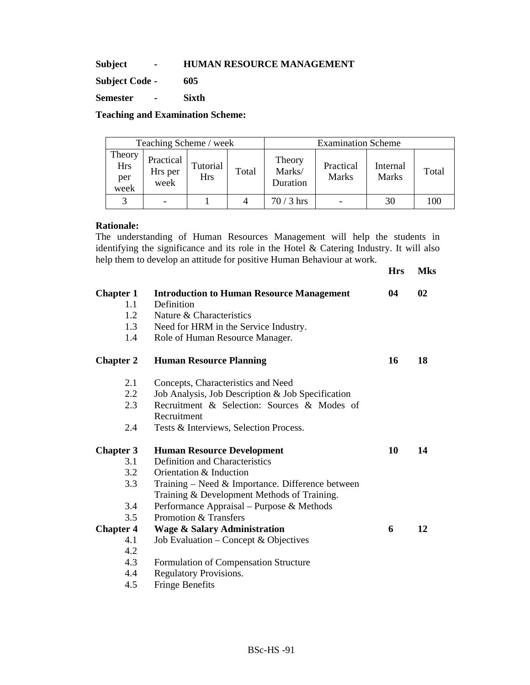**Subject - HUMAN RESOURCE MANAGEMENT** 

**Subject Code - 605** 

**Semester - Sixth** 

**Teaching and Examination Scheme:** 

|                                     | Teaching Scheme / week       |                        |       |                              | <b>Examination Scheme</b> |                          |       |  |  |
|-------------------------------------|------------------------------|------------------------|-------|------------------------------|---------------------------|--------------------------|-------|--|--|
| Theory<br><b>Hrs</b><br>per<br>week | Practical<br>Hrs per<br>week | Tutorial<br><b>Hrs</b> | Total | Theory<br>Marks/<br>Duration | Practical<br><b>Marks</b> | Internal<br><b>Marks</b> | Total |  |  |
|                                     |                              |                        |       | $70/3$ hrs                   |                           | 30                       | 100   |  |  |

# **Rationale:**

The understanding of Human Resources Management will help the students in identifying the significance and its role in the Hotel & Catering Industry. It will also help them to develop an attitude for positive Human Behaviour at work.

|                  |                                                    | <b>Hrs</b> | <b>Mks</b> |
|------------------|----------------------------------------------------|------------|------------|
| <b>Chapter 1</b> | <b>Introduction to Human Resource Management</b>   | 04         | 02         |
| 1.1              | Definition                                         |            |            |
| 1.2              | Nature & Characteristics                           |            |            |
| 1.3              | Need for HRM in the Service Industry.              |            |            |
| 1.4              | Role of Human Resource Manager.                    |            |            |
| <b>Chapter 2</b> | <b>Human Resource Planning</b>                     | 16         | 18         |
| 2.1              | Concepts, Characteristics and Need                 |            |            |
| 2.2              | Job Analysis, Job Description & Job Specification  |            |            |
| 2.3              | Recruitment & Selection: Sources & Modes of        |            |            |
|                  | Recruitment                                        |            |            |
| 2.4              | Tests & Interviews, Selection Process.             |            |            |
| <b>Chapter 3</b> | <b>Human Resource Development</b>                  | 10         | 14         |
| 3.1              | <b>Definition and Characteristics</b>              |            |            |
| 3.2              | Orientation & Induction                            |            |            |
| 3.3              | Training – Need $&$ Importance. Difference between |            |            |
|                  | Training & Development Methods of Training.        |            |            |
| 3.4              | Performance Appraisal – Purpose & Methods          |            |            |
| 3.5              | Promotion & Transfers                              |            |            |
| <b>Chapter 4</b> | <b>Wage &amp; Salary Administration</b>            | 6          | 12         |
| 4.1              | Job Evaluation – Concept & Objectives              |            |            |
| 4.2              |                                                    |            |            |
| 4.3              | Formulation of Compensation Structure              |            |            |
| 4.4              | <b>Regulatory Provisions.</b>                      |            |            |
| 4.5              | <b>Fringe Benefits</b>                             |            |            |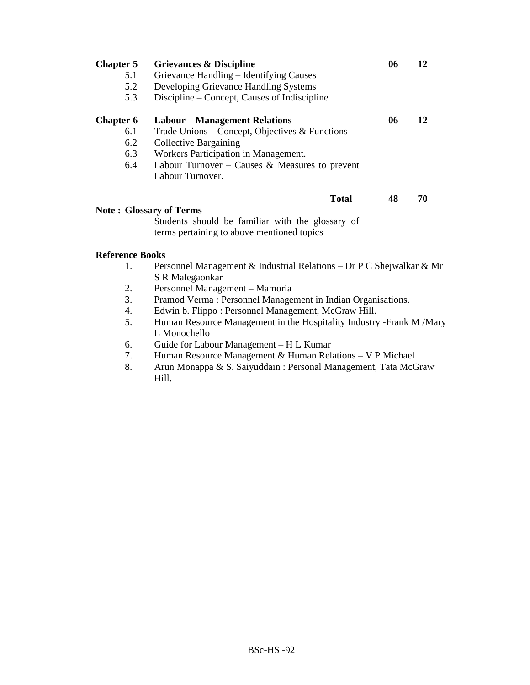| <b>Chapter 5</b> | <b>Grievances &amp; Discipline</b>                                                             | 06 | 12 |
|------------------|------------------------------------------------------------------------------------------------|----|----|
| 5.1              | Grievance Handling - Identifying Causes                                                        |    |    |
| 5.2              | Developing Grievance Handling Systems                                                          |    |    |
| 5.3              | Discipline – Concept, Causes of Indiscipline                                                   |    |    |
| <b>Chapter 6</b> | <b>Labour – Management Relations</b>                                                           | 06 | 12 |
| 6.1              | Trade Unions – Concept, Objectives & Functions                                                 |    |    |
| 6.2              | <b>Collective Bargaining</b>                                                                   |    |    |
| 6.3              | Workers Participation in Management.                                                           |    |    |
| 6.4              | Labour Turnover – Causes & Measures to prevent                                                 |    |    |
|                  | Labour Turnover.                                                                               |    |    |
|                  | <b>Total</b>                                                                                   | 48 | 70 |
|                  | <b>Note: Glossary of Terms</b>                                                                 |    |    |
|                  | Students should be familiar with the glossary of<br>terms pertaining to above mentioned topics |    |    |
|                  |                                                                                                |    |    |

# **Reference Books**

- 1. Personnel Management & Industrial Relations Dr P C Shejwalkar & Mr S R Malegaonkar
- 2. Personnel Management Mamoria
- 3. Pramod Verma : Personnel Management in Indian Organisations.
- 4. Edwin b. Flippo : Personnel Management, McGraw Hill.<br>5. Human Resource Management in the Hospitality Industry
- 5. Human Resource Management in the Hospitality Industry -Frank M /Mary L Monochello
- 6. Guide for Labour Management H L Kumar
- 7. Human Resource Management & Human Relations V P Michael
- 8. Arun Monappa & S. Saiyuddain : Personal Management, Tata McGraw Hill.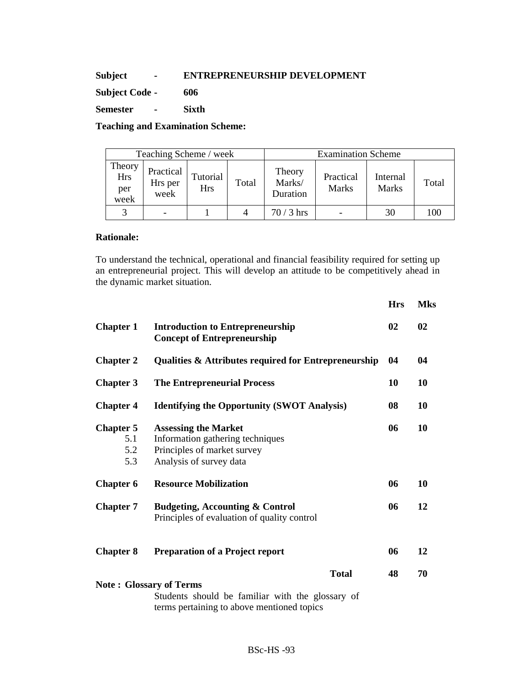# **Subject - ENTREPRENEURSHIP DEVELOPMENT**

**Subject Code - 606** 

**Semester - Sixth** 

# **Teaching and Examination Scheme:**

| Teaching Scheme / week              |                              |                        |       | <b>Examination Scheme</b>    |                           |                          |       |
|-------------------------------------|------------------------------|------------------------|-------|------------------------------|---------------------------|--------------------------|-------|
| Theory<br><b>Hrs</b><br>per<br>week | Practical<br>Hrs per<br>week | Tutorial<br><b>Hrs</b> | Total | Theory<br>Marks/<br>Duration | Practical<br><b>Marks</b> | Internal<br><b>Marks</b> | Total |
| $\mathbf{\Omega}$                   |                              |                        | 4     | $70/3$ hrs                   |                           | 30                       | 100   |

## **Rationale:**

To understand the technical, operational and financial feasibility required for setting up an entrepreneurial project. This will develop an attitude to be competitively ahead in the dynamic market situation.

|                                                                                                    |                                                                                                                           | <b>Hrs</b> | <b>Mks</b> |  |
|----------------------------------------------------------------------------------------------------|---------------------------------------------------------------------------------------------------------------------------|------------|------------|--|
| <b>Chapter 1</b>                                                                                   | <b>Introduction to Entrepreneurship</b><br><b>Concept of Entrepreneurship</b>                                             | 02         | 02         |  |
| <b>Chapter 2</b>                                                                                   | <b>Qualities &amp; Attributes required for Entrepreneurship</b>                                                           | 04         | 04         |  |
| <b>Chapter 3</b>                                                                                   | <b>The Entrepreneurial Process</b>                                                                                        | 10         | 10         |  |
| <b>Chapter 4</b>                                                                                   | <b>Identifying the Opportunity (SWOT Analysis)</b>                                                                        |            |            |  |
| <b>Chapter 5</b><br>5.1<br>5.2<br>5.3                                                              | <b>Assessing the Market</b><br>Information gathering techniques<br>Principles of market survey<br>Analysis of survey data | 06         | 10         |  |
| <b>Chapter 6</b>                                                                                   | <b>Resource Mobilization</b>                                                                                              | 06         | 10         |  |
| <b>Chapter 7</b>                                                                                   | <b>Budgeting, Accounting &amp; Control</b><br>Principles of evaluation of quality control                                 | 06         | 12         |  |
| <b>Chapter 8</b>                                                                                   | <b>Preparation of a Project report</b>                                                                                    | 06         | 12         |  |
| <b>Total</b><br><b>Note: Glossary of Terms</b><br>Students should be familiar with the glossary of |                                                                                                                           |            | 70         |  |
|                                                                                                    | terms pertaining to above mentioned topics                                                                                |            |            |  |